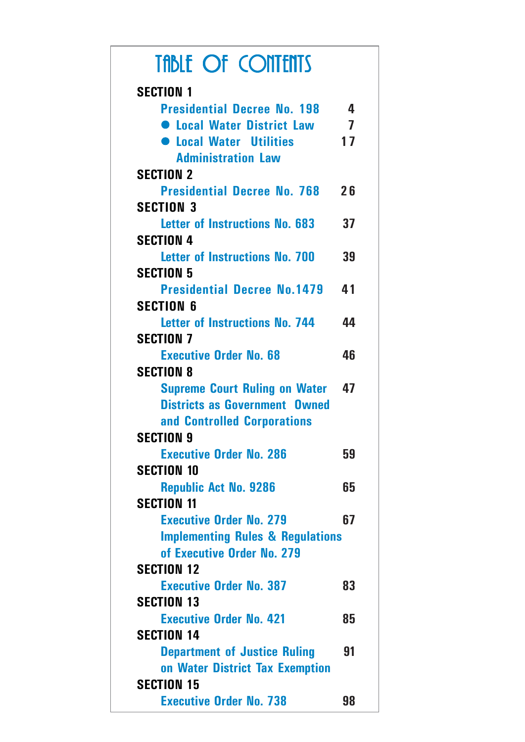| <b>TABLE OF CONTENTS</b>                                                     |                |
|------------------------------------------------------------------------------|----------------|
| <b>SECTION 1</b>                                                             |                |
| <b>Presidential Decree No. 198</b>                                           | 4              |
| <b>C</b> Local Water District Law                                            | $\overline{7}$ |
| <b>C</b> Local Water Utilities                                               | 17             |
| <b>Administration Law</b>                                                    |                |
| <b>SECTION 2</b>                                                             |                |
| <b>Presidential Decree No. 768</b>                                           | 26             |
| <b>SECTION 3</b>                                                             |                |
| Letter of Instructions No. 683                                               | 37             |
| <b>SECTION 4</b>                                                             |                |
| <b>Letter of Instructions No. 700</b>                                        | 39             |
| <b>SECTION 5</b>                                                             |                |
| <b>Presidential Decree No.1479</b>                                           | 41             |
| <b>SECTION 6</b>                                                             |                |
| Letter of Instructions No. 744                                               | 44             |
| <b>SECTION 7</b>                                                             |                |
| <b>Executive Order No. 68</b>                                                | 46             |
| <b>SECTION 8</b>                                                             |                |
| <b>Supreme Court Ruling on Water</b><br><b>Districts as Government Owned</b> | 47             |
| and Controlled Corporations                                                  |                |
| <b>SECTION 9</b>                                                             |                |
| <b>Executive Order No. 286</b>                                               | 59             |
| <b>SECTION 10</b>                                                            |                |
| <b>Republic Act No. 9286</b>                                                 | 65             |
| <b>SECTION 11</b>                                                            |                |
| <b>Executive Order No. 279</b>                                               | 67             |
| <b>Implementing Rules &amp; Regulations</b>                                  |                |
| of Executive Order No. 279                                                   |                |
| <b>SECTION 12</b>                                                            |                |
| <b>Executive Order No. 387</b>                                               | 83             |
| <b>SECTION 13</b>                                                            |                |
| <b>Executive Order No. 421</b>                                               | 85             |
| <b>SECTION 14</b>                                                            |                |
| <b>Department of Justice Ruling</b>                                          | 91             |
| on Water District Tax Exemption                                              |                |
| <b>SECTION 15</b>                                                            |                |
| <b>Executive Order No. 738</b>                                               | 98             |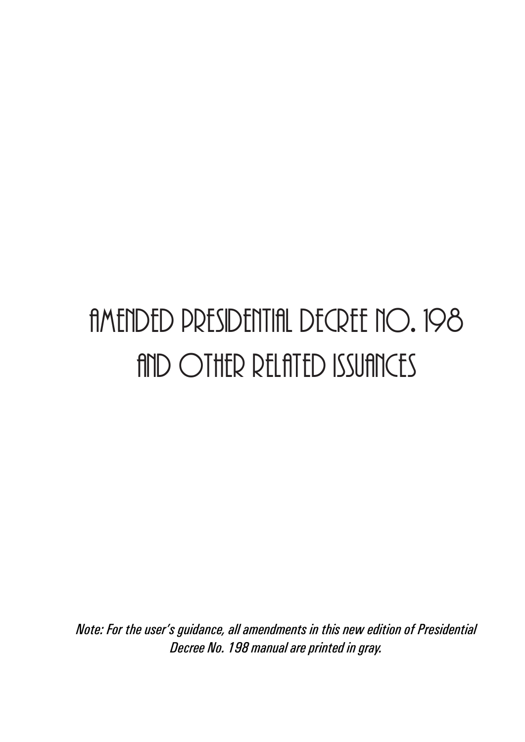# amended presidential decree no. 198 and other related issuances

*Note: For the user's guidance, all amendments in this new edition of Presidential Decree No. 198 manual are printed in gray.*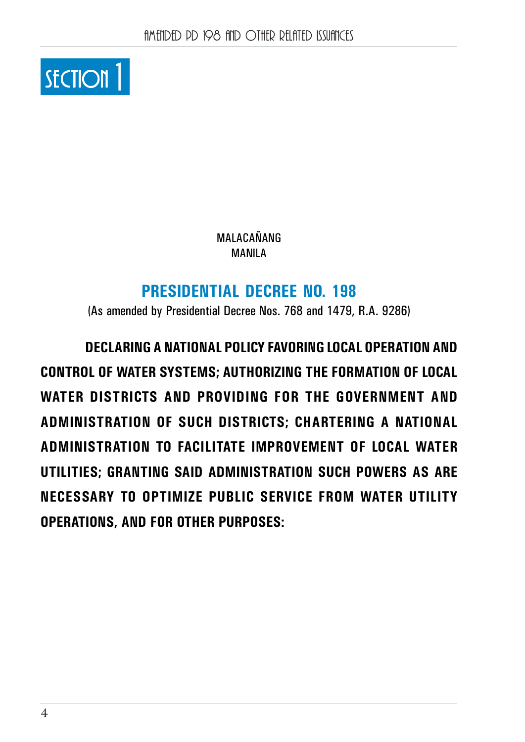

MALACAŃANG MANILA

# **PRESIDENTIAL DECREE NO. 198**

(As amended by Presidential Decree Nos. 768 and 1479, R.A. 9286)

**DECLARING A NATIONAL POLICY FAVORING LOCAL OPERATION AND CONTROL OF WATER SYSTEMS; AUTHORIZING THE FORMATION OF LOCAL WATER DISTRICTS AND PROVIDING FOR THE GOVERNMENT AND ADMINISTRATION OF SUCH DISTRICTS; CHARTERING A NATIONAL ADMINISTRATION TO FACILITATE IMPROVEMENT OF LOCAL WATER UTILITIES; GRANTING SAID ADMINISTRATION SUCH POWERS AS ARE NECESSARY TO OPTIMIZE PUBLIC SERVICE FROM WATER UTILITY OPERATIONS, AND FOR OTHER PURPOSES:**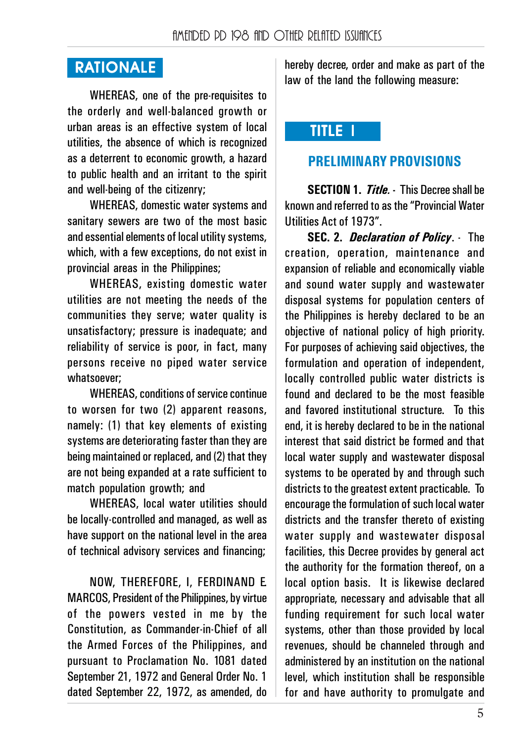# **RATIONALE**

WHEREAS, one of the pre-requisites to the orderly and well-balanced growth or urban areas is an effective system of local utilities, the absence of which is recognized as a deterrent to economic growth, a hazard to public health and an irritant to the spirit and well-being of the citizenry;

WHEREAS, domestic water systems and sanitary sewers are two of the most basic and essential elements of local utility systems, which, with a few exceptions, do not exist in provincial areas in the Philippines;

WHEREAS, existing domestic water utilities are not meeting the needs of the communities they serve; water quality is unsatisfactory; pressure is inadequate; and reliability of service is poor, in fact, many persons receive no piped water service whatsoever;

WHEREAS, conditions of service continue to worsen for two (2) apparent reasons, namely: (1) that key elements of existing systems are deteriorating faster than they are being maintained or replaced, and (2) that they are not being expanded at a rate sufficient to match population growth; and

WHEREAS, local water utilities should be locally-controlled and managed, as well as have support on the national level in the area of technical advisory services and financing;

NOW, THEREFORE, I, FERDINAND E. MARCOS, President of the Philippines, by virtue of the powers vested in me by the Constitution, as Commander-in-Chief of all the Armed Forces of the Philippines, and pursuant to Proclamation No. 1081 dated September 21, 1972 and General Order No. 1 dated September 22, 1972, as amended, do

hereby decree, order and make as part of the law of the land the following measure:

# TITLE I I

## **PRELIMINARY PROVISIONS**

**SECTION 1.** *Title.* **-** This Decree shall be known and referred to as the "Provincial Water Utilities Act of 1973".

**SEC. 2.** *Declaration of Policy*. - The creation, operation, maintenance and expansion of reliable and economically viable and sound water supply and wastewater disposal systems for population centers of the Philippines is hereby declared to be an objective of national policy of high priority. For purposes of achieving said objectives, the formulation and operation of independent, locally controlled public water districts is found and declared to be the most feasible and favored institutional structure. To this end, it is hereby declared to be in the national interest that said district be formed and that local water supply and wastewater disposal systems to be operated by and through such districts to the greatest extent practicable. To encourage the formulation of such local water districts and the transfer thereto of existing water supply and wastewater disposal facilities, this Decree provides by general act the authority for the formation thereof, on a local option basis. It is likewise declared appropriate, necessary and advisable that all funding requirement for such local water systems, other than those provided by local revenues, should be channeled through and administered by an institution on the national level, which institution shall be responsible for and have authority to promulgate and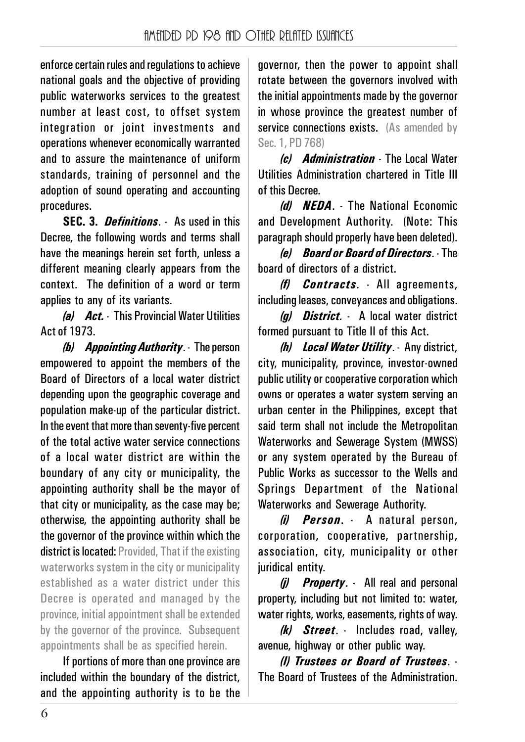enforce certain rules and regulations to achieve national goals and the objective of providing public waterworks services to the greatest number at least cost, to offset system integration or joint investments and operations whenever economically warranted and to assure the maintenance of uniform standards, training of personnel and the adoption of sound operating and accounting procedures.

**SEC. 3.** *Definitions*. - As used in this Decree, the following words and terms shall have the meanings herein set forth, unless a different meaning clearly appears from the context. The definition of a word or term applies to any of its variants.

*(a) Act.* - This Provincial Water Utilities Act of 1973.

*(b) Appointing Authority*. - The person empowered to appoint the members of the Board of Directors of a local water district depending upon the geographic coverage and population make-up of the particular district. In the event that more than seventy-five percent of the total active water service connections of a local water district are within the boundary of any city or municipality, the appointing authority shall be the mayor of that city or municipality, as the case may be; otherwise, the appointing authority shall be the governor of the province within which the district is located: Provided, That if the existing waterworks system in the city or municipality established as a water district under this Decree is operated and managed by the province, initial appointment shall be extended by the governor of the province. Subsequent appointments shall be as specified herein.

If portions of more than one province are included within the boundary of the district, and the appointing authority is to be the governor, then the power to appoint shall rotate between the governors involved with the initial appointments made by the governor in whose province the greatest number of service connections exists. (As amended by Sec. 1, PD 768)

*(c) Administration* - The Local Water Utilities Administration chartered in Title III of this Decree.

*(d) NEDA*. - The National Economic and Development Authority. (Note: This paragraph should properly have been deleted).

*(e) Board or Board of Directors*. - The board of directors of a district.

*(f) Contracts.* - All agreements, including leases, conveyances and obligations.

*(g) District.* - A local water district formed pursuant to Title II of this Act.

*(h) Local Water Utility*. - Any district, city, municipality, province, investor-owned public utility or cooperative corporation which owns or operates a water system serving an urban center in the Philippines, except that said term shall not include the Metropolitan Waterworks and Sewerage System (MWSS) or any system operated by the Bureau of Public Works as successor to the Wells and Springs Department of the National Waterworks and Sewerage Authority.

*(i) Person*. - A natural person, corporation, cooperative, partnership, association, city, municipality or other juridical entity.

*(j) Property*. - All real and personal property, including but not limited to: water, water rights, works, easements, rights of way.

*(k) Street*. - Includes road, valley, avenue, highway or other public way.

*(l) Trustees or Board of Trustees*. - The Board of Trustees of the Administration.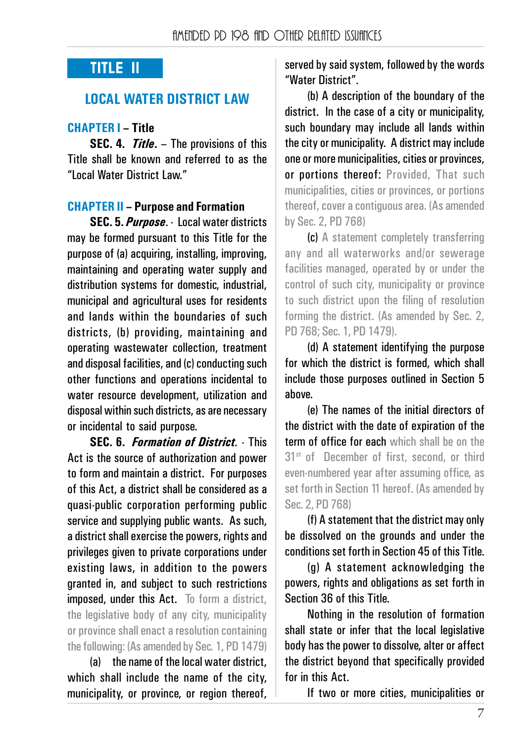## **TITLE II**

#### **LOCAL WATER DISTRICT LAW**

#### **CHAPTER I – Title**

**SEC. 4.** *Title*<sub>*.*</sub> – The provisions of this Title shall be known and referred to as the "Local Water District Law."

#### **CHAPTER II – Purpose and Formation**

**SEC. 5.** *Purpose*. - Local water districts may be formed pursuant to this Title for the purpose of (a) acquiring, installing, improving, maintaining and operating water supply and distribution systems for domestic, industrial, municipal and agricultural uses for residents and lands within the boundaries of such districts, (b) providing, maintaining and operating wastewater collection, treatment and disposal facilities, and (c) conducting such other functions and operations incidental to water resource development, utilization and disposal within such districts, as are necessary or incidental to said purpose.

**SEC. 6.** *Formation of District.* - This Act is the source of authorization and power to form and maintain a district. For purposes of this Act, a district shall be considered as a quasi-public corporation performing public service and supplying public wants. As such, a district shall exercise the powers, rights and privileges given to private corporations under existing laws, in addition to the powers granted in, and subject to such restrictions imposed, under this Act. To form a district, the legislative body of any city, municipality or province shall enact a resolution containing the following: (As amended by Sec. 1, PD 1479)

(a) the name of the local water district, which shall include the name of the city, municipality, or province, or region thereof, served by said system, followed by the words "Water District".

(b) A description of the boundary of the district. In the case of a city or municipality, such boundary may include all lands within the city or municipality. A district may include one or more municipalities, cities or provinces, or portions thereof: Provided, That such municipalities, cities or provinces, or portions thereof, cover a contiguous area. (As amended by Sec. 2, PD 768)

(c) A statement completely transferring any and all waterworks and/or sewerage facilities managed, operated by or under the control of such city, municipality or province to such district upon the filing of resolution forming the district. (As amended by Sec. 2, PD 768; Sec. 1, PD 1479).

(d) A statement identifying the purpose for which the district is formed, which shall include those purposes outlined in Section 5 above.

(e) The names of the initial directors of the district with the date of expiration of the term of office for each which shall be on the 31<sup>st</sup> of December of first, second, or third even-numbered year after assuming office, as set forth in Section 11 hereof. (As amended by Sec. 2, PD 768)

(f) A statement that the district may only be dissolved on the grounds and under the conditions set forth in Section 45 of this Title.

(g) A statement acknowledging the powers, rights and obligations as set forth in Section 36 of this Title.

Nothing in the resolution of formation shall state or infer that the local legislative body has the power to dissolve, alter or affect the district beyond that specifically provided for in this Act.

If two or more cities, municipalities or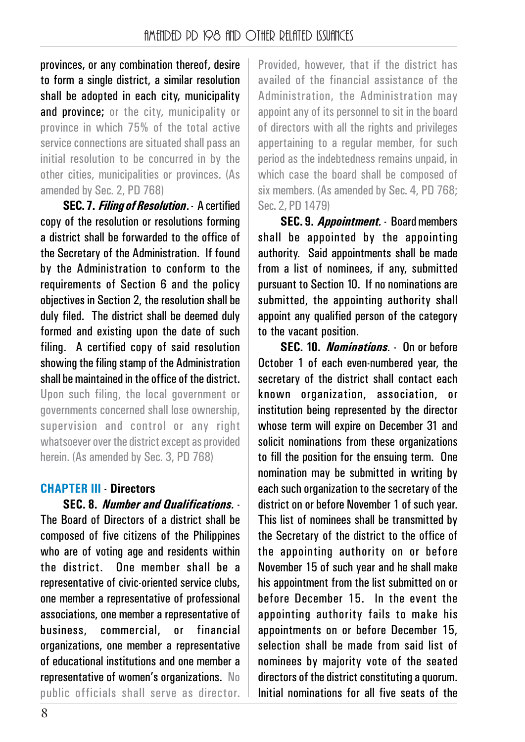provinces, or any combination thereof, desire to form a single district, a similar resolution shall be adopted in each city, municipality and province; or the city, municipality or province in which 75% of the total active service connections are situated shall pass an initial resolution to be concurred in by the other cities, municipalities or provinces. (As amended by Sec. 2, PD 768)

**SEC. 7.** *Filing of Resolution*. - A certified copy of the resolution or resolutions forming a district shall be forwarded to the office of the Secretary of the Administration. If found by the Administration to conform to the requirements of Section 6 and the policy objectives in Section 2, the resolution shall be duly filed. The district shall be deemed duly formed and existing upon the date of such filing. A certified copy of said resolution showing the filing stamp of the Administration shall be maintained in the office of the district. Upon such filing, the local government or

governments concerned shall lose ownership, supervision and control or any right whatsoever over the district except as provided herein. (As amended by Sec. 3, PD 768)

#### **CHAPTER III - Directors**

**SEC. 8.** *Number and Qualifications.* - The Board of Directors of a district shall be composed of five citizens of the Philippines who are of voting age and residents within the district. One member shall be a representative of civic-oriented service clubs, one member a representative of professional associations, one member a representative of business, commercial, or financial organizations, one member a representative of educational institutions and one member a representative of women's organizations. No public officials shall serve as director.

Provided, however, that if the district has availed of the financial assistance of the Administration, the Administration may appoint any of its personnel to sit in the board of directors with all the rights and privileges appertaining to a regular member, for such period as the indebtedness remains unpaid, in which case the board shall be composed of six members. (As amended by Sec. 4, PD 768; Sec. 2, PD 1479)

**SEC. 9.** *Appointment.* - Board members shall be appointed by the appointing authority. Said appointments shall be made from a list of nominees, if any, submitted pursuant to Section 10. If no nominations are submitted, the appointing authority shall appoint any qualified person of the category to the vacant position.

**SEC. 10.** *Nominations.* - On or before October 1 of each even-numbered year, the secretary of the district shall contact each known organization, association, or institution being represented by the director whose term will expire on December 31 and solicit nominations from these organizations to fill the position for the ensuing term. One nomination may be submitted in writing by each such organization to the secretary of the district on or before November 1 of such year. This list of nominees shall be transmitted by the Secretary of the district to the office of the appointing authority on or before November 15 of such year and he shall make his annointment from the list submitted on or before December 15. In the event the appointing authority fails to make his appointments on or before December 15, selection shall be made from said list of nominees by majority vote of the seated directors of the district constituting a quorum. Initial nominations for all five seats of the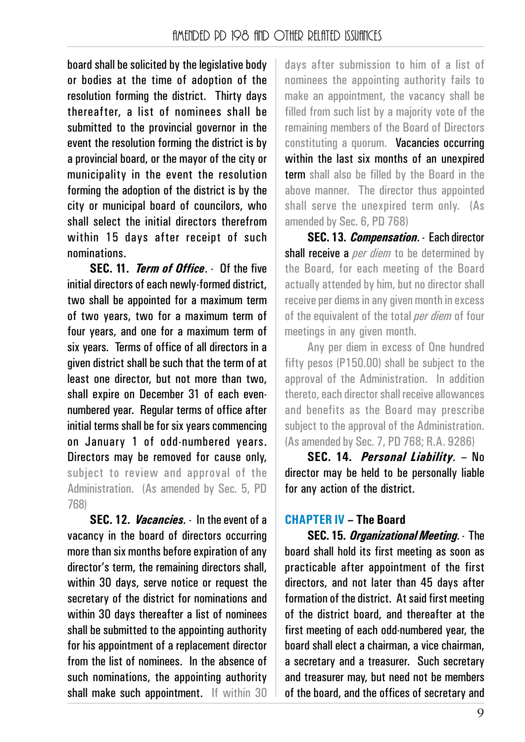board shall be solicited by the legislative body or bodies at the time of adoption of the resolution forming the district. Thirty days thereafter, a list of nominees shall be submitted to the provincial governor in the event the resolution forming the district is by a provincial board, or the mayor of the city or municipality in the event the resolution forming the adoption of the district is by the city or municipal board of councilors, who shall select the initial directors therefrom within 15 days after receipt of such nominations.

**SEC. 11.** *Term of Office*. - Of the five initial directors of each newly-formed district, two shall be appointed for a maximum term of two years, two for a maximum term of four years, and one for a maximum term of six years. Terms of office of all directors in a given district shall be such that the term of at least one director, but not more than two, shall expire on December 31 of each evennumbered year. Regular terms of office after initial terms shall be for six years commencing on January 1 of odd-numbered years. Directors may be removed for cause only, subject to review and approval of the Administration. (As amended by Sec. 5, PD 768)

**SEC. 12.** *Vacancies.* - In the event of a vacancy in the board of directors occurring more than six months before expiration of any director's term, the remaining directors shall, within 30 days, serve notice or request the secretary of the district for nominations and within 30 days thereafter a list of nominees shall be submitted to the appointing authority for his appointment of a replacement director from the list of nominees. In the absence of such nominations, the appointing authority shall make such appointment. If within 30

days after submission to him of a list of nominees the appointing authority fails to make an appointment, the vacancy shall be filled from such list by a majority vote of the remaining members of the Board of Directors constituting a quorum. Vacancies occurring within the last six months of an unexpired term shall also be filled by the Board in the above manner. The director thus appointed shall serve the unexpired term only. (As amended by Sec. 6, PD 768)

**SEC. 13.** *Compensation.* - Each director shall receive a *per diem* to be determined by the Board, for each meeting of the Board actually attended by him, but no director shall receive per diems in any given month in excess of the equivalent of the total *per diem* of four meetings in any given month.

Any per diem in excess of One hundred fifty pesos (P150.00) shall be subject to the approval of the Administration. In addition thereto, each director shall receive allowances and benefits as the Board may prescribe subject to the approval of the Administration. (As amended by Sec. 7, PD 768; R.A. 9286)

**SEC. 14.** *Personal Liability.* – No director may be held to be personally liable for any action of the district.

#### **CHAPTER IV – The Board**

**SEC. 15.** *Organizational Meeting.* - The board shall hold its first meeting as soon as practicable after appointment of the first directors, and not later than 45 days after formation of the district. At said first meeting of the district board, and thereafter at the first meeting of each odd-numbered year, the board shall elect a chairman, a vice chairman, a secretary and a treasurer. Such secretary and treasurer may, but need not be members of the board, and the offices of secretary and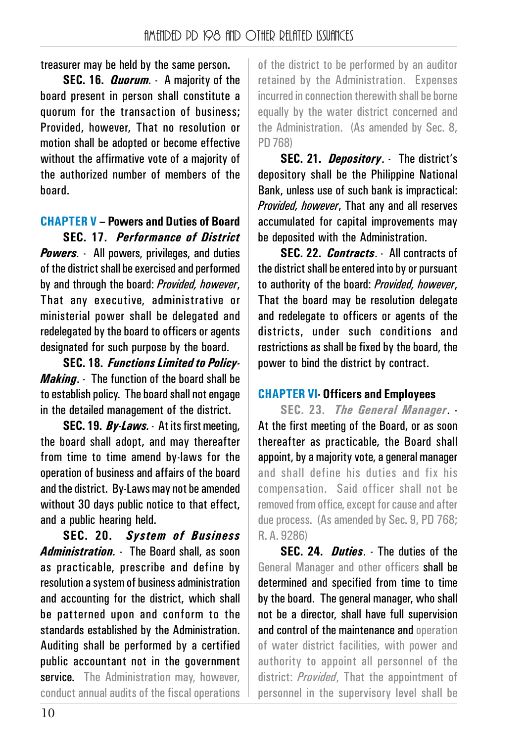treasurer may be held by the same person.

**SEC. 16.** *Quorum.* - A majority of the board present in person shall constitute a quorum for the transaction of business; Provided, however, That no resolution or motion shall be adopted or become effective without the affirmative vote of a majority of the authorized number of members of the board.

#### **CHAPTER V – Powers and Duties of Board**

**SEC. 17.** *Performance of District Powers.* - All powers, privileges, and duties of the district shall be exercised and performed by and through the board: *Provided, however*, That any executive, administrative or ministerial power shall be delegated and redelegated by the board to officers or agents designated for such purpose by the board.

**SEC. 18.** *Functions Limited to Policy-Making*. - The function of the board shall be to establish policy. The board shall not engage in the detailed management of the district.

**SEC. 19.** *By-Laws.* - At its first meeting, the board shall adopt, and may thereafter from time to time amend by-laws for the operation of business and affairs of the board and the district. By-Laws may not be amended without 30 days public notice to that effect, and a public hearing held.

**SEC. 20.** *System of Business Administration.* - The Board shall, as soon as practicable, prescribe and define by resolution a system of business administration and accounting for the district, which shall be patterned upon and conform to the standards established by the Administration. Auditing shall be performed by a certified public accountant not in the government service. The Administration may, however, conduct annual audits of the fiscal operations

of the district to be performed by an auditor retained by the Administration. Expenses incurred in connection therewith shall be borne equally by the water district concerned and the Administration. (As amended by Sec. 8, PD 768)

**SEC. 21.** *Depository*. - The district's depository shall be the Philippine National Bank, unless use of such bank is impractical: *Provided, however*, That any and all reserves accumulated for capital improvements may be deposited with the Administration.

**SEC. 22.** *Contracts*. - All contracts of the district shall be entered into by or pursuant to authority of the board: *Provided, however*, That the board may be resolution delegate and redelegate to officers or agents of the districts, under such conditions and restrictions as shall be fixed by the board, the power to bind the district by contract.

#### **CHAPTER VI- Officers and Employees**

**SEC. 23.** *The General Manager*. - At the first meeting of the Board, or as soon thereafter as practicable, the Board shall appoint, by a majority vote, a general manager and shall define his duties and fix his compensation. Said officer shall not be removed from office, except for cause and after due process. (As amended by Sec. 9, PD 768; R. A. 9286)

**SEC. 24.** *Duties*. - The duties of the General Manager and other officers shall be determined and specified from time to time by the board. The general manager, who shall not be a director, shall have full supervision and control of the maintenance and operation of water district facilities, with power and authority to appoint all personnel of the district: *Provided*, That the appointment of personnel in the supervisory level shall be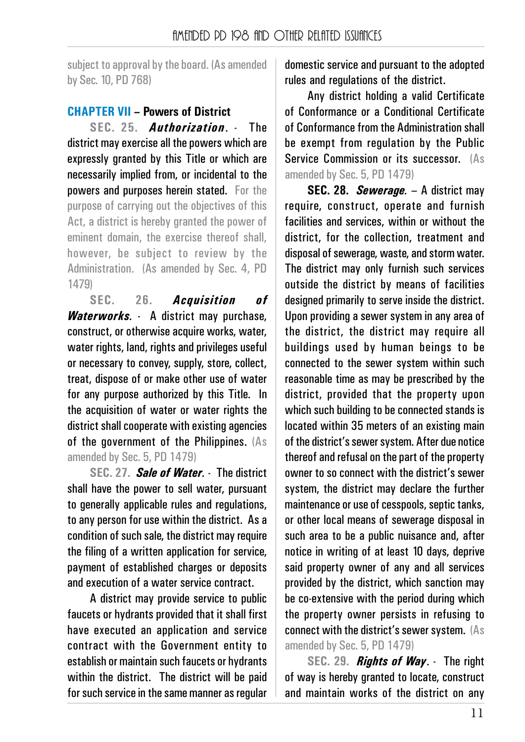subject to approval by the board. (As amended by Sec. 10, PD 768)

## **CHAPTER VII – Powers of District**

**SEC. 25.** *Authorization*. - The district may exercise all the powers which are expressly granted by this Title or which are necessarily implied from, or incidental to the powers and purposes herein stated. For the purpose of carrying out the objectives of this Act, a district is hereby granted the power of eminent domain, the exercise thereof shall, however, be subject to review by the Administration. (As amended by Sec. 4, PD 1479)

**SEC. 26.** *Acquisition of Waterworks.* - A district may purchase, construct, or otherwise acquire works, water, water rights, land, rights and privileges useful or necessary to convey, supply, store, collect, treat, dispose of or make other use of water for any purpose authorized by this Title. In the acquisition of water or water rights the district shall cooperate with existing agencies of the government of the Philippines. (As amended by Sec. 5, PD 1479)

**SEC. 27.** *Sale of Water.* - The district shall have the power to sell water, pursuant to generally applicable rules and regulations, to any person for use within the district. As a condition of such sale, the district may require the filing of a written application for service, payment of established charges or deposits and execution of a water service contract.

A district may provide service to public faucets or hydrants provided that it shall first have executed an application and service contract with the Government entity to establish or maintain such faucets or hydrants within the district. The district will be paid for such service in the same manner as regular

domestic service and pursuant to the adopted rules and regulations of the district.

Any district holding a valid Certificate of Conformance or a Conditional Certificate of Conformance from the Administration shall be exempt from regulation by the Public Service Commission or its successor. (As amended by Sec. 5, PD 1479)

**SEC. 28.** *Sewerage.* – A district may require, construct, operate and furnish facilities and services, within or without the district, for the collection, treatment and disposal of sewerage, waste, and storm water. The district may only furnish such services outside the district by means of facilities designed primarily to serve inside the district. Upon providing a sewer system in any area of the district, the district may require all buildings used by human beings to be connected to the sewer system within such reasonable time as may be prescribed by the district, provided that the property upon which such building to be connected stands is located within 35 meters of an existing main of the district's sewer system. After due notice thereof and refusal on the part of the property owner to so connect with the district's sewer system, the district may declare the further maintenance or use of cesspools, septic tanks, or other local means of sewerage disposal in such area to be a public nuisance and, after notice in writing of at least 10 days, deprive said property owner of any and all services provided by the district, which sanction may be co-extensive with the period during which the property owner persists in refusing to connect with the district's sewer system. (As amended by Sec. 5, PD 1479)

**SEC. 29.** *Rights of Way*. - The right of way is hereby granted to locate, construct and maintain works of the district on any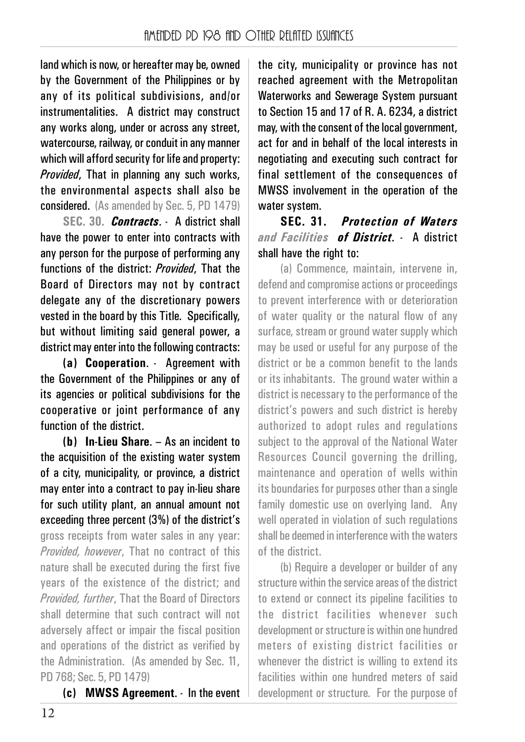land which is now, or hereafter may be, owned by the Government of the Philippines or by any of its political subdivisions, and/or instrumentalities. A district may construct any works along, under or across any street, watercourse, railway, or conduit in any manner which will afford security for life and property: *Provided*, That in planning any such works, the environmental aspects shall also be considered. (As amended by Sec. 5, PD 1479)

**SEC. 30.** *Contracts*. - A district shall have the power to enter into contracts with any person for the purpose of performing any functions of the district: *Provided*, That the Board of Directors may not by contract delegate any of the discretionary powers vested in the board by this Title. Specifically, but without limiting said general power, a district may enter into the following contracts:

**(a) Cooperation**. - Agreement with the Government of the Philippines or any of its agencies or political subdivisions for the cooperative or joint performance of any function of the district.

**(b) In-Lieu Share**. – As an incident to the acquisition of the existing water system of a city, municipality, or province, a district may enter into a contract to pay in-lieu share for such utility plant, an annual amount not exceeding three percent (3%) of the district's gross receipts from water sales in any year: *Provided, however*, That no contract of this nature shall be executed during the first five years of the existence of the district; and *Provided, further*, That the Board of Directors shall determine that such contract will not adversely affect or impair the fiscal position and operations of the district as verified by the Administration. (As amended by Sec. 11, PD 768; Sec. 5, PD 1479)

**(c) MWSS Agreement**. - In the event

the city, municipality or province has not reached agreement with the Metropolitan Waterworks and Sewerage System pursuant to Section 15 and 17 of R. A. 6234, a district may, with the consent of the local government, act for and in behalf of the local interests in negotiating and executing such contract for final settlement of the consequences of MWSS involvement in the operation of the water system.

**SEC. 31.** *Protection of Waters and Facilities of District.* - A district shall have the right to:

(a) Commence, maintain, intervene in, defend and compromise actions or proceedings to prevent interference with or deterioration of water quality or the natural flow of any surface, stream or ground water supply which may be used or useful for any purpose of the district or be a common benefit to the lands or its inhabitants. The ground water within a district is necessary to the performance of the district's powers and such district is hereby authorized to adopt rules and regulations subject to the approval of the National Water Resources Council governing the drilling, maintenance and operation of wells within its boundaries for purposes other than a single family domestic use on overlying land. Any well operated in violation of such regulations shall be deemed in interference with the waters of the district.

(b) Require a developer or builder of any structure within the service areas of the district to extend or connect its pipeline facilities to the district facilities whenever such development or structure is within one hundred meters of existing district facilities or whenever the district is willing to extend its facilities within one hundred meters of said development or structure. For the purpose of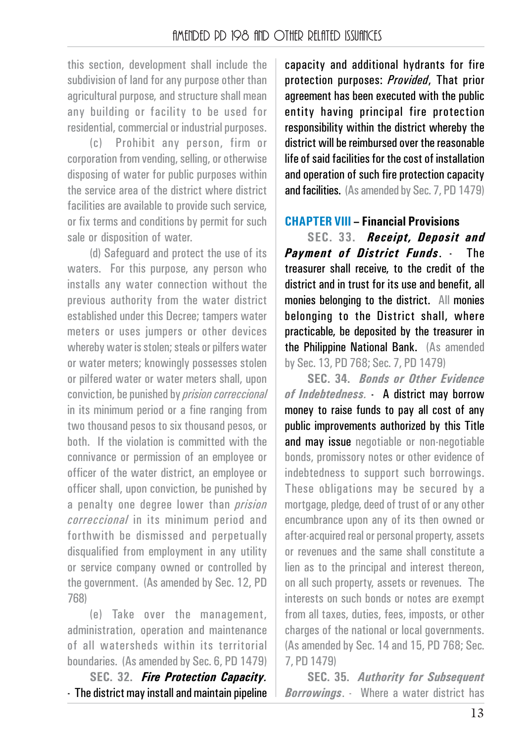this section, development shall include the subdivision of land for any purpose other than agricultural purpose, and structure shall mean any building or facility to be used for residential, commercial or industrial purposes.

(c) Prohibit any person, firm or corporation from vending, selling, or otherwise disposing of water for public purposes within the service area of the district where district facilities are available to provide such service. or fix terms and conditions by permit for such sale or disposition of water.

(d) Safeguard and protect the use of its waters. For this purpose, any person who installs any water connection without the previous authority from the water district established under this Decree; tampers water meters or uses jumpers or other devices whereby water is stolen; steals or pilfers water or water meters; knowingly possesses stolen or pilfered water or water meters shall, upon conviction, be punished by *prision correccional* in its minimum period or a fine ranging from two thousand pesos to six thousand pesos, or both. If the violation is committed with the connivance or permission of an employee or officer of the water district, an employee or officer shall, upon conviction, be punished by a penalty one degree lower than *prision correccional* in its minimum period and forthwith be dismissed and perpetually disqualified from employment in any utility or service company owned or controlled by the government. (As amended by Sec. 12, PD 768)

(e) Take over the management, administration, operation and maintenance of all watersheds within its territorial boundaries. (As amended by Sec. 6, PD 1479)

**SEC. 32.** *Fire Protection Capacity.* - The district may install and maintain pipeline capacity and additional hydrants for fire protection purposes: *Provided*, That prior agreement has been executed with the public entity having principal fire protection responsibility within the district whereby the district will be reimbursed over the reasonable life of said facilities for the cost of installation and operation of such fire protection capacity and facilities. (As amended by Sec. 7, PD 1479)

#### **CHAPTER VIII – Financial Provisions**

**SEC. 33.** *Receipt, Deposit and Payment of District Funds*. - The treasurer shall receive, to the credit of the district and in trust for its use and benefit, all monies belonging to the district. All monies belonging to the District shall, where practicable, be deposited by the treasurer in the Philippine National Bank. (As amended by Sec. 13, PD 768; Sec. 7, PD 1479)

**SEC. 34.** *Bonds or Other Evidence of Indebtedness.* - A district may borrow money to raise funds to pay all cost of any public improvements authorized by this Title and may issue negotiable or non-negotiable bonds, promissory notes or other evidence of indebtedness to support such borrowings. These obligations may be secured by a mortgage, pledge, deed of trust of or any other encumbrance upon any of its then owned or after-acquired real or personal property, assets or revenues and the same shall constitute a lien as to the principal and interest thereon, on all such property, assets or revenues. The interests on such bonds or notes are exempt from all taxes, duties, fees, imposts, or other charges of the national or local governments. (As amended by Sec. 14 and 15, PD 768; Sec. 7, PD 1479)

**SEC. 35.** *Authority for Subsequent Borrowings*. - Where a water district has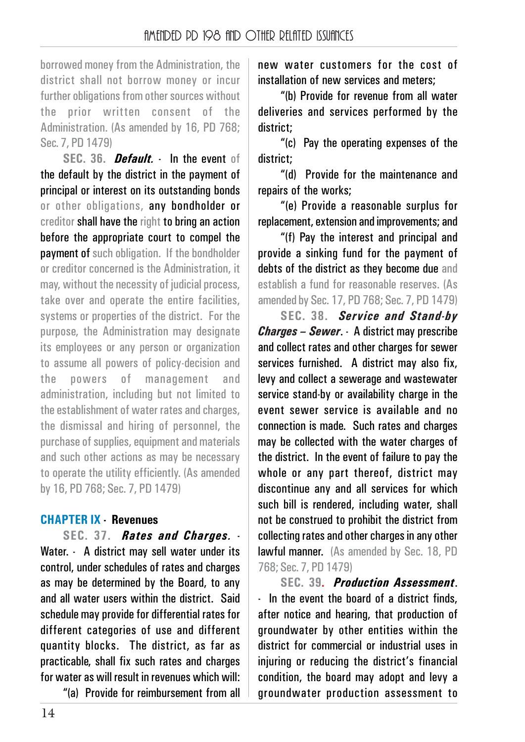borrowed money from the Administration, the district shall not borrow money or incur further obligations from other sources without the prior written consent of the Administration. (As amended by 16, PD 768; Sec. 7, PD 1479)

**SEC. 36.** *Default.* - In the event of the default by the district in the payment of principal or interest on its outstanding bonds or other obligations, any bondholder or creditor shall have the right to bring an action before the appropriate court to compel the **nayment of** such obligation. If the bondholder or creditor concerned is the Administration, it may, without the necessity of judicial process, take over and operate the entire facilities, systems or properties of the district. For the purpose, the Administration may designate its employees or any person or organization to assume all powers of policy-decision and the powers of management and administration, including but not limited to the establishment of water rates and charges, the dismissal and hiring of personnel, the purchase of supplies, equipment and materials and such other actions as may be necessary to operate the utility efficiently. (As amended by 16, PD 768; Sec. 7, PD 1479)

#### **CHAPTER IX - Revenues**

**SEC. 37.** *Rates and Charges.* - Water. - A district may sell water under its control, under schedules of rates and charges as may be determined by the Board, to any and all water users within the district. Said schedule may provide for differential rates for different categories of use and different quantity blocks. The district, as far as practicable, shall fix such rates and charges for water as will result in revenues which will:

"(a) Provide for reimbursement from all

new water customers for the cost of installation of new services and meters;

"(b) Provide for revenue from all water deliveries and services performed by the district;

"(c) Pay the operating expenses of the district;

"(d) Provide for the maintenance and repairs of the works;

"(e) Provide a reasonable surplus for replacement, extension and improvements; and

"(f) Pay the interest and principal and provide a sinking fund for the payment of debts of the district as they become due and establish a fund for reasonable reserves. (As amended by Sec. 17, PD 768; Sec. 7, PD 1479)

**SEC. 38.** *Service and Stand-by Charges – Sewer*. - A district may prescribe and collect rates and other charges for sewer services furnished. A district may also fix, levy and collect a sewerage and wastewater service stand-by or availability charge in the event sewer service is available and no connection is made. Such rates and charges may be collected with the water charges of the district. In the event of failure to pay the whole or any part thereof, district may discontinue any and all services for which such bill is rendered, including water, shall not be construed to prohibit the district from collecting rates and other charges in any other lawful manner. (As amended by Sec. 18, PD 768; Sec. 7, PD 1479)

**SEC. 39.** *Production Assessment*. - In the event the board of a district finds, after notice and hearing, that production of groundwater by other entities within the district for commercial or industrial uses in injuring or reducing the district's financial condition, the board may adopt and levy a groundwater production assessment to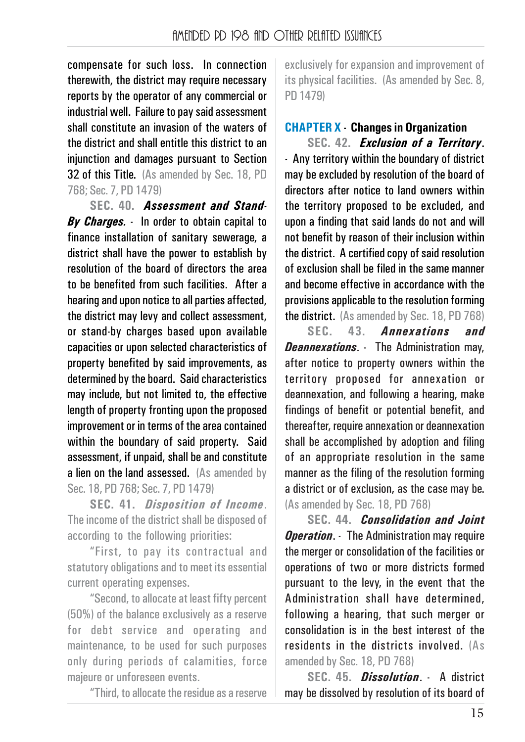compensate for such loss. In connection therewith, the district may require necessary reports by the operator of any commercial or industrial well. Failure to pay said assessment shall constitute an invasion of the waters of the district and shall entitle this district to an injunction and damages pursuant to Section 32 of this Title. (As amended by Sec. 18, PD 768; Sec. 7, PD 1479)

**SEC. 40.** *Assessment and Stand-By Charges.* - In order to obtain capital to finance installation of sanitary sewerage, a district shall have the power to establish by resolution of the board of directors the area to be benefited from such facilities. After a hearing and upon notice to all parties affected, the district may levy and collect assessment, or stand-by charges based upon available capacities or upon selected characteristics of property benefited by said improvements, as determined by the board. Said characteristics may include, but not limited to, the effective length of property fronting upon the proposed improvement or in terms of the area contained within the boundary of said property. Said assessment, if unpaid, shall be and constitute a lien on the land assessed. (As amended by Sec. 18, PD 768; Sec. 7, PD 1479)

**SEC. 41.** *Disposition of Income*. The income of the district shall be disposed of according to the following priorities:

"First, to pay its contractual and statutory obligations and to meet its essential current operating expenses.

"Second, to allocate at least fifty percent (50%) of the balance exclusively as a reserve for debt service and operating and maintenance, to be used for such purposes only during periods of calamities, force majeure or unforeseen events.

"Third, to allocate the residue as a reserve

exclusively for expansion and improvement of its physical facilities. (As amended by Sec. 8, PD 1479)

#### **CHAPTER X - Changes in Organization**

**SEC. 42.** *Exclusion of a Territory*. - Any territory within the boundary of district may be excluded by resolution of the board of directors after notice to land owners within the territory proposed to be excluded, and upon a finding that said lands do not and will not benefit by reason of their inclusion within the district. A certified copy of said resolution of exclusion shall be filed in the same manner and become effective in accordance with the provisions applicable to the resolution forming the district. (As amended by Sec. 18, PD 768)

**SEC. 43.** *Annexations and Deannexations*. - The Administration may, after notice to property owners within the territory proposed for annexation or deannexation, and following a hearing, make findings of benefit or potential benefit, and thereafter, require annexation or deannexation shall be accomplished by adoption and filing of an appropriate resolution in the same manner as the filing of the resolution forming a district or of exclusion, as the case may be. (As amended by Sec. 18, PD 768)

**SEC. 44.** *Consolidation and Joint Operation.* The Administration may require the merger or consolidation of the facilities or operations of two or more districts formed pursuant to the levy, in the event that the Administration shall have determined, following a hearing, that such merger or consolidation is in the best interest of the residents in the districts involved. (As amended by Sec. 18, PD 768)

**SEC. 45.** *Dissolution*. - A district may be dissolved by resolution of its board of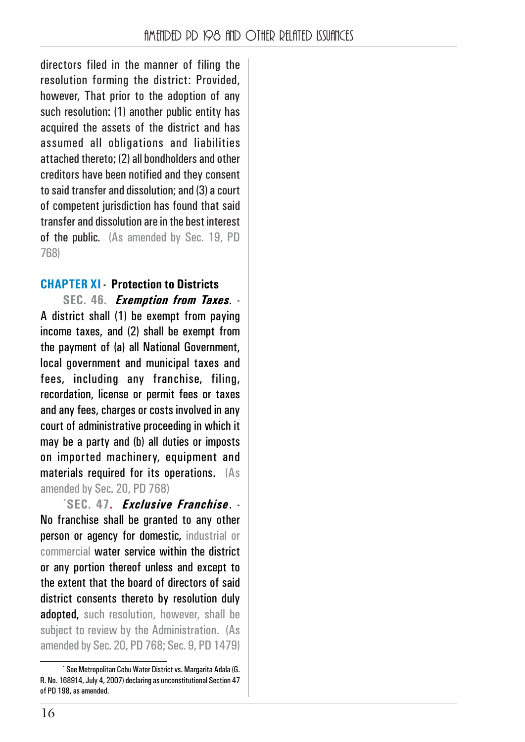directors filed in the manner of filing the resolution forming the district: Provided, however. That prior to the adoption of any such resolution: (1) another public entity has acquired the assets of the district and has assumed all obligations and liabilities attached thereto; (2) all bondholders and other creditors have been notified and they consent to said transfer and dissolution; and (3) a court of competent jurisdiction has found that said transfer and dissolution are in the best interest of the public. (As amended by Sec. 19, PD 768)

#### **CHAPTER XI - Protection to Districts**

**SEC. 46.** *Exemption from Taxes.* - A district shall (1) be exempt from paying income taxes, and (2) shall be exempt from the payment of (a) all National Government, local government and municipal taxes and fees, including any franchise, filing, recordation, license or permit fees or taxes and any fees, charges or costs involved in any court of administrative proceeding in which it may be a party and (b) all duties or imposts on imported machinery, equipment and materials required for its operations. (As amended by Sec. 20, PD 768)

**\* SEC. 47.** *Exclusive Franchise*. - No franchise shall be granted to any other person or agency for domestic, industrial or commercial water service within the district or any portion thereof unless and except to the extent that the board of directors of said district consents thereto by resolution duly adopted, such resolution, however, shall be subject to review by the Administration. (As amended by Sec. 20, PD 768; Sec. 9, PD 1479)

<sup>\*</sup> See Metropolitan Cebu Water District vs. Margarita Adala (G. R. No. 168914, July 4, 2007) declaring as unconstitutional Section 47 of PD 198, as amended.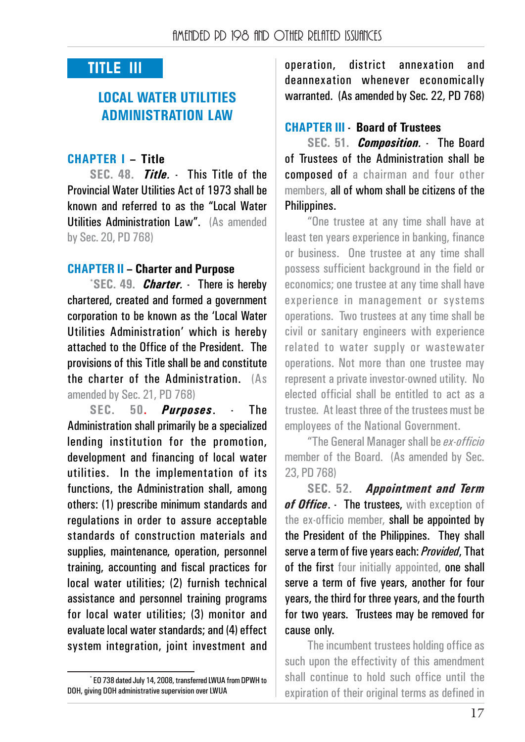## **TITLE III**

## **LOCAL WATER UTILITIES ADMINISTRATION LAW**

#### **CHAPTER I – Title**

**SEC. 48.** *Title.* - This Title of the Provincial Water Utilities Act of 1973 shall be known and referred to as the "Local Water Utilities Administration Law". (As amended by Sec. 20, PD 768)

#### **CHAPTER II – Charter and Purpose**

**\* SEC. 49.** *Charter.* - There is hereby chartered, created and formed a government corporation to be known as the 'Local Water Utilities Administration' which is hereby attached to the Office of the President. The provisions of this Title shall be and constitute the charter of the Administration. (As amended by Sec. 21, PD 768)

**SEC. 50.** *Purposes*. - The Administration shall primarily be a specialized lending institution for the promotion, development and financing of local water utilities. In the implementation of its functions, the Administration shall, among others: (1) prescribe minimum standards and regulations in order to assure acceptable standards of construction materials and supplies, maintenance, operation, personnel training, accounting and fiscal practices for local water utilities; (2) furnish technical assistance and personnel training programs for local water utilities; (3) monitor and evaluate local water standards; and (4) effect system integration, joint investment and operation, district annexation and deannexation whenever economically warranted. (As amended by Sec. 22, PD 768)

#### **CHAPTER III - Board of Trustees**

**SEC. 51.** *Composition.* - The Board of Trustees of the Administration shall be composed of a chairman and four other members, all of whom shall be citizens of the Philippines.

"One trustee at any time shall have at least ten years experience in banking, finance or business. One trustee at any time shall possess sufficient background in the field or economics; one trustee at any time shall have experience in management or systems operations. Two trustees at any time shall be civil or sanitary engineers with experience related to water supply or wastewater operations. Not more than one trustee may represent a private investor-owned utility. No elected official shall be entitled to act as a trustee. At least three of the trustees must be employees of the National Government.

"The General Manager shall be *ex-officio* member of the Board. (As amended by Sec. 23, PD 768)

**SEC. 52.** *Appointment and Term* of Office. - The trustees, with exception of the ex-officio member, shall be appointed by the President of the Philippines. They shall serve a term of five years each: *Provided*, That of the first four initially appointed, one shall serve a term of five years, another for four years, the third for three years, and the fourth for two years. Trustees may be removed for cause only.

The incumbent trustees holding office as such upon the effectivity of this amendment shall continue to hold such office until the expiration of their original terms as defined in

<sup>\*</sup> EO 738 dated July 14, 2008, transferred LWUA from DPWH to DOH, giving DOH administrative supervision over LWUA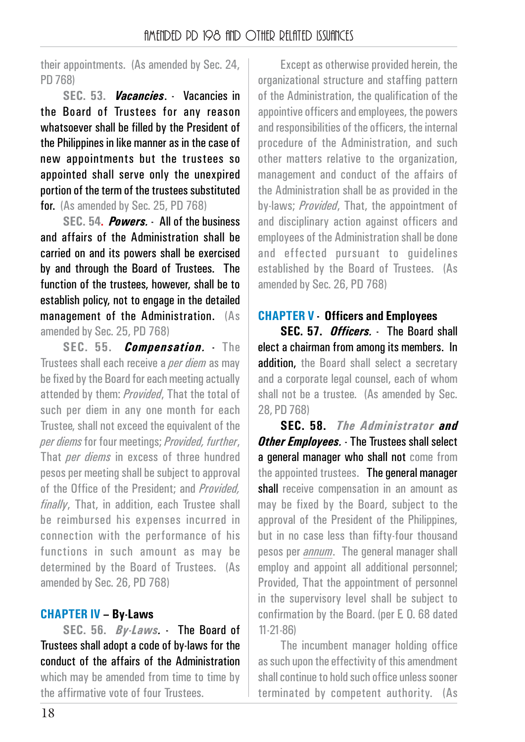their appointments. (As amended by Sec. 24, PD 768)

**SEC. 53.** *Vacancies*. - Vacancies in the Board of Trustees for any reason whatsoever shall be filled by the President of the Philippines in like manner as in the case of new appointments but the trustees so appointed shall serve only the unexpired portion of the term of the trustees substituted for. (As amended by Sec. 25, PD 768)

**SEC. 54.** *Powers.* - All of the business and affairs of the Administration shall be carried on and its powers shall be exercised by and through the Board of Trustees. The function of the trustees, however, shall be to establish policy, not to engage in the detailed management of the Administration. (As amended by Sec. 25, PD 768)

**SEC. 55.** *Compensation.* - The Trustees shall each receive a *per diem* as may be fixed by the Board for each meeting actually attended by them: *Provided*, That the total of such per diem in any one month for each Trustee, shall not exceed the equivalent of the *per diems* for four meetings; *Provided, further*, That *per diems* in excess of three hundred pesos per meeting shall be subject to approval of the Office of the President; and *Provided, finally*, That, in addition, each Trustee shall be reimbursed his expenses incurred in connection with the performance of his functions in such amount as may be determined by the Board of Trustees. (As amended by Sec. 26, PD 768)

#### **CHAPTER IV – By-Laws**

**SEC. 56.** *By-Laws.* - The Board of Trustees shall adopt a code of by-laws for the conduct of the affairs of the Administration which may be amended from time to time by the affirmative vote of four Trustees.

Except as otherwise provided herein, the organizational structure and staffing pattern of the Administration, the qualification of the appointive officers and employees, the powers and responsibilities of the officers, the internal procedure of the Administration, and such other matters relative to the organization, management and conduct of the affairs of the Administration shall be as provided in the by-laws; *Provided*, That, the appointment of and disciplinary action against officers and employees of the Administration shall be done and effected pursuant to guidelines established by the Board of Trustees. (As amended by Sec. 26, PD 768)

## **CHAPTER V - Officers and Employees**

**SEC. 57.** *Officers.* - The Board shall elect a chairman from among its members. In addition, the Board shall select a secretary and a corporate legal counsel, each of whom shall not be a trustee. (As amended by Sec. 28, PD 768)

**SEC. 58.** *The Administrator and Other Employees.* - The Trustees shall select a general manager who shall not come from the appointed trustees. The general manager shall receive compensation in an amount as may be fixed by the Board, subject to the approval of the President of the Philippines, but in no case less than fifty-four thousand pesos per *annum*. The general manager shall employ and appoint all additional personnel; Provided, That the appointment of personnel in the supervisory level shall be subject to confirmation by the Board. (per E. O. 68 dated 11-21-86)

The incumbent manager holding office as such upon the effectivity of this amendment shall continue to hold such office unless sooner terminated by competent authority. (As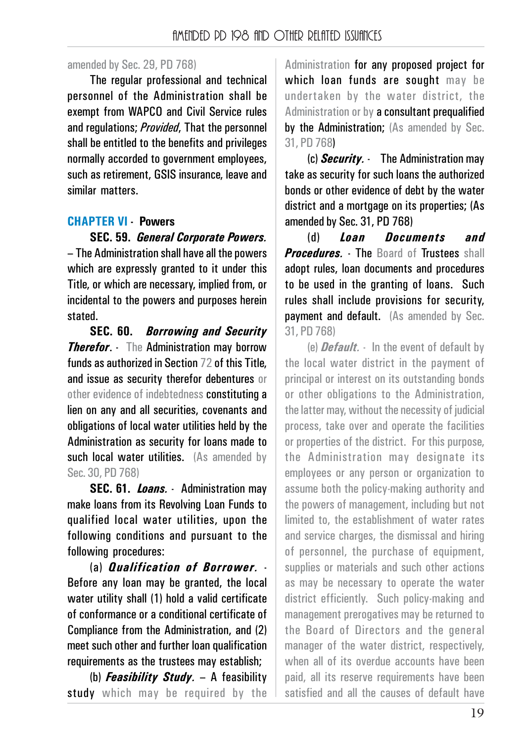#### amended by Sec. 29, PD 768)

The regular professional and technical personnel of the Administration shall be exempt from WAPCO and Civil Service rules and regulations; *Provided*, That the personnel shall be entitled to the benefits and privileges normally accorded to government employees, such as retirement, GSIS insurance, leave and similar matters.

#### **CHAPTER VI - Powers**

**SEC. 59.** *General Corporate Powers.* – The Administration shall have all the powers which are expressly granted to it under this Title, or which are necessary, implied from, or incidental to the powers and purposes herein stated.

**SEC. 60.** *Borrowing and Security Therefor.* The Administration may borrow funds as authorized in Section 72 of this Title, and issue as security therefor debentures or other evidence of indebtedness constituting a lien on any and all securities, covenants and obligations of local water utilities held by the Administration as security for loans made to such local water utilities. (As amended by Sec. 30, PD 768)

**SEC. 61.** *Loans.* - Administration may make loans from its Revolving Loan Funds to qualified local water utilities, upon the following conditions and pursuant to the following procedures:

(a) *Qualification of Borrower.* - Before any loan may be granted, the local water utility shall (1) hold a valid certificate of conformance or a conditional certificate of Compliance from the Administration, and (2) meet such other and further loan qualification requirements as the trustees may establish;

(b) *Feasibility Study.* – A feasibility study which may be required by the Administration for any proposed project for which loan funds are sought may be undertaken by the water district, the Administration or by a consultant prequalified by the Administration; (As amended by Sec. 31, PD 768)

(c) *Security.* - The Administration may take as security for such loans the authorized bonds or other evidence of debt by the water district and a mortgage on its properties; (As amended by Sec. 31, PD 768)

(d) *Loan Documents and Procedures* - The Board of Trustees shall adopt rules, loan documents and procedures to be used in the granting of loans. Such rules shall include provisions for security, payment and default. (As amended by Sec. 31, PD 768)

(e) *Default.* - In the event of default by the local water district in the payment of principal or interest on its outstanding bonds or other obligations to the Administration, the latter may, without the necessity of judicial process, take over and operate the facilities or properties of the district. For this purpose, the Administration may designate its employees or any person or organization to assume both the policy-making authority and the powers of management, including but not limited to, the establishment of water rates and service charges, the dismissal and hiring of personnel, the purchase of equipment, supplies or materials and such other actions as may be necessary to operate the water district efficiently. Such policy-making and management prerogatives may be returned to the Board of Directors and the general manager of the water district, respectively, when all of its overdue accounts have been paid, all its reserve requirements have been satisfied and all the causes of default have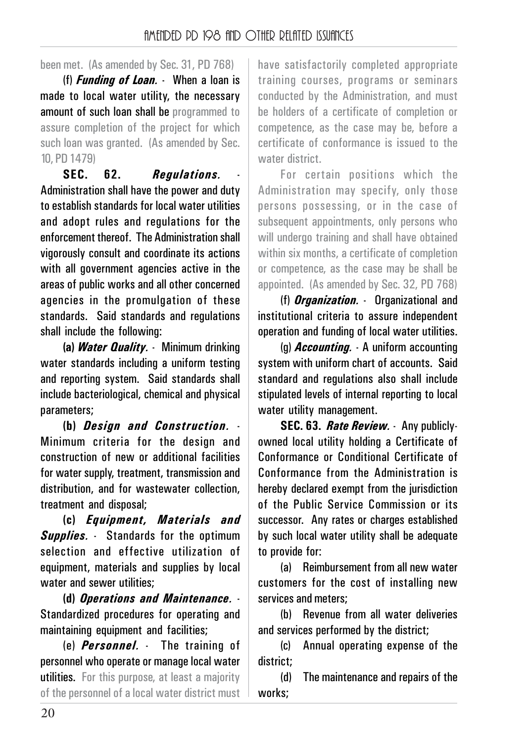been met. (As amended by Sec. 31, PD 768)

(f) *Funding of Loan.* - When a loan is made to local water utility, the necessary amount of such loan shall be programmed to assure completion of the project for which such loan was granted. (As amended by Sec. 10, PD 1479)

**SEC. 62.** *Regulations.* - Administration shall have the power and duty to establish standards for local water utilities and adopt rules and regulations for the enforcement thereof. The Administration shall vigorously consult and coordinate its actions with all government agencies active in the areas of public works and all other concerned agencies in the promulgation of these standards. Said standards and regulations shall include the following:

**(a)** *Water Quality.* - Minimum drinking water standards including a uniform testing and reporting system. Said standards shall include bacteriological, chemical and physical parameters;

**(b)** *Design and Construction.* - Minimum criteria for the design and construction of new or additional facilities for water supply, treatment, transmission and distribution, and for wastewater collection, treatment and disposal;

**(c)** *Equipment, Materials and Supplies.* - Standards for the optimum selection and effective utilization of equipment, materials and supplies by local water and sewer utilities:

**(d)** *Operations and Maintenance.* - Standardized procedures for operating and maintaining equipment and facilities;

(e) *Personnel.* - The training of personnel who operate or manage local water utilities. For this purpose, at least a majority of the personnel of a local water district must have satisfactorily completed appropriate training courses, programs or seminars conducted by the Administration, and must be holders of a certificate of completion or competence, as the case may be, before a certificate of conformance is issued to the water district.

For certain positions which the Administration may specify, only those persons possessing, or in the case of subsequent appointments, only persons who will undergo training and shall have obtained within six months, a certificate of completion or competence, as the case may be shall be appointed. (As amended by Sec. 32, PD 768)

(f) *Organization.* - Organizational and institutional criteria to assure independent operation and funding of local water utilities.

(g) *Accounting.* - A uniform accounting system with uniform chart of accounts. Said standard and regulations also shall include stipulated levels of internal reporting to local water utility management.

**SEC. 63.** *Rate Review.* - Any publiclyowned local utility holding a Certificate of Conformance or Conditional Certificate of Conformance from the Administration is hereby declared exempt from the jurisdiction of the Public Service Commission or its successor. Any rates or charges established by such local water utility shall be adequate to provide for:

(a) Reimbursement from all new water customers for the cost of installing new services and meters;

(b) Revenue from all water deliveries and services performed by the district;

(c) Annual operating expense of the district;

(d) The maintenance and repairs of the works;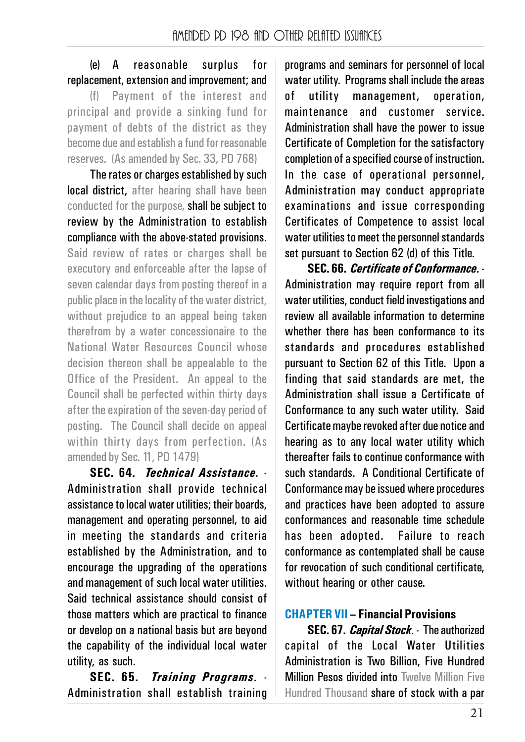## (e) A reasonable surplus for replacement, extension and improvement; and

(f) Payment of the interest and principal and provide a sinking fund for payment of debts of the district as they become due and establish a fund for reasonable reserves. (As amended by Sec. 33, PD 768)

The rates or charges established by such local district, after hearing shall have been conducted for the purpose, shall be subject to review by the Administration to establish compliance with the above-stated provisions. Said review of rates or charges shall be executory and enforceable after the lapse of seven calendar days from posting thereof in a public place in the locality of the water district, without prejudice to an appeal being taken therefrom by a water concessionaire to the National Water Resources Council whose decision thereon shall be appealable to the Office of the President. An appeal to the Council shall be perfected within thirty days after the expiration of the seven-day period of posting. The Council shall decide on appeal within thirty days from perfection. (As amended by Sec. 11, PD 1479)

**SEC. 64.** *Technical Assistance.* - Administration shall provide technical assistance to local water utilities; their boards, management and operating personnel, to aid in meeting the standards and criteria established by the Administration, and to encourage the upgrading of the operations and management of such local water utilities. Said technical assistance should consist of those matters which are practical to finance or develop on a national basis but are beyond the capability of the individual local water utility, as such.

**SEC. 65.** *Training Programs.* - Administration shall establish training

programs and seminars for personnel of local water utility. Programs shall include the areas of utility management, operation, maintenance and customer service. Administration shall have the power to issue Certificate of Completion for the satisfactory completion of a specified course of instruction. In the case of operational personnel, Administration may conduct appropriate examinations and issue corresponding Certificates of Competence to assist local water utilities to meet the personnel standards set pursuant to Section 62 (d) of this Title.

**SEC. 66.** *Certificate of Conformance.* - Administration may require report from all water utilities, conduct field investigations and review all available information to determine whether there has been conformance to its standards and procedures established pursuant to Section 62 of this Title. Upon a finding that said standards are met, the Administration shall issue a Certificate of Conformance to any such water utility. Said Certificate maybe revoked after due notice and hearing as to any local water utility which thereafter fails to continue conformance with such standards. A Conditional Certificate of Conformance may be issued where procedures and practices have been adopted to assure conformances and reasonable time schedule has been adopted. Failure to reach conformance as contemplated shall be cause for revocation of such conditional certificate, without hearing or other cause.

# **CHAPTER VII – Financial Provisions**

**SEC. 67.** *Capital Stock.* - The authorized capital of the Local Water Utilities Administration is Two Billion, Five Hundred Million Pesos divided into Twelve Million Five Hundred Thousand share of stock with a par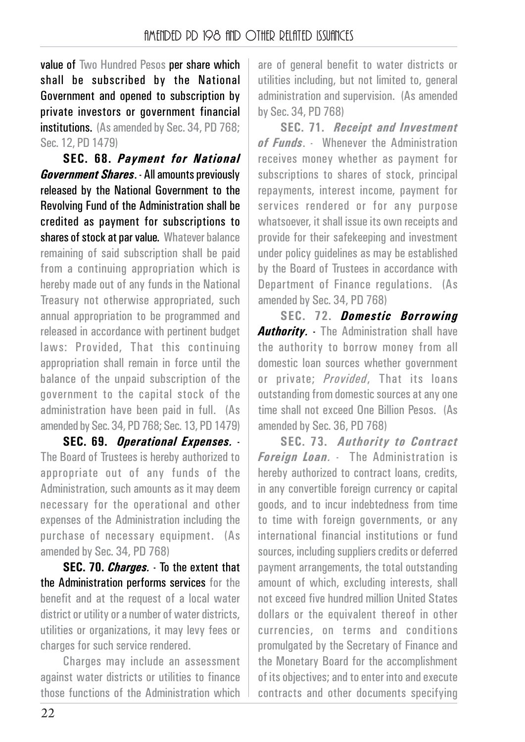value of Two Hundred Pesos per share which shall be subscribed by the National Government and opened to subscription by private investors or government financial institutions. (As amended by Sec. 34, PD 768; Sec. 12, PD 1479)

**SEC. 68.** *Payment for National Government Shares*. - All amounts previously released by the National Government to the Revolving Fund of the Administration shall be credited as payment for subscriptions to shares of stock at par value. Whatever balance remaining of said subscription shall be paid from a continuing appropriation which is hereby made out of any funds in the National Treasury not otherwise appropriated, such annual appropriation to be programmed and released in accordance with pertinent budget laws: Provided, That this continuing appropriation shall remain in force until the balance of the unpaid subscription of the government to the capital stock of the administration have been paid in full. (As amended by Sec. 34, PD 768; Sec. 13, PD 1479)

**SEC. 69.** *Operational Expenses.* - The Board of Trustees is hereby authorized to appropriate out of any funds of the Administration, such amounts as it may deem necessary for the operational and other expenses of the Administration including the purchase of necessary equipment. (As amended by Sec. 34, PD 768)

**SEC. 70.** *Charges.* - To the extent that the Administration performs services for the benefit and at the request of a local water district or utility or a number of water districts, utilities or organizations, it may levy fees or charges for such service rendered.

Charges may include an assessment against water districts or utilities to finance those functions of the Administration which

are of general benefit to water districts or utilities including, but not limited to, general administration and supervision. (As amended by Sec. 34, PD 768)

**SEC. 71.** *Receipt and Investment of Funds*. - Whenever the Administration receives money whether as payment for subscriptions to shares of stock, principal repayments, interest income, payment for services rendered or for any purpose whatsoever, it shall issue its own receipts and provide for their safekeeping and investment under policy guidelines as may be established by the Board of Trustees in accordance with Department of Finance regulations. (As amended by Sec. 34, PD 768)

**SEC. 72.** *Domestic Borrowing Authority.* - The Administration shall have the authority to borrow money from all domestic loan sources whether government or private; *Provided*, That its loans outstanding from domestic sources at any one time shall not exceed One Billion Pesos. (As amended by Sec. 36, PD 768)

**SEC. 73.** *Authority to Contract Foreign Loan.* - The Administration is hereby authorized to contract loans, credits, in any convertible foreign currency or capital goods, and to incur indebtedness from time to time with foreign governments, or any international financial institutions or fund sources, including suppliers credits or deferred payment arrangements, the total outstanding amount of which, excluding interests, shall not exceed five hundred million United States dollars or the equivalent thereof in other currencies, on terms and conditions promulgated by the Secretary of Finance and the Monetary Board for the accomplishment of its objectives; and to enter into and execute contracts and other documents specifying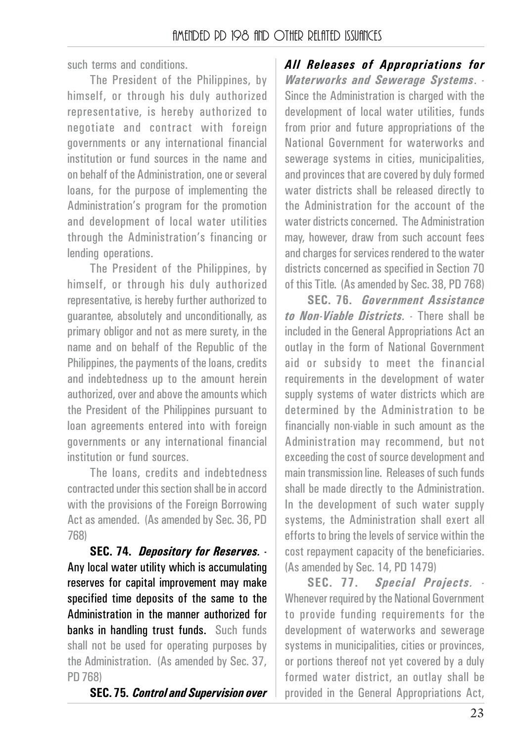such terms and conditions.

The President of the Philippines, by himself, or through his duly authorized representative, is hereby authorized to negotiate and contract with foreign governments or any international financial institution or fund sources in the name and on behalf of the Administration, one or several loans, for the purpose of implementing the Administration's program for the promotion and development of local water utilities through the Administration's financing or lending operations.

The President of the Philippines, by himself, or through his duly authorized representative, is hereby further authorized to guarantee, absolutely and unconditionally, as primary obligor and not as mere surety, in the name and on behalf of the Republic of the Philippines, the payments of the loans, credits and indebtedness up to the amount herein authorized, over and above the amounts which the President of the Philippines pursuant to loan agreements entered into with foreign governments or any international financial institution or fund sources.

The loans, credits and indebtedness contracted under this section shall be in accord with the provisions of the Foreign Borrowing Act as amended. (As amended by Sec. 36, PD 768)

**SEC. 74.** *Depository for Reserves.* - Any local water utility which is accumulating reserves for capital improvement may make specified time deposits of the same to the Administration in the manner authorized for banks in handling trust funds. Such funds shall not be used for operating purposes by the Administration. (As amended by Sec. 37, PD 768)

**SEC. 75.** *Control and Supervision over*

*All Releases of Appropriations for Waterworks and Sewerage Systems*. - Since the Administration is charged with the development of local water utilities, funds from prior and future appropriations of the National Government for waterworks and sewerage systems in cities, municipalities, and provinces that are covered by duly formed water districts shall be released directly to the Administration for the account of the water districts concerned. The Administration may, however, draw from such account fees and charges for services rendered to the water districts concerned as specified in Section 70 of this Title. (As amended by Sec. 38, PD 768)

**SEC. 76.** *Government Assistance to Non-Viable Districts.* - There shall be included in the General Appropriations Act an outlay in the form of National Government aid or subsidy to meet the financial requirements in the development of water supply systems of water districts which are determined by the Administration to be financially non-viable in such amount as the Administration may recommend, but not exceeding the cost of source development and main transmission line. Releases of such funds shall be made directly to the Administration. In the development of such water supply systems, the Administration shall exert all efforts to bring the levels of service within the cost repayment capacity of the beneficiaries. (As amended by Sec. 14, PD 1479)

**SEC. 77.** *Special Projects.* - Whenever required by the National Government to provide funding requirements for the development of waterworks and sewerage systems in municipalities, cities or provinces, or portions thereof not yet covered by a duly formed water district, an outlay shall be provided in the General Appropriations Act,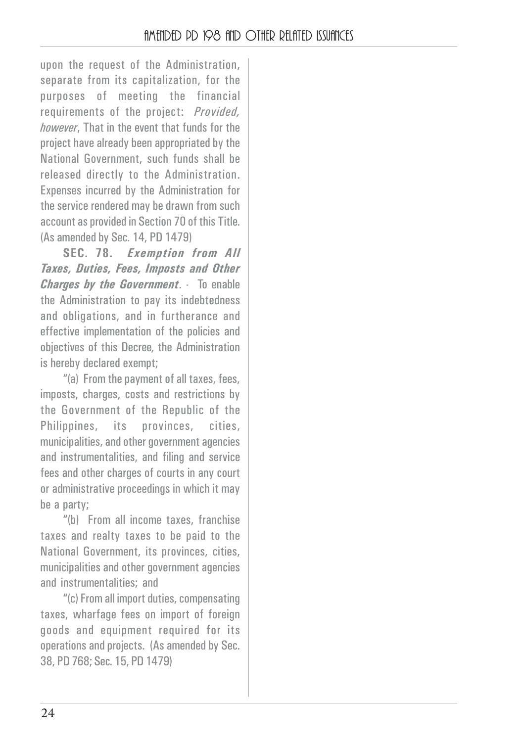upon the request of the Administration, separate from its capitalization, for the purposes of meeting the financial requirements of the project: *Provided, however*, That in the event that funds for the project have already been appropriated by the National Government, such funds shall be released directly to the Administration. Expenses incurred by the Administration for the service rendered may be drawn from such account as provided in Section 70 of this Title. (As amended by Sec. 14, PD 1479)

**SEC. 78.** *Exemption from All Taxes, Duties, Fees, Imposts and Other Charges by the Government*. - To enable the Administration to pay its indebtedness and obligations, and in furtherance and effective implementation of the policies and objectives of this Decree, the Administration is hereby declared exempt;

"(a) From the payment of all taxes, fees, imposts, charges, costs and restrictions by the Government of the Republic of the Philippines, its provinces, cities, municipalities, and other government agencies and instrumentalities, and filing and service fees and other charges of courts in any court or administrative proceedings in which it may be a party;

"(b) From all income taxes, franchise taxes and realty taxes to be paid to the National Government, its provinces, cities, municipalities and other government agencies and instrumentalities; and

"(c) From all import duties, compensating taxes, wharfage fees on import of foreign goods and equipment required for its operations and projects. (As amended by Sec. 38, PD 768; Sec. 15, PD 1479)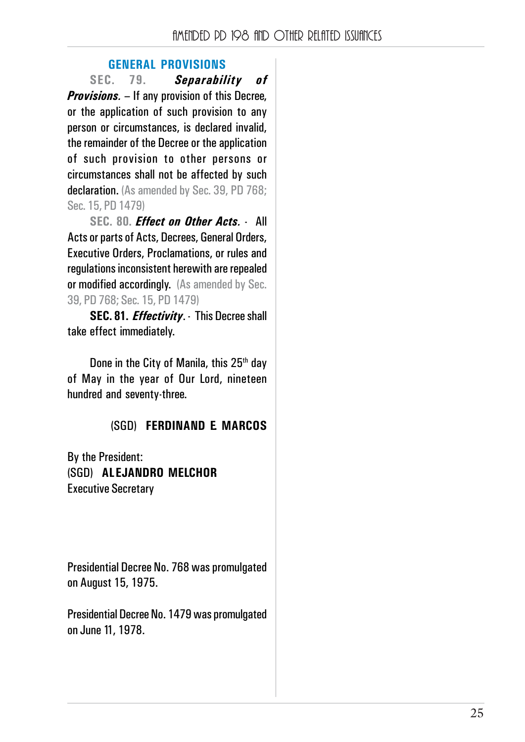#### **GENERAL PROVISIONS**

**SEC. 79.** *Separability of Provisions.* – If any provision of this Decree, or the application of such provision to any person or circumstances, is declared invalid, the remainder of the Decree or the application of such provision to other persons or circumstances shall not be affected by such declaration. (As amended by Sec. 39, PD 768; Sec. 15, PD 1479)

**SEC. 80.** *Effect on Other Acts.* - All Acts or parts of Acts, Decrees, General Orders, Executive Orders, Proclamations, or rules and regulations inconsistent herewith are repealed or modified accordingly. (As amended by Sec. 39, PD 768; Sec. 15, PD 1479)

**SEC. 81.** *Effectivity*. - This Decree shall take effect immediately.

Done in the City of Manila, this 25<sup>th</sup> day of May in the year of Our Lord, nineteen hundred and seventy-three.

#### (SGD) **FERDINAND E. MARCOS**

By the President: (SGD) **ALEJANDRO MELCHOR** Executive Secretary

Presidential Decree No. 768 was promulgated on August 15, 1975.

Presidential Decree No. 1479 was promulgated on June 11, 1978.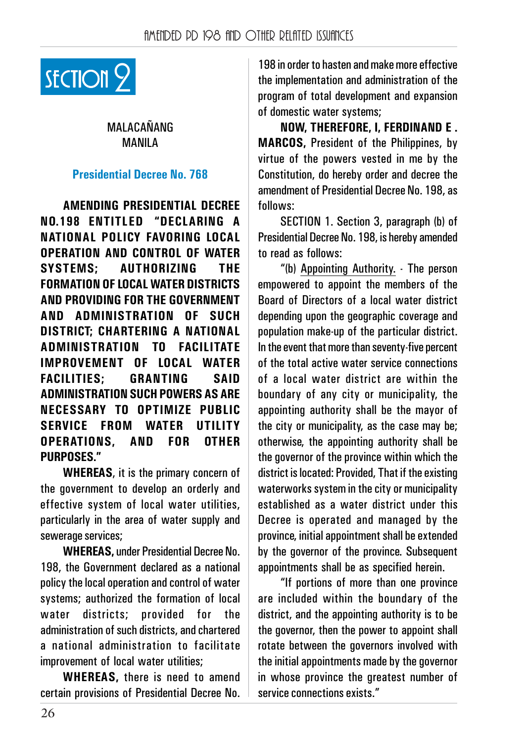

## MALACAŃANG MANILA

#### **Presidential Decree No. 768**

**AMENDING PRESIDENTIAL DECREE NO.198 ENTITLED "DECLARING A NATIONAL POLICY FAVORING LOCAL OPERATION AND CONTROL OF WATER SYSTEMS; AUTHORIZING THE FORMATION OF LOCAL WATER DISTRICTS AND PROVIDING FOR THE GOVERNMENT AND ADMINISTRATION OF SUCH DISTRICT; CHARTERING A NATIONAL ADMINISTRATION TO FACILITATE IMPROVEMENT OF LOCAL WATER FACILITIES; GRANTING SAID ADMINISTRATION SUCH POWERS AS ARE NECESSARY TO OPTIMIZE PUBLIC SERVICE FROM WATER UTILITY OPERATIONS, AND FOR OTHER PURPOSES."**

**WHEREAS**, it is the primary concern of the government to develop an orderly and effective system of local water utilities, particularly in the area of water supply and sewerage services;

**WHEREAS,** under Presidential Decree No. 198, the Government declared as a national policy the local operation and control of water systems; authorized the formation of local water districts; provided for the administration of such districts, and chartered a national administration to facilitate improvement of local water utilities;

**WHEREAS,** there is need to amend certain provisions of Presidential Decree No. 198 in order to hasten and make more effective the implementation and administration of the program of total development and expansion of domestic water systems;

**NOW, THEREFORE, I, FERDINAND E . MARCOS,** President of the Philippines, by virtue of the powers vested in me by the Constitution, do hereby order and decree the amendment of Presidential Decree No. 198, as follows:

SECTION 1. Section 3, paragraph (b) of Presidential Decree No. 198, is hereby amended to read as follows:

"(b) Appointing Authority. - The person empowered to appoint the members of the Board of Directors of a local water district depending upon the geographic coverage and population make-up of the particular district. In the event that more than seventy-five percent of the total active water service connections of a local water district are within the boundary of any city or municipality, the appointing authority shall be the mayor of the city or municipality, as the case may be; otherwise, the appointing authority shall be the governor of the province within which the district is located: Provided, That if the existing waterworks system in the city or municipality established as a water district under this Decree is operated and managed by the province, initial appointment shall be extended by the governor of the province. Subsequent appointments shall be as specified herein.

"If portions of more than one province are included within the boundary of the district, and the appointing authority is to be the governor, then the power to appoint shall rotate between the governors involved with the initial appointments made by the governor in whose province the greatest number of service connections exists."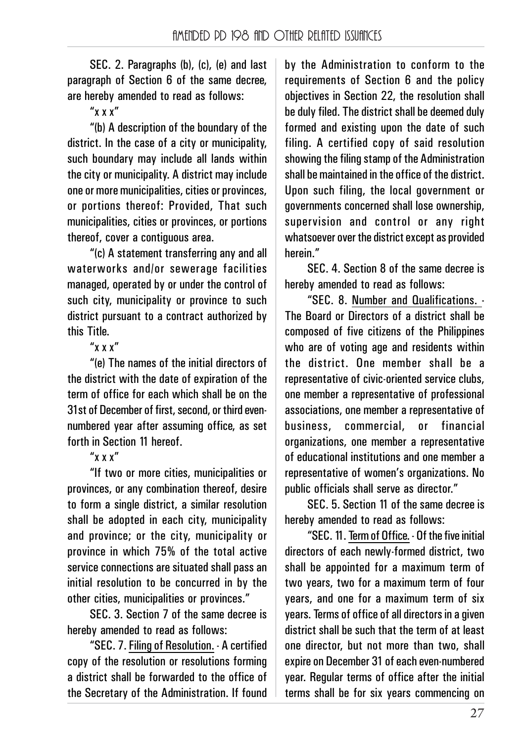SEC. 2. Paragraphs (b), (c), (e) and last paragraph of Section 6 of the same decree, are hereby amended to read as follows:

"x x x"

"(b) A description of the boundary of the district. In the case of a city or municipality, such boundary may include all lands within the city or municipality. A district may include one or more municipalities, cities or provinces, or portions thereof: Provided, That such municipalities, cities or provinces, or portions thereof, cover a contiguous area.

"(c) A statement transferring any and all waterworks and/or sewerage facilities managed, operated by or under the control of such city, municipality or province to such district pursuant to a contract authorized by this Title.

## "x x x"

"(e) The names of the initial directors of the district with the date of expiration of the term of office for each which shall be on the 31st of December of first, second, or third evennumbered year after assuming office, as set forth in Section 11 hereof.

## "x x x"

"If two or more cities, municipalities or provinces, or any combination thereof, desire to form a single district, a similar resolution shall be adopted in each city, municipality and province; or the city, municipality or province in which 75% of the total active service connections are situated shall pass an initial resolution to be concurred in by the other cities, municipalities or provinces."

SEC. 3. Section 7 of the same decree is hereby amended to read as follows:

"SEC. 7. Filing of Resolution. - A certified copy of the resolution or resolutions forming a district shall be forwarded to the office of the Secretary of the Administration. If found by the Administration to conform to the requirements of Section 6 and the policy objectives in Section 22, the resolution shall be duly filed. The district shall be deemed duly formed and existing upon the date of such filing. A certified copy of said resolution showing the filing stamp of the Administration shall be maintained in the office of the district. Upon such filing, the local government or governments concerned shall lose ownership, supervision and control or any right whatsoever over the district except as provided herein."

SEC. 4. Section 8 of the same decree is hereby amended to read as follows:

"SEC. 8. Number and Qualifications. - The Board or Directors of a district shall be composed of five citizens of the Philippines who are of voting age and residents within the district. One member shall be a representative of civic-oriented service clubs, one member a representative of professional associations, one member a representative of business, commercial, or financial organizations, one member a representative of educational institutions and one member a representative of women's organizations. No public officials shall serve as director."

SEC. 5. Section 11 of the same decree is hereby amended to read as follows:

"SEC. 11. Term of Office. - Of the five initial directors of each newly-formed district, two shall be appointed for a maximum term of two years, two for a maximum term of four years, and one for a maximum term of six years. Terms of office of all directors in a given district shall be such that the term of at least one director, but not more than two, shall expire on December 31 of each even-numbered year. Regular terms of office after the initial terms shall be for six years commencing on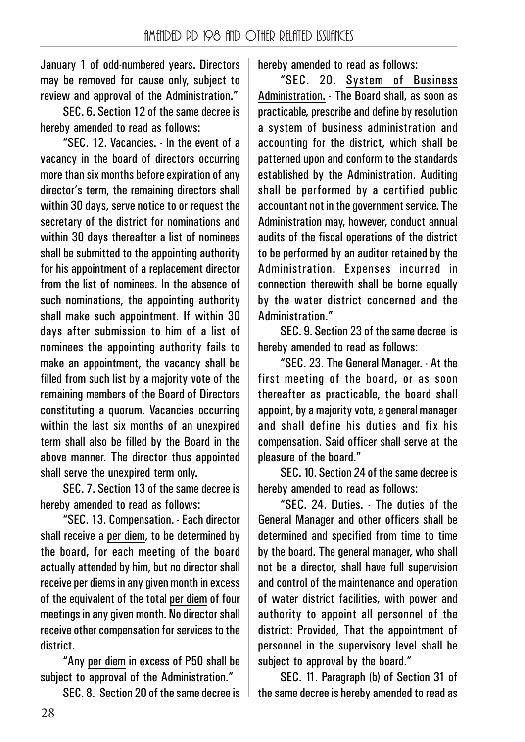January 1 of odd-numbered years. Directors may be removed for cause only, subject to review and annroval of the Administration."

SEC. 6. Section 12 of the same decree is hereby amended to read as follows:

"SEC. 12. Vacancies. - In the event of a vacancy in the board of directors occurring more than six months before expiration of any director's term, the remaining directors shall within 30 days, serve notice to or request the secretary of the district for nominations and within 30 days thereafter a list of nominees shall be submitted to the appointing authority for his appointment of a replacement director from the list of nominees. In the absence of such nominations, the appointing authority shall make such appointment. If within 30 days after submission to him of a list of nominees the appointing authority fails to make an appointment, the vacancy shall be filled from such list by a majority vote of the remaining members of the Board of Directors constituting a quorum. Vacancies occurring within the last six months of an unexpired term shall also be filled by the Board in the above manner. The director thus appointed shall serve the unexpired term only.

SEC. 7. Section 13 of the same decree is hereby amended to read as follows:

"SEC. 13. Compensation. - Each director shall receive a per diem, to be determined by the board, for each meeting of the board actually attended by him, but no director shall receive per diems in any given month in excess of the equivalent of the total per diem of four meetings in any given month. No director shall receive other compensation for services to the district.

"Any per diem in excess of P50 shall be subject to approval of the Administration."

SEC. 8. Section 20 of the same decree is

hereby amended to read as follows:

"SEC. 20. System of Business Administration. - The Board shall, as soon as practicable, prescribe and define by resolution a system of business administration and accounting for the district, which shall be patterned upon and conform to the standards established by the Administration. Auditing shall be performed by a certified public accountant not in the government service. The Administration may, however, conduct annual audits of the fiscal operations of the district to be performed by an auditor retained by the Administration. Expenses incurred in connection therewith shall be borne equally by the water district concerned and the Administration."

SEC. 9. Section 23 of the same decree is hereby amended to read as follows:

"SEC. 23. The General Manager. - At the first meeting of the board, or as soon thereafter as practicable, the board shall appoint, by a majority vote, a general manager and shall define his duties and fix his compensation. Said officer shall serve at the pleasure of the board."

SEC. 10. Section 24 of the same decree is hereby amended to read as follows:

"SEC. 24. Duties. - The duties of the General Manager and other officers shall be determined and specified from time to time by the board. The general manager, who shall not be a director, shall have full supervision and control of the maintenance and operation of water district facilities, with power and authority to appoint all personnel of the district: Provided, That the appointment of personnel in the supervisory level shall be subject to approval by the board."

SEC. 11. Paragraph (b) of Section 31 of the same decree is hereby amended to read as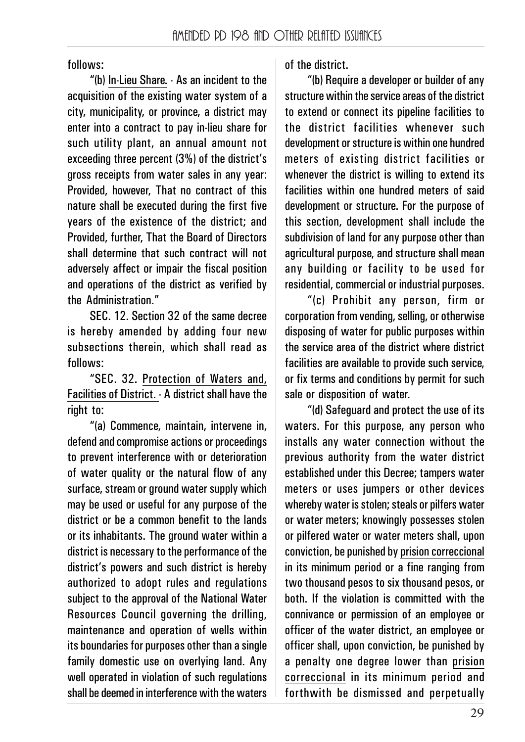follows:

"(b) In-Lieu Share. - As an incident to the acquisition of the existing water system of a city, municipality, or province, a district may enter into a contract to pay in-lieu share for such utility plant, an annual amount not exceeding three percent (3%) of the district's gross receipts from water sales in any year: Provided, however, That no contract of this nature shall be executed during the first five years of the existence of the district; and Provided, further, That the Board of Directors shall determine that such contract will not adversely affect or impair the fiscal position and operations of the district as verified by the Administration."

SEC. 12. Section 32 of the same decree is hereby amended by adding four new subsections therein, which shall read as follows:

"SEC. 32. Protection of Waters and, Facilities of District. - A district shall have the right to:

"(a) Commence, maintain, intervene in, defend and compromise actions or proceedings to prevent interference with or deterioration of water quality or the natural flow of any surface, stream or ground water supply which may be used or useful for any purpose of the district or be a common benefit to the lands or its inhabitants. The ground water within a district is necessary to the performance of the district's powers and such district is hereby authorized to adopt rules and regulations subject to the approval of the National Water Resources Council governing the drilling, maintenance and operation of wells within its boundaries for purposes other than a single family domestic use on overlying land. Any well operated in violation of such regulations shall be deemed in interference with the waters of the district.

"(b) Require a developer or builder of any structure within the service areas of the district to extend or connect its pipeline facilities to the district facilities whenever such development or structure is within one hundred meters of existing district facilities or whenever the district is willing to extend its facilities within one hundred meters of said development or structure. For the purpose of this section, development shall include the subdivision of land for any purpose other than agricultural purpose, and structure shall mean any building or facility to be used for residential, commercial or industrial purposes.

"(c) Prohibit any person, firm or corporation from vending, selling, or otherwise disposing of water for public purposes within the service area of the district where district facilities are available to provide such service, or fix terms and conditions by permit for such sale or disposition of water.

"(d) Safeguard and protect the use of its waters. For this purpose, any person who installs any water connection without the previous authority from the water district established under this Decree; tampers water meters or uses jumpers or other devices whereby water is stolen; steals or pilfers water or water meters; knowingly possesses stolen or pilfered water or water meters shall, upon conviction, be punished by prision correccional in its minimum period or a fine ranging from two thousand pesos to six thousand pesos, or both. If the violation is committed with the connivance or permission of an employee or officer of the water district, an employee or officer shall, upon conviction, be punished by a penalty one degree lower than prision correccional in its minimum period and forthwith be dismissed and perpetually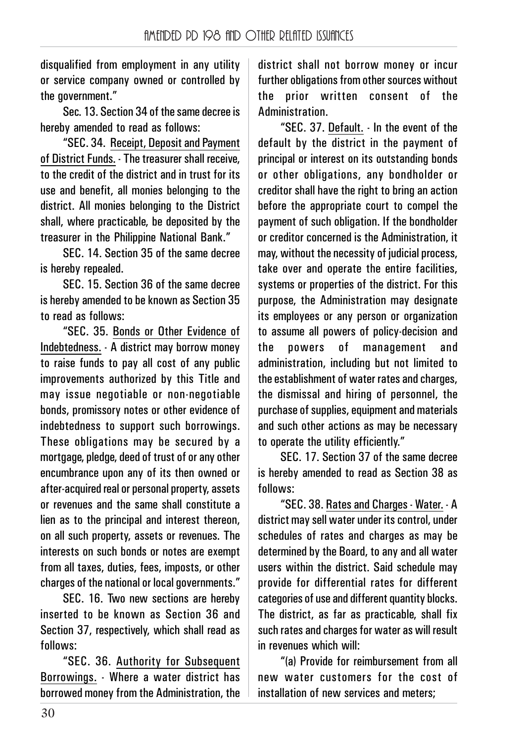disqualified from employment in any utility or service company owned or controlled by the government."

Sec. 13. Section 34 of the same decree is hereby amended to read as follows:

"SEC. 34. Receipt, Deposit and Payment of District Funds. - The treasurer shall receive, to the credit of the district and in trust for its use and benefit, all monies belonging to the district. All monies belonging to the District shall, where practicable, be deposited by the treasurer in the Philippine National Bank."

SEC. 14. Section 35 of the same decree is hereby repealed.

SEC. 15. Section 36 of the same decree is hereby amended to be known as Section 35 to read as follows:

"SEC. 35. Bonds or Other Evidence of Indebtedness. - A district may borrow money to raise funds to pay all cost of any public improvements authorized by this Title and may issue negotiable or non-negotiable bonds, promissory notes or other evidence of indebtedness to support such borrowings. These obligations may be secured by a mortgage, pledge, deed of trust of or any other encumbrance upon any of its then owned or after-acquired real or personal property, assets or revenues and the same shall constitute a lien as to the principal and interest thereon, on all such property, assets or revenues. The interests on such bonds or notes are exempt from all taxes, duties, fees, imposts, or other charges of the national or local governments."

SEC. 16. Two new sections are hereby inserted to be known as Section 36 and Section 37, respectively, which shall read as follows:

"SEC. 36. Authority for Subsequent Borrowings. - Where a water district has borrowed money from the Administration, the

district shall not borrow money or incur further obligations from other sources without the prior written consent of the Administration.

"SEC. 37. Default. - In the event of the default by the district in the payment of principal or interest on its outstanding bonds or other obligations, any bondholder or creditor shall have the right to bring an action before the appropriate court to compel the payment of such obligation. If the bondholder or creditor concerned is the Administration, it may, without the necessity of judicial process, take over and operate the entire facilities, systems or properties of the district. For this purpose, the Administration may designate its employees or any person or organization to assume all powers of policy-decision and the powers of management and administration, including but not limited to the establishment of water rates and charges, the dismissal and hiring of personnel, the purchase of supplies, equipment and materials and such other actions as may be necessary to operate the utility efficiently."

SEC. 17. Section 37 of the same decree is hereby amended to read as Section 38 as follows:

"SEC. 38. Rates and Charges - Water. - A district may sell water under its control, under schedules of rates and charges as may be determined by the Board, to any and all water users within the district. Said schedule may provide for differential rates for different categories of use and different quantity blocks. The district, as far as practicable, shall fix such rates and charges for water as will result in revenues which will:

"(a) Provide for reimbursement from all new water customers for the cost of installation of new services and meters;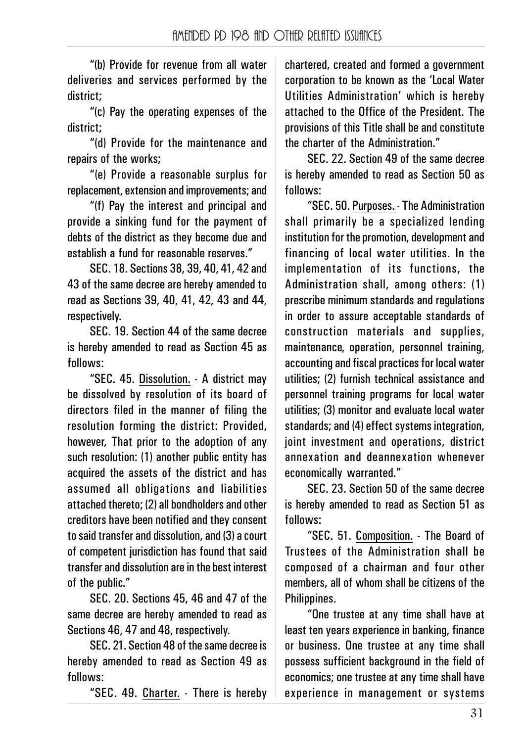"(b) Provide for revenue from all water deliveries and services performed by the district;

"(c) Pay the operating expenses of the district;

"(d) Provide for the maintenance and repairs of the works;

"(e) Provide a reasonable surplus for replacement, extension and improvements; and

"(f) Pay the interest and principal and provide a sinking fund for the payment of debts of the district as they become due and establish a fund for reasonable reserves."

SEC. 18. Sections 38, 39, 40, 41, 42 and 43 of the same decree are hereby amended to read as Sections 39, 40, 41, 42, 43 and 44, respectively.

SEC. 19. Section 44 of the same decree is hereby amended to read as Section 45 as follows:

"SEC. 45. Dissolution. - A district may be dissolved by resolution of its board of directors filed in the manner of filing the resolution forming the district: Provided, however, That prior to the adoption of any such resolution: (1) another public entity has acquired the assets of the district and has assumed all obligations and liabilities attached thereto; (2) all bondholders and other creditors have been notified and they consent to said transfer and dissolution, and (3) a court of competent jurisdiction has found that said transfer and dissolution are in the best interest of the public."

SEC. 20. Sections 45, 46 and 47 of the same decree are hereby amended to read as Sections 46, 47 and 48, respectively.

SEC. 21. Section 48 of the same decree is hereby amended to read as Section 49 as follows:

"SEC. 49. Charter. - There is hereby

chartered, created and formed a government corporation to be known as the 'Local Water Utilities Administration' which is hereby attached to the Office of the President. The provisions of this Title shall be and constitute the charter of the Administration."

SEC. 22. Section 49 of the same decree is hereby amended to read as Section 50 as follows:

"SEC. 50. Purposes. - The Administration shall primarily be a specialized lending institution for the promotion, development and financing of local water utilities. In the implementation of its functions, the Administration shall, among others: (1) prescribe minimum standards and regulations in order to assure acceptable standards of construction materials and supplies, maintenance, operation, personnel training, accounting and fiscal practices for local water utilities; (2) furnish technical assistance and personnel training programs for local water utilities; (3) monitor and evaluate local water standards; and (4) effect systems integration, joint investment and operations, district annexation and deannexation whenever economically warranted."

SEC. 23. Section 50 of the same decree is hereby amended to read as Section 51 as follows:

"SEC. 51. Composition. - The Board of Trustees of the Administration shall be composed of a chairman and four other members, all of whom shall be citizens of the Philippines.

"One trustee at any time shall have at least ten years experience in banking, finance or business. One trustee at any time shall possess sufficient background in the field of economics; one trustee at any time shall have experience in management or systems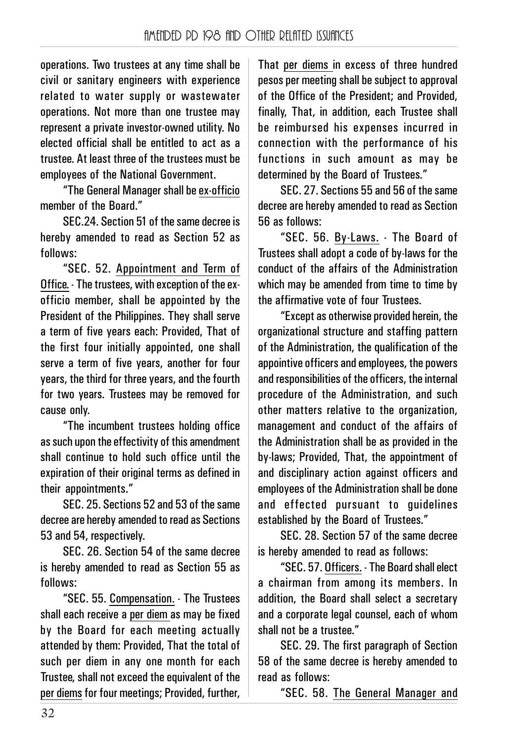operations. Two trustees at any time shall be civil or sanitary engineers with experience related to water supply or wastewater operations. Not more than one trustee may represent a private investor-owned utility. No elected official shall be entitled to act as a trustee. At least three of the trustees must be employees of the National Government.

"The General Manager shall be ex-officio member of the Board."

SEC.24. Section 51 of the same decree is hereby amended to read as Section 52 as follows:

"SEC. 52. Appointment and Term of Office. - The trustees, with exception of the exofficio member, shall be appointed by the President of the Philippines. They shall serve a term of five years each: Provided, That of the first four initially appointed, one shall serve a term of five years, another for four years, the third for three years, and the fourth for two years. Trustees may be removed for cause only.

"The incumbent trustees holding office as such upon the effectivity of this amendment shall continue to hold such office until the expiration of their original terms as defined in their appointments."

SEC. 25. Sections 52 and 53 of the same decree are hereby amended to read as Sections 53 and 54, respectively.

SEC. 26. Section 54 of the same decree is hereby amended to read as Section 55 as follows:

"SEC. 55. Compensation. - The Trustees shall each receive a per diem as may be fixed by the Board for each meeting actually attended by them: Provided, That the total of such per diem in any one month for each Trustee, shall not exceed the equivalent of the per diems for four meetings; Provided, further,

That per diems in excess of three hundred pesos per meeting shall be subject to approval of the Office of the President; and Provided, finally, That, in addition, each Trustee shall be reimbursed his expenses incurred in connection with the performance of his functions in such amount as may be determined by the Board of Trustees."

SEC. 27. Sections 55 and 56 of the same decree are hereby amended to read as Section 56 as follows:

"SEC. 56. By-Laws. - The Board of Trustees shall adopt a code of by-laws for the conduct of the affairs of the Administration which may be amended from time to time by the affirmative vote of four Trustees.

"Except as otherwise provided herein, the organizational structure and staffing pattern of the Administration, the qualification of the appointive officers and employees, the powers and responsibilities of the officers, the internal procedure of the Administration, and such other matters relative to the organization, management and conduct of the affairs of the Administration shall be as provided in the by-laws; Provided, That, the appointment of and disciplinary action against officers and employees of the Administration shall be done and effected pursuant to guidelines established by the Board of Trustees."

SEC. 28. Section 57 of the same decree is hereby amended to read as follows:

"SEC. 57. Officers. - The Board shall elect a chairman from among its members. In addition, the Board shall select a secretary and a corporate legal counsel, each of whom shall not be a trustee."

SEC. 29. The first paragraph of Section 58 of the same decree is hereby amended to read as follows:

"SEC. 58. The General Manager and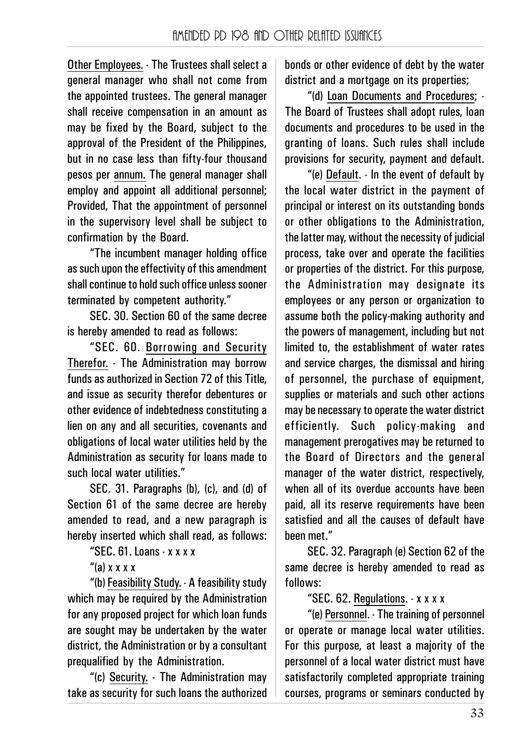Other Employees. - The Trustees shall select a general manager who shall not come from the appointed trustees. The general manager shall receive compensation in an amount as may be fixed by the Board, subject to the approval of the President of the Philippines, but in no case less than fifty-four thousand pesos per annum. The general manager shall employ and appoint all additional personnel; Provided, That the appointment of personnel in the supervisory level shall be subject to confirmation by the Board.

"The incumbent manager holding office as such upon the effectivity of this amendment shall continue to hold such office unless sooner terminated by competent authority."

SEC. 30. Section 60 of the same decree is hereby amended to read as follows:

"SEC. 60. Borrowing and Security Therefor. - The Administration may borrow funds as authorized in Section 72 of this Title, and issue as security therefor debentures or other evidence of indebtedness constituting a lien on any and all securities, covenants and obligations of local water utilities held by the Administration as security for loans made to such local water utilities."

SEC. 31. Paragraphs (b), (c), and (d) of Section 61 of the same decree are hereby amended to read, and a new paragraph is hereby inserted which shall read, as follows:

"SEC. 61. Loans - x x x x

" $(a)$  x x x x

"(b) Feasibility Study. - A feasibility study which may be required by the Administration for any proposed project for which loan funds are sought may be undertaken by the water district, the Administration or by a consultant prequalified by the Administration.

"(c) Security. - The Administration may take as security for such loans the authorized bonds or other evidence of debt by the water district and a mortgage on its properties:

"(d) Loan Documents and Procedures; - The Board of Trustees shall adopt rules, loan documents and procedures to be used in the granting of loans. Such rules shall include provisions for security, payment and default.

"(e) Default. - In the event of default by the local water district in the payment of principal or interest on its outstanding bonds or other obligations to the Administration, the latter may, without the necessity of judicial process, take over and operate the facilities or properties of the district. For this purpose, the Administration may designate its employees or any person or organization to assume both the policy-making authority and the powers of management, including but not limited to, the establishment of water rates and service charges, the dismissal and hiring of personnel, the purchase of equipment, supplies or materials and such other actions may be necessary to operate the water district efficiently. Such policy-making and management prerogatives may be returned to the Board of Directors and the general manager of the water district, respectively, when all of its overdue accounts have been paid, all its reserve requirements have been satisfied and all the causes of default have been met."

SEC. 32. Paragraph (e) Section 62 of the same decree is hereby amended to read as follows:

"SEC. 62. Regulations. - x x x x

"(e) Personnel. - The training of personnel or operate or manage local water utilities. For this purpose, at least a majority of the personnel of a local water district must have satisfactorily completed appropriate training courses, programs or seminars conducted by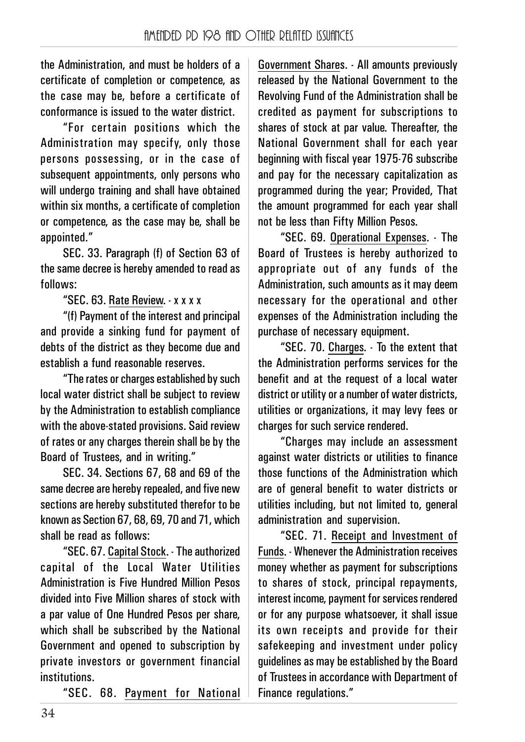the Administration, and must be holders of a certificate of completion or competence, as the case may be, before a certificate of conformance is issued to the water district.

"For certain positions which the Administration may specify, only those persons possessing, or in the case of subsequent appointments, only persons who will undergo training and shall have obtained within six months, a certificate of completion or competence, as the case may be, shall be appointed."

SEC. 33. Paragraph (f) of Section 63 of the same decree is hereby amended to read as follows:

"SEC. 63. Rate Review. - x x x x

"(f) Payment of the interest and principal and provide a sinking fund for payment of debts of the district as they become due and establish a fund reasonable reserves.

"The rates or charges established by such local water district shall be subject to review by the Administration to establish compliance with the above-stated provisions. Said review of rates or any charges therein shall be by the Board of Trustees, and in writing."

SEC. 34. Sections 67, 68 and 69 of the same decree are hereby repealed, and five new sections are hereby substituted therefor to be known as Section 67, 68, 69, 70 and 71, which shall be read as follows:

"SEC. 67. Capital Stock. - The authorized capital of the Local Water Utilities Administration is Five Hundred Million Pesos divided into Five Million shares of stock with a par value of One Hundred Pesos per share, which shall be subscribed by the National Government and opened to subscription by private investors or government financial institutions.

"SEC. 68. Payment for National

Government Shares. - All amounts previously released by the National Government to the Revolving Fund of the Administration shall be credited as payment for subscriptions to shares of stock at par value. Thereafter, the National Government shall for each year beginning with fiscal year 1975-76 subscribe and pay for the necessary capitalization as programmed during the year; Provided, That the amount programmed for each year shall not be less than Fifty Million Pesos.

"SEC. 69. Operational Expenses. - The Board of Trustees is hereby authorized to appropriate out of any funds of the Administration, such amounts as it may deem necessary for the operational and other expenses of the Administration including the purchase of necessary equipment.

"SEC. 70. Charges. - To the extent that the Administration performs services for the benefit and at the request of a local water district or utility or a number of water districts, utilities or organizations, it may levy fees or charges for such service rendered.

"Charges may include an assessment against water districts or utilities to finance those functions of the Administration which are of general benefit to water districts or utilities including, but not limited to, general administration and supervision.

"SEC. 71. Receipt and Investment of Funds. - Whenever the Administration receives money whether as payment for subscriptions to shares of stock, principal repayments, interest income, payment for services rendered or for any purpose whatsoever, it shall issue its own receipts and provide for their safekeeping and investment under policy guidelines as may be established by the Board of Trustees in accordance with Department of Finance regulations."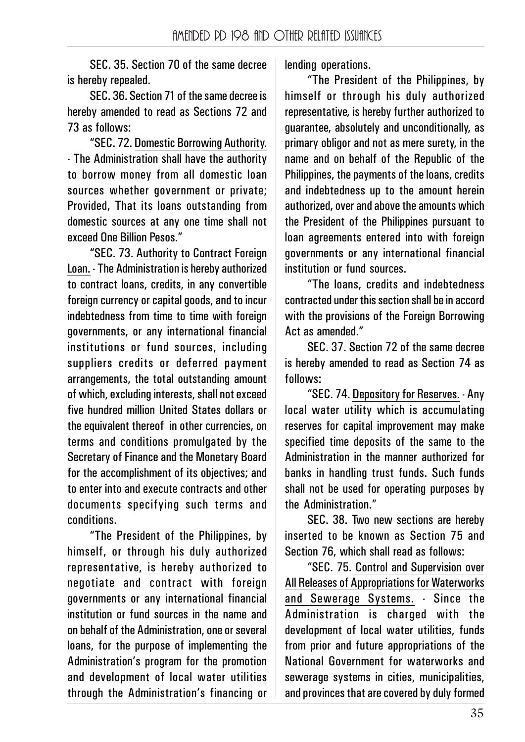SEC. 35. Section 70 of the same decree is hereby repealed.

SEC. 36. Section 71 of the same decree is hereby amended to read as Sections 72 and 73 as follows:

"SEC. 72. Domestic Borrowing Authority. - The Administration shall have the authority to borrow money from all domestic loan sources whether government or private; Provided, That its loans outstanding from domestic sources at any one time shall not exceed One Billion Pesos."

"SEC. 73. Authority to Contract Foreign Loan. - The Administration is hereby authorized to contract loans, credits, in any convertible foreign currency or capital goods, and to incur indebtedness from time to time with foreign governments, or any international financial institutions or fund sources, including suppliers credits or deferred payment arrangements, the total outstanding amount of which, excluding interests, shall not exceed five hundred million United States dollars or the equivalent thereof in other currencies, on terms and conditions promulgated by the Secretary of Finance and the Monetary Board for the accomplishment of its objectives; and to enter into and execute contracts and other documents specifying such terms and conditions.

"The President of the Philippines, by himself, or through his duly authorized representative, is hereby authorized to negotiate and contract with foreign governments or any international financial institution or fund sources in the name and on behalf of the Administration, one or several loans, for the purpose of implementing the Administration's program for the promotion and development of local water utilities through the Administration's financing or lending operations.

"The President of the Philippines, by himself or through his duly authorized representative, is hereby further authorized to guarantee, absolutely and unconditionally, as primary obligor and not as mere surety, in the name and on behalf of the Republic of the Philippines, the payments of the loans, credits and indebtedness up to the amount herein authorized, over and above the amounts which the President of the Philippines pursuant to loan agreements entered into with foreign governments or any international financial institution or fund sources.

"The loans, credits and indebtedness contracted under this section shall be in accord with the provisions of the Foreign Borrowing Act as amended."

SEC. 37. Section 72 of the same decree is hereby amended to read as Section 74 as follows:

"SEC. 74. Depository for Reserves. - Any local water utility which is accumulating reserves for capital improvement may make specified time deposits of the same to the Administration in the manner authorized for banks in handling trust funds. Such funds shall not be used for operating purposes by the Administration."

SEC. 38. Two new sections are hereby inserted to be known as Section 75 and Section 76, which shall read as follows:

"SEC. 75. Control and Supervision over All Releases of Appropriations for Waterworks and Sewerage Systems. - Since the Administration is charged with the development of local water utilities, funds from prior and future appropriations of the National Government for waterworks and sewerage systems in cities, municipalities, and provinces that are covered by duly formed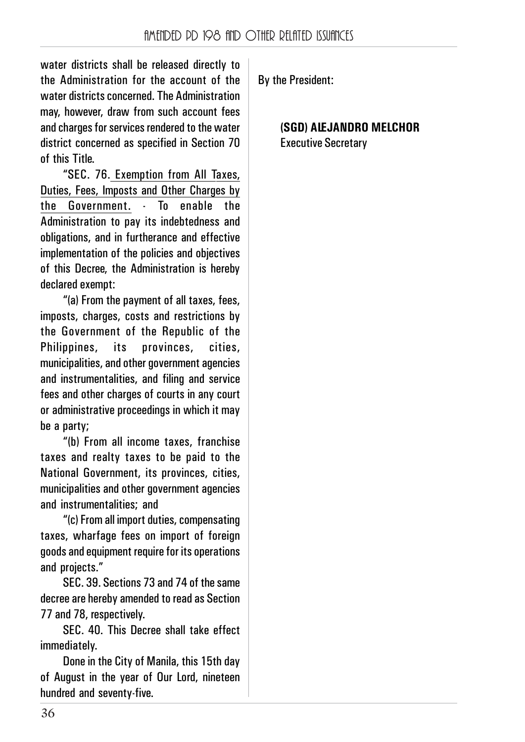water districts shall be released directly to the Administration for the account of the water districts concerned. The Administration may, however, draw from such account fees and charges for services rendered to the water district concerned as specified in Section 70 of this Title.

"SEC. 76. Exemption from All Taxes, Duties, Fees, Imposts and Other Charges by the Government. - To enable the Administration to pay its indebtedness and obligations, and in furtherance and effective implementation of the policies and objectives of this Decree, the Administration is hereby declared exempt:

"(a) From the payment of all taxes, fees, imposts, charges, costs and restrictions by the Government of the Republic of the Philippines, its provinces, cities, municipalities, and other government agencies and instrumentalities, and filing and service fees and other charges of courts in any court or administrative proceedings in which it may be a party;

"(b) From all income taxes, franchise taxes and realty taxes to be paid to the National Government, its provinces, cities, municipalities and other government agencies and instrumentalities; and

"(c) From all import duties, compensating taxes, wharfage fees on import of foreign goods and equipment require for its operations and projects."

SEC. 39. Sections 73 and 74 of the same decree are hereby amended to read as Section 77 and 78, respectively.

SEC. 40. This Decree shall take effect immediately.

Done in the City of Manila, this 15th day of August in the year of Our Lord, nineteen hundred and seventy-five.

By the President:

**(SGD) ALEJANDRO MELCHOR** Executive Secretary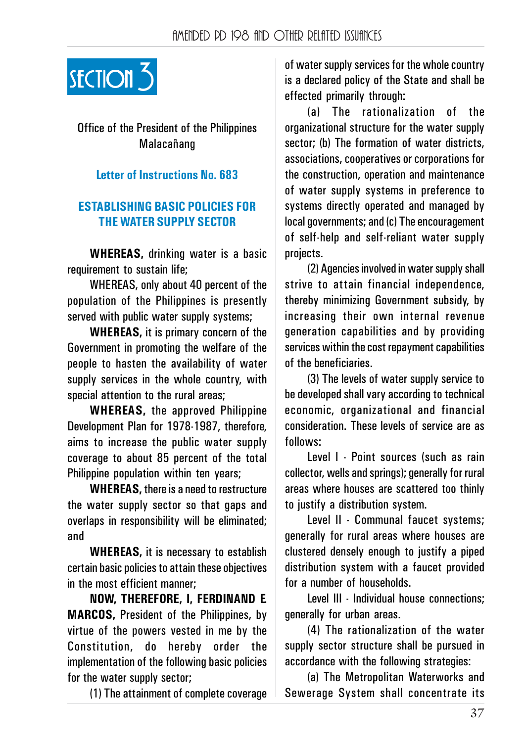

## Office of the President of the Philippines Malacańang

#### **Letter of Instructions No. 683**

#### **ESTABLISHING BASIC POLICIES FOR THE WATER SUPPLY SECTOR**

**WHEREAS,** drinking water is a basic requirement to sustain life;

WHEREAS, only about 40 percent of the population of the Philippines is presently served with public water supply systems;

**WHEREAS,** it is primary concern of the Government in promoting the welfare of the people to hasten the availability of water supply services in the whole country, with special attention to the rural areas;

**WHEREAS,** the approved Philippine Development Plan for 1978-1987, therefore, aims to increase the public water supply coverage to about 85 percent of the total Philippine population within ten years;

**WHEREAS,** there is a need to restructure the water supply sector so that gaps and overlaps in responsibility will be eliminated; and

**WHEREAS,** it is necessary to establish certain basic policies to attain these objectives in the most efficient manner;

**NOW, THEREFORE, I, FERDINAND E. MARCOS,** President of the Philippines, by virtue of the powers vested in me by the Constitution, do hereby order the implementation of the following basic policies for the water supply sector;

(1) The attainment of complete coverage

of water supply services for the whole country is a declared policy of the State and shall be effected primarily through:

(a) The rationalization of the organizational structure for the water supply sector; (b) The formation of water districts, associations, cooperatives or corporations for the construction, operation and maintenance of water supply systems in preference to systems directly operated and managed by local governments; and (c) The encouragement of self-help and self-reliant water supply projects.

(2) Agencies involved in water supply shall strive to attain financial independence, thereby minimizing Government subsidy, by increasing their own internal revenue generation capabilities and by providing services within the cost repayment capabilities of the beneficiaries.

(3) The levels of water supply service to be developed shall vary according to technical economic, organizational and financial consideration. These levels of service are as follows:

Level I - Point sources (such as rain collector, wells and springs); generally for rural areas where houses are scattered too thinly to justify a distribution system.

Level II - Communal faucet systems; generally for rural areas where houses are clustered densely enough to justify a piped distribution system with a faucet provided for a number of households.

Level III - Individual house connections; generally for urban areas.

(4) The rationalization of the water supply sector structure shall be pursued in accordance with the following strategies:

(a) The Metropolitan Waterworks and Sewerage System shall concentrate its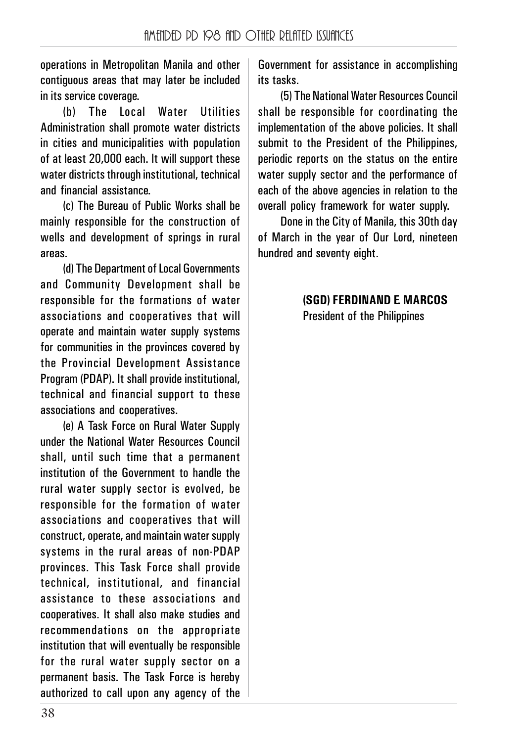operations in Metropolitan Manila and other contiguous areas that may later be included in its service coverage.

(b) The Local Water Utilities Administration shall promote water districts in cities and municipalities with population of at least 20,000 each. It will support these water districts through institutional, technical and financial assistance.

(c) The Bureau of Public Works shall be mainly responsible for the construction of wells and development of springs in rural areas.

(d) The Department of Local Governments and Community Development shall be responsible for the formations of water associations and cooperatives that will operate and maintain water supply systems for communities in the provinces covered by the Provincial Development Assistance Program (PDAP). It shall provide institutional, technical and financial support to these associations and cooperatives.

(e) A Task Force on Rural Water Supply under the National Water Resources Council shall, until such time that a permanent institution of the Government to handle the rural water supply sector is evolved, be responsible for the formation of water associations and cooperatives that will construct, operate, and maintain water supply systems in the rural areas of non-PDAP provinces. This Task Force shall provide technical, institutional, and financial assistance to these associations and cooperatives. It shall also make studies and recommendations on the appropriate institution that will eventually be responsible for the rural water supply sector on a permanent basis. The Task Force is hereby authorized to call upon any agency of the

Government for assistance in accomplishing its tasks.

(5) The National Water Resources Council shall be responsible for coordinating the implementation of the above policies. It shall submit to the President of the Philippines. periodic reports on the status on the entire water supply sector and the performance of each of the above agencies in relation to the overall policy framework for water supply.

Done in the City of Manila, this 30th day of March in the year of Our Lord, nineteen hundred and seventy eight.

#### **(SGD) FERDINAND E. MARCOS** President of the Philippines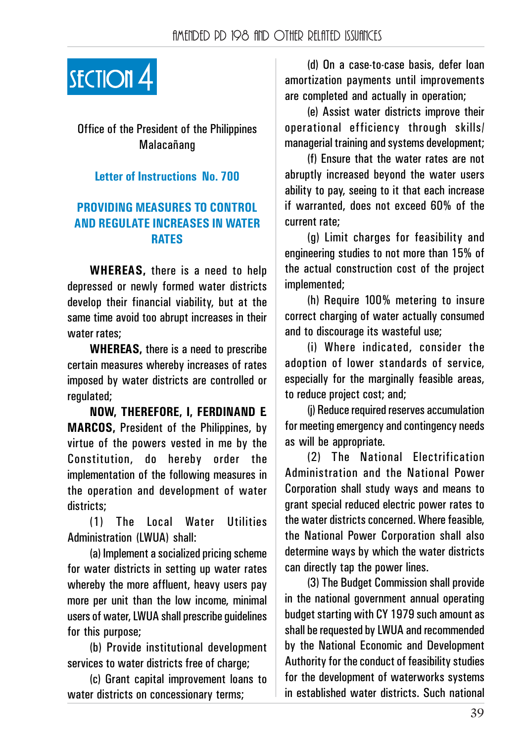

## Office of the President of the Philippines Malacańang

#### **Letter of Instructions No. 700**

#### **PROVIDING MEASURES TO CONTROL AND REGULATE INCREASES IN WATER RATES**

**WHEREAS,** there is a need to help depressed or newly formed water districts develop their financial viability, but at the same time avoid too abrupt increases in their water rates;

**WHEREAS,** there is a need to prescribe certain measures whereby increases of rates imposed by water districts are controlled or regulated;

**NOW, THEREFORE, I, FERDINAND E. MARCOS,** President of the Philippines, by virtue of the powers vested in me by the Constitution, do hereby order the implementation of the following measures in the operation and development of water districts;

(1) The Local Water Utilities Administration (LWUA) shall:

(a) Implement a socialized pricing scheme for water districts in setting up water rates whereby the more affluent, heavy users pay more per unit than the low income, minimal users of water, LWUA shall prescribe guidelines for this purpose;

(b) Provide institutional development services to water districts free of charge:

(c) Grant capital improvement loans to water districts on concessionary terms;

(d) On a case-to-case basis, defer loan amortization payments until improvements are completed and actually in operation;

(e) Assist water districts improve their operational efficiency through skills/ managerial training and systems development;

(f) Ensure that the water rates are not abruptly increased beyond the water users ability to pay, seeing to it that each increase if warranted, does not exceed 60% of the current rate;

(g) Limit charges for feasibility and engineering studies to not more than 15% of the actual construction cost of the project imnlemented;

(h) Require 100% metering to insure correct charging of water actually consumed and to discourage its wasteful use;

(i) Where indicated, consider the adoption of lower standards of service, especially for the marginally feasible areas, to reduce project cost; and;

(j) Reduce required reserves accumulation for meeting emergency and contingency needs as will be appropriate.

(2) The National Electrification Administration and the National Power Corporation shall study ways and means to grant special reduced electric power rates to the water districts concerned. Where feasible, the National Power Corporation shall also determine ways by which the water districts can directly tap the power lines.

(3) The Budget Commission shall provide in the national government annual operating budget starting with CY 1979 such amount as shall be requested by LWUA and recommended by the National Economic and Development Authority for the conduct of feasibility studies for the development of waterworks systems in established water districts. Such national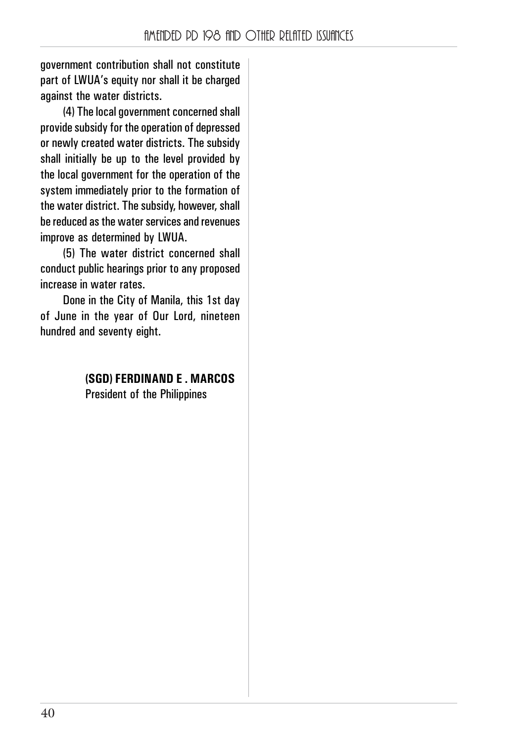government contribution shall not constitute part of LWUA's equity nor shall it be charged against the water districts.

(4) The local government concerned shall provide subsidy for the operation of depressed or newly created water districts. The subsidy shall initially be up to the level provided by the local government for the operation of the system immediately prior to the formation of the water district. The subsidy, however, shall be reduced as the water services and revenues improve as determined by LWUA.

(5) The water district concerned shall conduct public hearings prior to any proposed increase in water rates.

Done in the City of Manila, this 1st day of June in the year of Our Lord, nineteen hundred and seventy eight.

> **(SGD) FERDINAND E . MARCOS** President of the Philippines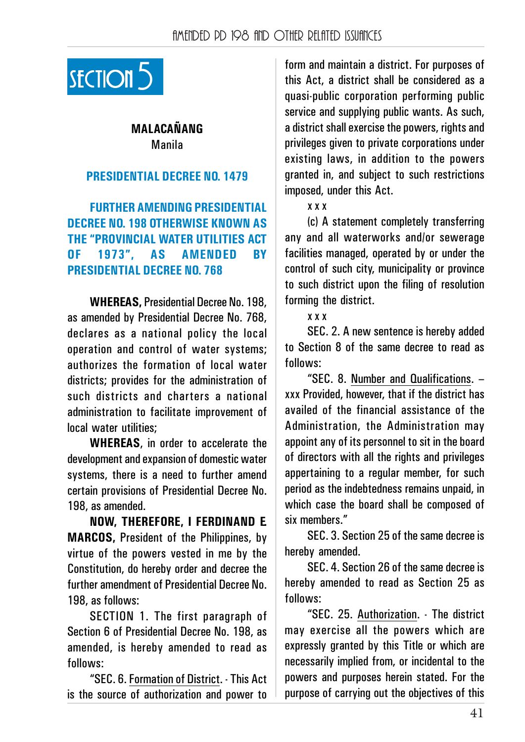

## **MALACAŃANG** Manila

#### **PRESIDENTIAL DECREE NO. 1479**

**FURTHER AMENDING PRESIDENTIAL DECREE NO. 198 OTHERWISE KNOWN AS THE "PROVINCIAL WATER UTILITIES ACT OF 1973", AS AMENDED BY PRESIDENTIAL DECREE NO. 768**

**WHEREAS,** Presidential Decree No. 198, as amended by Presidential Decree No. 768, declares as a national policy the local operation and control of water systems; authorizes the formation of local water districts; provides for the administration of such districts and charters a national administration to facilitate improvement of local water utilities;

**WHEREAS**, in order to accelerate the development and expansion of domestic water systems, there is a need to further amend certain provisions of Presidential Decree No. 198, as amended.

**NOW, THEREFORE, I FERDINAND E. MARCOS,** President of the Philippines, by virtue of the powers vested in me by the Constitution, do hereby order and decree the further amendment of Presidential Decree No. 198, as follows:

SECTION 1. The first paragraph of Section 6 of Presidential Decree No. 198, as amended, is hereby amended to read as follows:

"SEC. 6. Formation of District. - This Act is the source of authorization and power to

section section and maintain a district. For purposes of<br>SECTION 5 this Act, a district shall be considered as a quasi-public corporation performing public service and supplying public wants. As such, a district shall exercise the powers, rights and privileges given to private corporations under existing laws, in addition to the powers granted in, and subject to such restrictions imposed, under this Act.

x x x

(c) A statement completely transferring any and all waterworks and/or sewerage facilities managed, operated by or under the control of such city, municipality or province to such district upon the filing of resolution forming the district.

x x x

SEC. 2. A new sentence is hereby added to Section 8 of the same decree to read as follows:

"SEC. 8. Number and Qualifications. – xxx Provided, however, that if the district has availed of the financial assistance of the Administration, the Administration may appoint any of its personnel to sit in the board of directors with all the rights and privileges appertaining to a regular member, for such period as the indebtedness remains unpaid, in which case the board shall be composed of six members."

SEC. 3. Section 25 of the same decree is hereby amended.

SEC. 4. Section 26 of the same decree is hereby amended to read as Section 25 as follows:

"SEC. 25. Authorization. - The district may exercise all the powers which are expressly granted by this Title or which are necessarily implied from, or incidental to the powers and purposes herein stated. For the purpose of carrying out the objectives of this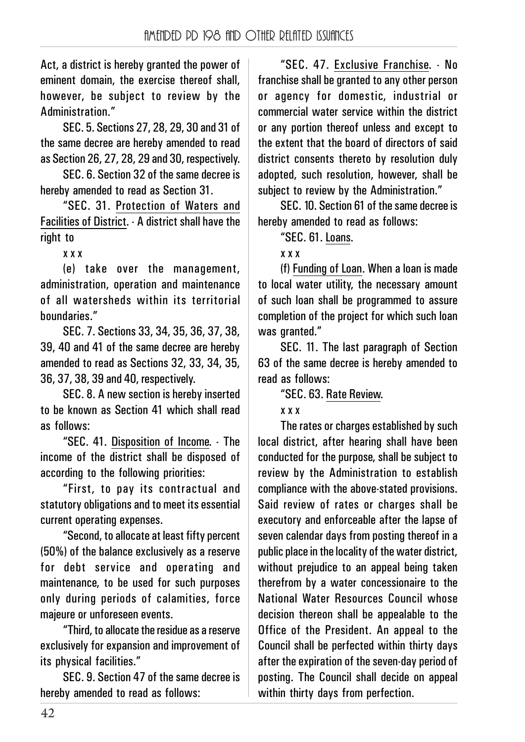Act, a district is hereby granted the power of eminent domain, the exercise thereof shall, however, be subject to review by the Administration."

SEC. 5. Sections 27, 28, 29, 30 and 31 of the same decree are hereby amended to read as Section 26, 27, 28, 29 and 30, respectively.

SEC. 6. Section 32 of the same decree is hereby amended to read as Section 31.

"SEC. 31. Protection of Waters and Facilities of District. - A district shall have the right to

x x x

(e) take over the management, administration, operation and maintenance of all watersheds within its territorial boundaries."

SEC. 7. Sections 33, 34, 35, 36, 37, 38, 39, 40 and 41 of the same decree are hereby amended to read as Sections 32, 33, 34, 35, 36, 37, 38, 39 and 40, respectively.

SEC. 8. A new section is hereby inserted to be known as Section 41 which shall read as follows:

"SEC. 41. Disposition of Income. - The income of the district shall be disposed of according to the following priorities:

"First, to pay its contractual and statutory obligations and to meet its essential current operating expenses.

"Second, to allocate at least fifty percent (50%) of the balance exclusively as a reserve for debt service and operating and maintenance, to be used for such purposes only during periods of calamities, force majeure or unforeseen events.

"Third, to allocate the residue as a reserve exclusively for expansion and improvement of its physical facilities."

SEC. 9. Section 47 of the same decree is hereby amended to read as follows:

"SEC. 47. Exclusive Franchise. - No franchise shall be granted to any other person or agency for domestic, industrial or commercial water service within the district or any portion thereof unless and except to the extent that the board of directors of said district consents thereto by resolution duly adopted, such resolution, however, shall be subject to review by the Administration."

SEC. 10. Section 61 of the same decree is hereby amended to read as follows:

"SEC. 61. Loans.

x x x

(f) Funding of Loan. When a loan is made to local water utility, the necessary amount of such loan shall be programmed to assure completion of the project for which such loan was granted."

SEC. 11. The last paragraph of Section 63 of the same decree is hereby amended to read as follows:

"SEC. 63. Rate Review.

#### x x x

The rates or charges established by such local district, after hearing shall have been conducted for the purpose, shall be subject to review by the Administration to establish compliance with the above-stated provisions. Said review of rates or charges shall be executory and enforceable after the lapse of seven calendar days from posting thereof in a public place in the locality of the water district, without prejudice to an appeal being taken therefrom by a water concessionaire to the National Water Resources Council whose decision thereon shall be appealable to the Office of the President. An appeal to the Council shall be perfected within thirty days after the expiration of the seven-day period of posting. The Council shall decide on appeal within thirty days from perfection.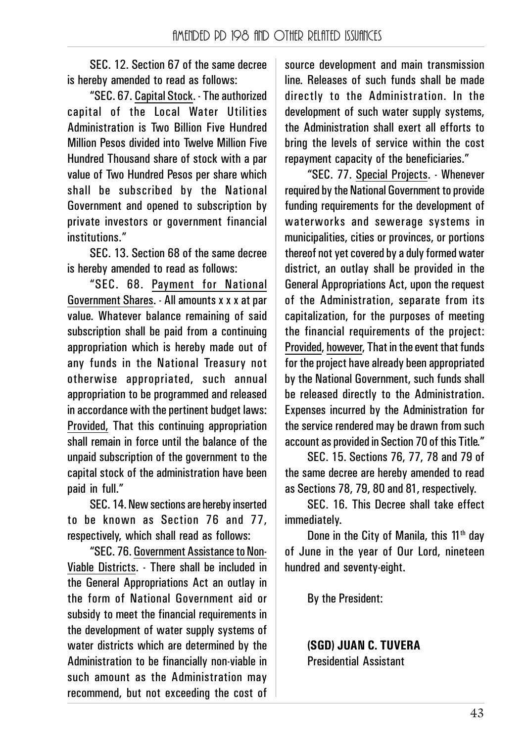SEC. 12. Section 67 of the same decree is hereby amended to read as follows:

"SEC. 67. Capital Stock. - The authorized capital of the Local Water Utilities Administration is Two Billion Five Hundred Million Pesos divided into Twelve Million Five Hundred Thousand share of stock with a par value of Two Hundred Pesos per share which shall be subscribed by the National Government and opened to subscription by private investors or government financial institutions."

SEC. 13. Section 68 of the same decree is hereby amended to read as follows:

"SEC. 68. Payment for National Government Shares. - All amounts x x x at par value. Whatever balance remaining of said subscription shall be paid from a continuing appropriation which is hereby made out of any funds in the National Treasury not otherwise appropriated, such annual appropriation to be programmed and released in accordance with the pertinent budget laws: Provided, That this continuing appropriation shall remain in force until the balance of the unpaid subscription of the government to the capital stock of the administration have been paid in full."

SEC. 14. New sections are hereby inserted to be known as Section 76 and 77, respectively, which shall read as follows:

"SEC. 76. Government Assistance to Non-Viable Districts. - There shall be included in the General Appropriations Act an outlay in the form of National Government aid or subsidy to meet the financial requirements in the development of water supply systems of water districts which are determined by the Administration to be financially non-viable in such amount as the Administration may recommend, but not exceeding the cost of source development and main transmission line. Releases of such funds shall be made directly to the Administration. In the development of such water supply systems, the Administration shall exert all efforts to bring the levels of service within the cost repayment capacity of the beneficiaries."

"SEC. 77. Special Projects. - Whenever required by the National Government to provide funding requirements for the development of waterworks and sewerage systems in municipalities, cities or provinces, or portions thereof not yet covered by a duly formed water district, an outlay shall be provided in the General Appropriations Act, upon the request of the Administration, separate from its capitalization, for the purposes of meeting the financial requirements of the project: Provided, however, That in the event that funds for the project have already been appropriated by the National Government, such funds shall be released directly to the Administration. Expenses incurred by the Administration for the service rendered may be drawn from such account as provided in Section 70 of this Title."

SEC. 15. Sections 76, 77, 78 and 79 of the same decree are hereby amended to read as Sections 78, 79, 80 and 81, respectively.

SEC. 16. This Decree shall take effect immediately.

Done in the City of Manila, this  $11<sup>th</sup>$  day of June in the year of Our Lord, nineteen hundred and seventy-eight.

By the President:

**(SGD) JUAN C. TUVERA** Presidential Assistant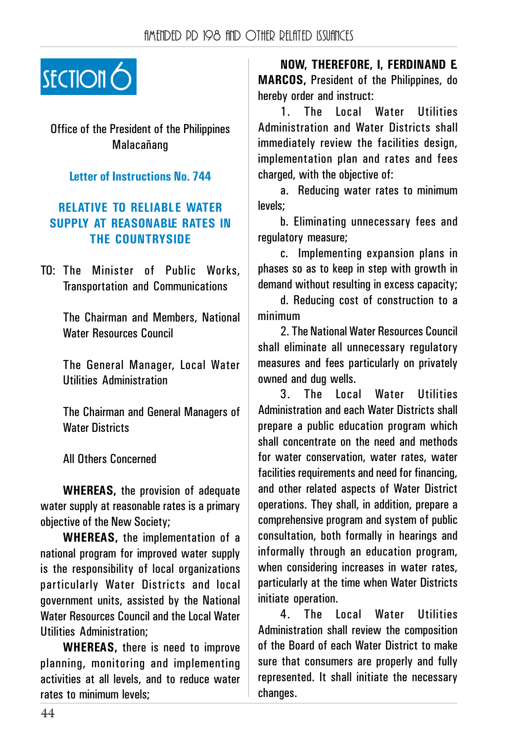

Office of the President of the Philippines Malacańang

#### **Letter of Instructions No. 744**

#### **RELATIVE TO RELIABLE WATER SUPPLY AT REASONABLE RATES IN THE COUNTRYSIDE**

TO: The Minister of Public Works, Transportation and Communications

> The Chairman and Members, National Water Resources Council

> The General Manager, Local Water Utilities Administration

> The Chairman and General Managers of Water Districts

All Others Concerned

**WHEREAS,** the provision of adequate water supply at reasonable rates is a primary objective of the New Society;

**WHEREAS,** the implementation of a national program for improved water supply is the responsibility of local organizations particularly Water Districts and local government units, assisted by the National Water Resources Council and the Local Water Utilities Administration;

**WHEREAS,** there is need to improve planning, monitoring and implementing activities at all levels, and to reduce water rates to minimum levels;

**NOW, THEREFORE, I, FERDINAND E. MARCOS,** President of the Philippines, do hereby order and instruct:

1. The Local Water Utilities Administration and Water Districts shall immediately review the facilities design, implementation plan and rates and fees charged, with the objective of:

a. Reducing water rates to minimum levels;

b. Eliminating unnecessary fees and regulatory measure;

c. Implementing expansion plans in phases so as to keep in step with growth in demand without resulting in excess capacity;

d. Reducing cost of construction to a minimum

2. The National Water Resources Council shall eliminate all unnecessary regulatory measures and fees particularly on privately owned and dug wells.

3. The Local Water Utilities Administration and each Water Districts shall prepare a public education program which shall concentrate on the need and methods for water conservation, water rates, water facilities requirements and need for financing, and other related aspects of Water District operations. They shall, in addition, prepare a comprehensive program and system of public consultation, both formally in hearings and informally through an education program, when considering increases in water rates, particularly at the time when Water Districts initiate operation.

4. The Local Water Utilities Administration shall review the composition of the Board of each Water District to make sure that consumers are properly and fully represented. It shall initiate the necessary changes.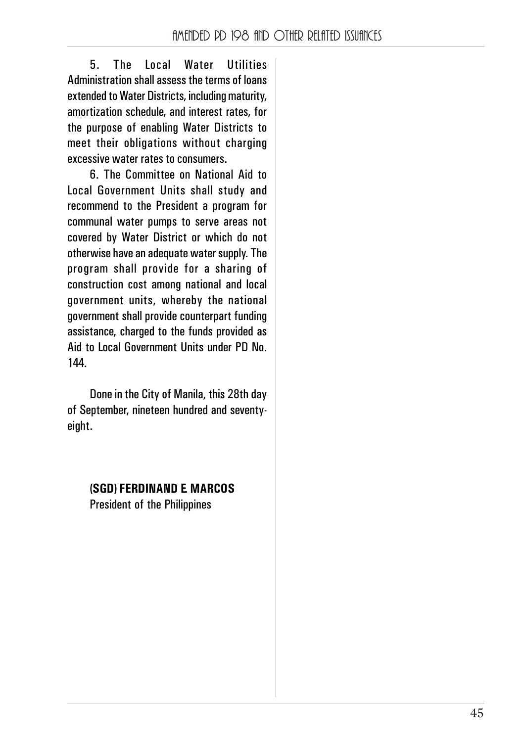5. The Local Water Utilities Administration shall assess the terms of loans extended to Water Districts, including maturity, amortization schedule, and interest rates, for the purpose of enabling Water Districts to meet their obligations without charging excessive water rates to consumers.

6. The Committee on National Aid to Local Government Units shall study and recommend to the President a program for communal water pumps to serve areas not covered by Water District or which do not otherwise have an adequate water supply. The program shall provide for a sharing of construction cost among national and local government units, whereby the national government shall provide counterpart funding assistance, charged to the funds provided as Aid to Local Government Units under PD No. 144.

Done in the City of Manila, this 28th day of September, nineteen hundred and seventyeight.

## **(SGD) FERDINAND E. MARCOS**

President of the Philippines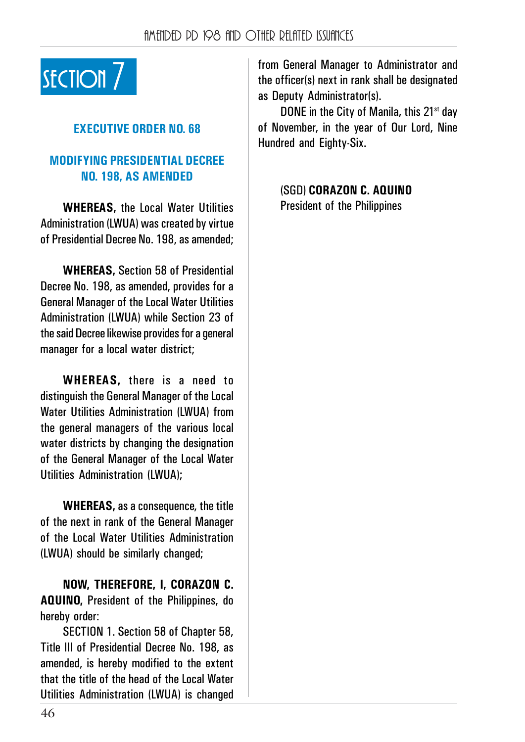

## **EXECUTIVE ORDER NO. 68**

### **MODIFYING PRESIDENTIAL DECREE NO. 198, AS AMENDED**

**WHEREAS,** the Local Water Utilities Administration (LWUA) was created by virtue of Presidential Decree No. 198, as amended;

**WHEREAS,** Section 58 of Presidential Decree No. 198, as amended, provides for a General Manager of the Local Water Utilities Administration (LWUA) while Section 23 of the said Decree likewise provides for a general manager for a local water district;

**WHEREAS,** there is a need to distinguish the General Manager of the Local Water Iltilities Administration (IWIIA) from the general managers of the various local water districts by changing the designation of the General Manager of the Local Water Utilities Administration (LWUA);

**WHEREAS,** as a consequence, the title of the next in rank of the General Manager of the Local Water Utilities Administration (LWUA) should be similarly changed;

**NOW, THEREFORE, I, CORAZON C. AQUINO,** President of the Philippines, do hereby order:

SECTION 1. Section 58 of Chapter 58, Title III of Presidential Decree No. 198, as amended, is hereby modified to the extent that the title of the head of the Local Water Utilities Administration (LWUA) is changed

section and SECTION 7 from General Manager to Administrator and the officer(s) next in rank shall be designated the officer(s) next in rank shall be designated as Deputy Administrator(s).

> DONE in the City of Manila, this 21<sup>st</sup> day of November, in the year of Our Lord, Nine Hundred and Eighty-Six.

> > (SGD) **CORAZON C. AQUINO** President of the Philippines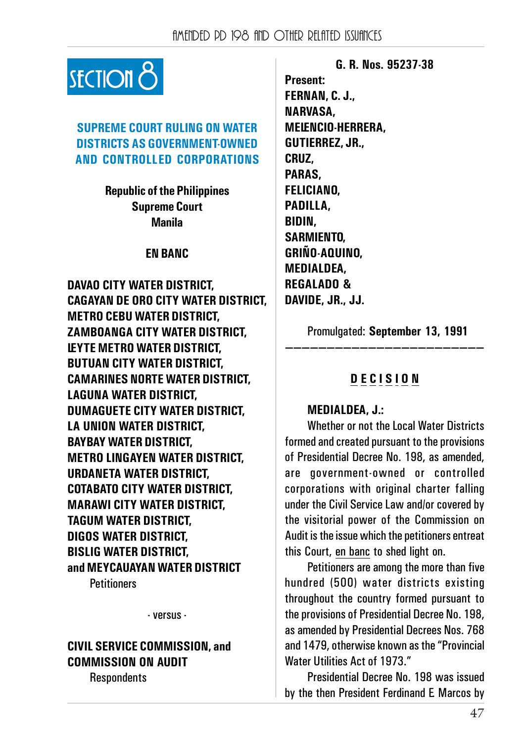

### **SUPREME COURT RULING ON WATER DISTRICTS AS GOVERNMENT-OWNED AND CONTROLLED CORPORATIONS**

**Republic of the Philippines Supreme Court Manila**

#### **EN BANC**

**DAVAO CITY WATER DISTRICT, CAGAYAN DE ORO CITY WATER DISTRICT, METRO CEBU WATER DISTRICT, ZAMBOANGA CITY WATER DISTRICT, LEYTE METRO WATER DISTRICT, BUTUAN CITY WATER DISTRICT, CAMARINES NORTE WATER DISTRICT, LAGUNA WATER DISTRICT, DUMAGUETE CITY WATER DISTRICT, LA UNION WATER DISTRICT, BAYBAY WATER DISTRICT, METRO LINGAYEN WATER DISTRICT, URDANETA WATER DISTRICT, COTABATO CITY WATER DISTRICT, MARAWI CITY WATER DISTRICT, TAGUM WATER DISTRICT, DIGOS WATER DISTRICT, BISLIG WATER DISTRICT, and MEYCAUAYAN WATER DISTRICT**

**Petitioners** 

- versus -

#### **CIVIL SERVICE COMMISSION, and COMMISSION ON AUDIT Respondents**

**G. R. Nos. 95237-38 Present: FERNAN, C. J., NARVASA, MELENCIO-HERRERA, GUTIERREZ, JR., CRUZ, PARAS, FELICIANO, PADILLA, BIDIN, SARMIENTO, GRIŃO-AQUINO, MEDIALDEA, REGALADO & DAVIDE, JR., JJ.**

Promulgated: **September 13, 1991 ————————————————————————**

## **D E C I S I O N**

#### **MEDIALDEA, J.:**

Whether or not the Local Water Districts formed and created pursuant to the provisions of Presidential Decree No. 198, as amended, are government-owned or controlled corporations with original charter falling under the Civil Service Law and/or covered by the visitorial power of the Commission on Audit is the issue which the petitioners entreat this Court, en banc to shed light on.

Petitioners are among the more than five hundred (500) water districts existing throughout the country formed pursuant to the provisions of Presidential Decree No. 198, as amended by Presidential Decrees Nos. 768 and 1479, otherwise known as the "Provincial Water Iltilities Act of 1973."

Presidential Decree No. 198 was issued by the then President Ferdinand E. Marcos by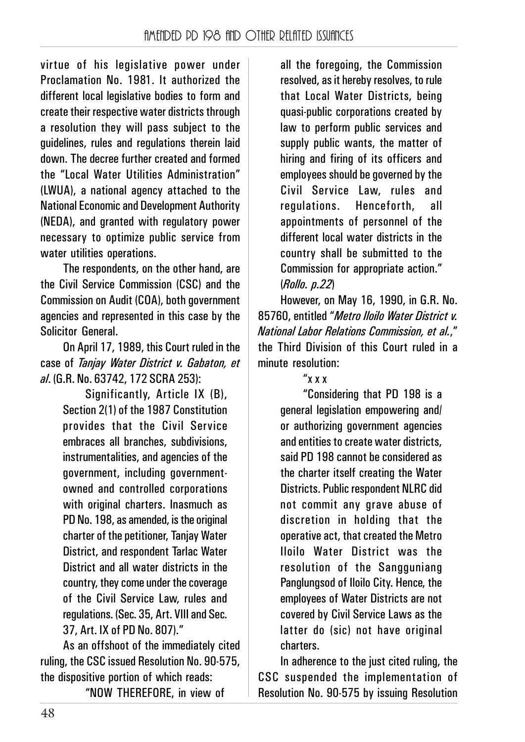virtue of his legislative power under Proclamation No. 1981. It authorized the different local legislative bodies to form and create their respective water districts through a resolution they will pass subject to the guidelines, rules and regulations therein laid down. The decree further created and formed the "Local Water Utilities Administration" (LWUA), a national agency attached to the National Economic and Development Authority (NEDA), and granted with regulatory power necessary to optimize public service from water utilities operations.

The respondents, on the other hand, are the Civil Service Commission (CSC) and the Commission on Audit (COA), both government agencies and represented in this case by the Solicitor General.

On April 17, 1989, this Court ruled in the case of *Tanjay Water District v. Gabaton, et al*. (G.R. No. 63742, 172 SCRA 253):

> Significantly, Article IX (B), Section 2(1) of the 1987 Constitution provides that the Civil Service embraces all branches, subdivisions, instrumentalities, and agencies of the government, including governmentowned and controlled corporations with original charters. Inasmuch as PD No. 198, as amended, is the original charter of the petitioner, Tanjay Water District, and respondent Tarlac Water District and all water districts in the country, they come under the coverage of the Civil Service Law, rules and regulations. (Sec. 35, Art. VIII and Sec. 37, Art. IX of PD No. 807)."

As an offshoot of the immediately cited ruling, the CSC issued Resolution No. 90-575, the dispositive portion of which reads:

"NOW THEREFORE, in view of

all the foregoing, the Commission resolved, as it hereby resolves, to rule that Local Water Districts, being quasi-public corporations created by law to perform public services and supply public wants, the matter of hiring and firing of its officers and employees should be governed by the Civil Service Law, rules and regulations. Henceforth, all appointments of personnel of the different local water districts in the country shall be submitted to the Commission for appropriate action." (*Rollo. p.22*)

However, on May 16, 1990, in G.R. No. 85760, entitled "*Metro Iloilo Water District v. National Labor Relations Commission, et al.*," the Third Division of this Court ruled in a minute resolution:

#### "x x x

"Considering that PD 198 is a general legislation empowering and/ or authorizing government agencies and entities to create water districts, said PD 198 cannot be considered as the charter itself creating the Water Districts. Public respondent NLRC did not commit any grave abuse of discretion in holding that the operative act, that created the Metro Iloilo Water District was the resolution of the Sangguniang Panglungsod of Iloilo City. Hence, the employees of Water Districts are not covered by Civil Service Laws as the latter do (sic) not have original charters.

In adherence to the just cited ruling, the CSC suspended the implementation of Resolution No. 90-575 by issuing Resolution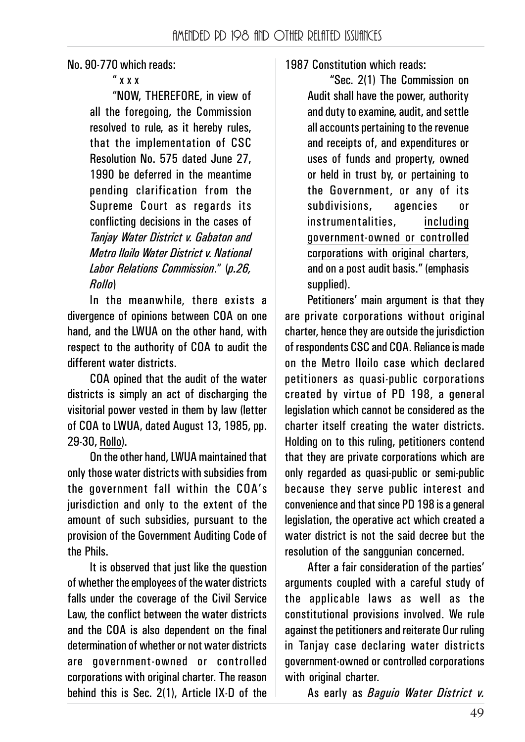No. 90-770 which reads:

" x x x

"NOW, THEREFORE, in view of all the foregoing, the Commission resolved to rule, as it hereby rules, that the implementation of CSC Resolution No. 575 dated June 27, 1990 be deferred in the meantime pending clarification from the Supreme Court as regards its conflicting decisions in the cases of *Tanjay Water District v. Gabaton and Metro Iloilo Water District v. National Labor Relations Commission*." (*p.26, Rollo*)

In the meanwhile, there exists a divergence of opinions between COA on one hand, and the LWUA on the other hand, with respect to the authority of COA to audit the different water districts.

COA opined that the audit of the water districts is simply an act of discharging the visitorial power vested in them by law (letter of COA to LWUA, dated August 13, 1985, pp. 29-30, Rollo).

On the other hand, LWUA maintained that only those water districts with subsidies from the government fall within the COA's jurisdiction and only to the extent of the amount of such subsidies, pursuant to the provision of the Government Auditing Code of the Phils.

It is observed that just like the question of whether the employees of the water districts falls under the coverage of the Civil Service Law, the conflict between the water districts and the COA is also dependent on the final determination of whether or not water districts are government-owned or controlled corporations with original charter. The reason behind this is Sec. 2(1), Article IX-D of the

## 1987 Constitution which reads:

"Sec. 2(1) The Commission on Audit shall have the power, authority and duty to examine, audit, and settle all accounts pertaining to the revenue and receipts of, and expenditures or uses of funds and property, owned or held in trust by, or pertaining to the Government, or any of its subdivisions, agencies or instrumentalities, including government-owned or controlled corporations with original charters, and on a post audit basis." (emphasis supplied).

Petitioners' main argument is that they are private corporations without original charter, hence they are outside the jurisdiction of respondents CSC and COA. Reliance is made on the Metro Iloilo case which declared petitioners as quasi-public corporations created by virtue of PD 198, a general legislation which cannot be considered as the charter itself creating the water districts. Holding on to this ruling, petitioners contend that they are private corporations which are only regarded as quasi-public or semi-public because they serve public interest and convenience and that since PD 198 is a general legislation, the operative act which created a water district is not the said decree but the resolution of the sanggunian concerned.

After a fair consideration of the parties' arguments coupled with a careful study of the applicable laws as well as the constitutional provisions involved. We rule against the petitioners and reiterate Our ruling in Tanjay case declaring water districts government-owned or controlled corporations with original charter.

As early as *Baguio Water District v.*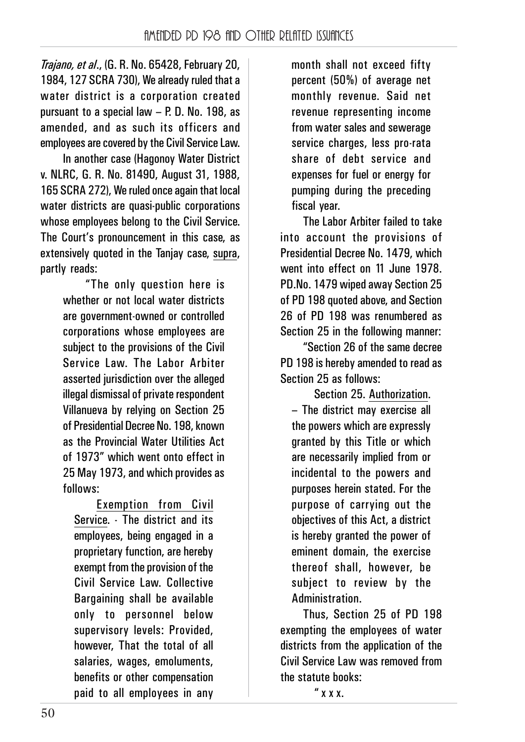*Trajano, et al*., (G. R. No. 65428, February 20, 1984, 127 SCRA 730), We already ruled that a water district is a corporation created pursuant to a special law – P. D. No. 198, as amended, and as such its officers and employees are covered by the Civil Service Law.

In another case (Hagonoy Water District v. NLRC, G. R. No. 81490, August 31, 1988, 165 SCRA 272), We ruled once again that local water districts are quasi-public corporations whose employees belong to the Civil Service. The Court's pronouncement in this case, as extensively quoted in the Taniay case, supra, partly reads:

> "The only question here is whether or not local water districts are government-owned or controlled corporations whose employees are subject to the provisions of the Civil Service Law. The Labor Arbiter asserted jurisdiction over the alleged illegal dismissal of private respondent Villanueva by relying on Section 25 of Presidential Decree No. 198, known as the Provincial Water Utilities Act of 1973" which went onto effect in 25 May 1973, and which provides as follows:

Exemption from Civil Service. - The district and its employees, being engaged in a proprietary function, are hereby exempt from the provision of the Civil Service Law. Collective Bargaining shall be available only to personnel below supervisory levels: Provided, however, That the total of all salaries, wages, emoluments, benefits or other compensation paid to all employees in any

month shall not exceed fifty percent (50%) of average net monthly revenue. Said net revenue representing income from water sales and sewerage service charges, less pro-rata share of debt service and expenses for fuel or energy for pumping during the preceding fiscal year.

The Labor Arbiter failed to take into account the provisions of Presidential Decree No. 1479, which went into effect on 11 June 1978. PD.No. 1479 wiped away Section 25 of PD 198 quoted above, and Section 26 of PD 198 was renumbered as Section 25 in the following manner:

"Section 26 of the same decree PD 198 is hereby amended to read as Section 25 as follows:

Section 25. Authorization. – The district may exercise all the powers which are expressly granted by this Title or which are necessarily implied from or incidental to the powers and purposes herein stated. For the purpose of carrying out the objectives of this Act, a district is hereby granted the power of eminent domain, the exercise thereof shall, however, be subject to review by the Administration.

Thus, Section 25 of PD 198 exempting the employees of water districts from the application of the Civil Service Law was removed from the statute books:

" x x x.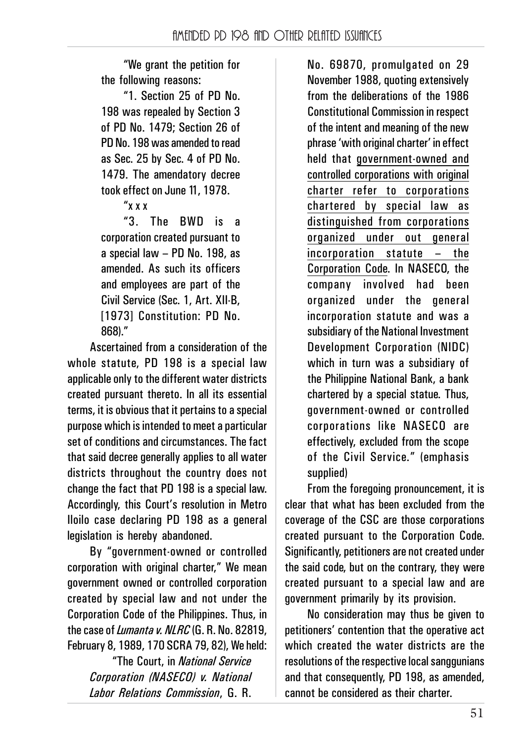"We grant the petition for the following reasons:

"1. Section 25 of PD No. 198 was repealed by Section 3 of PD No. 1479; Section 26 of PD No. 198 was amended to read as Sec. 25 by Sec. 4 of PD No. 1479. The amendatory decree took effect on June 11, 1978.

"x x x

"3. The BWD is a corporation created pursuant to a special law – PD No. 198, as amended. As such its officers and employees are part of the Civil Service (Sec. 1, Art. XII-B, [1973] Constitution: PD No. 868)."

Ascertained from a consideration of the whole statute, PD 198 is a special law applicable only to the different water districts created pursuant thereto. In all its essential terms, it is obvious that it pertains to a special purpose which is intended to meet a particular set of conditions and circumstances. The fact that said decree generally applies to all water districts throughout the country does not change the fact that PD 198 is a special law. Accordingly, this Court's resolution in Metro Iloilo case declaring PD 198 as a general legislation is hereby abandoned.

By "government-owned or controlled corporation with original charter," We mean government owned or controlled corporation created by special law and not under the Corporation Code of the Philippines. Thus, in the case of *Lumanta v. NLRC* (G. R. No. 82819, February 8, 1989, 170 SCRA 79, 82), We held:

> "The Court, in *National Service Corporation (NASECO) v. National Labor Relations Commission*, G. R.

No. 69870, promulgated on 29 November 1988, quoting extensively from the deliberations of the 1986 Constitutional Commission in respect of the intent and meaning of the new phrase 'with original charter' in effect held that government-owned and controlled corporations with original charter refer to corporations chartered by special law as distinguished from corporations organized under out general incorporation statute – the Corporation Code. In NASECO, the company involved had been organized under the general incorporation statute and was a subsidiary of the National Investment Development Corporation (NIDC) which in turn was a subsidiary of the Philippine National Bank, a bank chartered by a special statue. Thus, government-owned or controlled corporations like NASECO are effectively, excluded from the scope of the Civil Service." (emphasis supplied)

From the foregoing pronouncement, it is clear that what has been excluded from the coverage of the CSC are those corporations created pursuant to the Corporation Code. Significantly, petitioners are not created under the said code, but on the contrary, they were created pursuant to a special law and are government primarily by its provision.

No consideration may thus be given to petitioners' contention that the operative act which created the water districts are the resolutions of the respective local sanggunians and that consequently, PD 198, as amended, cannot be considered as their charter.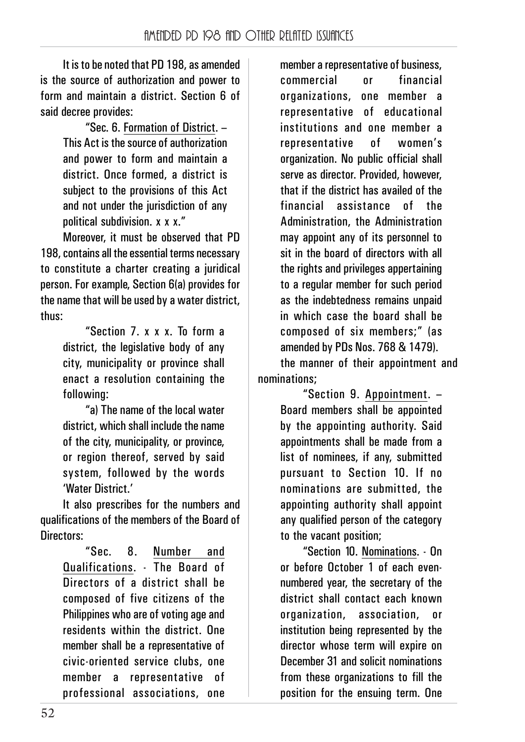It is to be noted that PD 198, as amended is the source of authorization and power to form and maintain a district. Section 6 of said decree provides:

> "Sec. 6. Formation of District. – This Act is the source of authorization and power to form and maintain a district. Once formed, a district is subject to the provisions of this Act and not under the jurisdiction of any political subdivision. x x x."

Moreover, it must be observed that PD 198, contains all the essential terms necessary to constitute a charter creating a juridical person. For example, Section 6(a) provides for the name that will be used by a water district, thus:

> "Section 7. x x x. To form a district, the legislative body of any city, municipality or province shall enact a resolution containing the following:

"a) The name of the local water district, which shall include the name of the city, municipality, or province, or region thereof, served by said system, followed by the words 'Water District'

It also prescribes for the numbers and qualifications of the members of the Board of Directors:

> "Sec. 8. Number and Qualifications. - The Board of Directors of a district shall be composed of five citizens of the Philippines who are of voting age and residents within the district. One member shall be a representative of civic-oriented service clubs, one member a representative of professional associations, one

member a representative of business, commercial or financial organizations, one member a representative of educational institutions and one member a representative of women's organization. No public official shall serve as director. Provided, however, that if the district has availed of the financial assistance of the Administration, the Administration may appoint any of its personnel to sit in the board of directors with all the rights and privileges appertaining to a regular member for such period as the indebtedness remains unpaid in which case the board shall be composed of six members;" (as amended by PDs Nos. 768 & 1479). the manner of their appointment and nominations;

> "Section 9. Appointment. – Board members shall be annointed by the appointing authority. Said appointments shall be made from a list of nominees, if any, submitted pursuant to Section 10. If no nominations are submitted, the appointing authority shall appoint any qualified person of the category to the vacant position;

> "Section 10. Nominations. - On or before October 1 of each evennumbered year, the secretary of the district shall contact each known organization, association, or institution being represented by the director whose term will expire on December 31 and solicit nominations from these organizations to fill the position for the ensuing term. One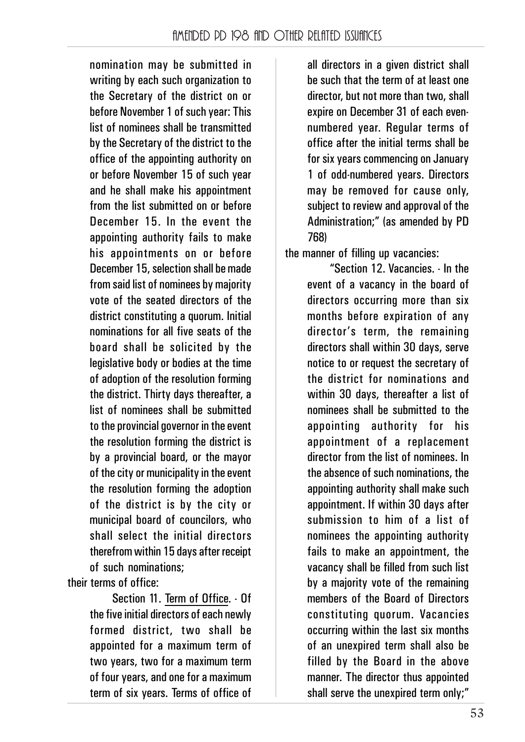nomination may be submitted in writing by each such organization to the Secretary of the district on or before November 1 of such year: This list of nominees shall be transmitted by the Secretary of the district to the office of the appointing authority on or before November 15 of such year and he shall make his appointment from the list submitted on or before December 15. In the event the appointing authority fails to make his appointments on or before December 15, selection shall be made from said list of nominees by majority vote of the seated directors of the district constituting a quorum. Initial nominations for all five seats of the board shall be solicited by the legislative body or bodies at the time of adoption of the resolution forming the district. Thirty days thereafter, a list of nominees shall be submitted to the provincial governor in the event the resolution forming the district is by a provincial board, or the mayor of the city or municipality in the event the resolution forming the adoption of the district is by the city or municipal board of councilors, who shall select the initial directors therefrom within 15 days after receipt of such nominations;

their terms of office:

Section 11. Term of Office. - Of the five initial directors of each newly formed district, two shall be appointed for a maximum term of two years, two for a maximum term of four years, and one for a maximum term of six years. Terms of office of all directors in a given district shall be such that the term of at least one director, but not more than two, shall expire on December 31 of each evennumbered year. Regular terms of office after the initial terms shall be for six years commencing on January 1 of odd-numbered years. Directors may be removed for cause only, subject to review and approval of the Administration;" (as amended by PD 768)

the manner of filling up vacancies:

"Section 12. Vacancies. - In the event of a vacancy in the board of directors occurring more than six months before expiration of any director's term, the remaining directors shall within 30 days, serve notice to or request the secretary of the district for nominations and within 30 days, thereafter a list of nominees shall be submitted to the appointing authority for his appointment of a replacement director from the list of nominees. In the absence of such nominations, the appointing authority shall make such appointment. If within 30 days after submission to him of a list of nominees the appointing authority fails to make an appointment, the vacancy shall be filled from such list by a majority vote of the remaining members of the Board of Directors constituting quorum. Vacancies occurring within the last six months of an unexpired term shall also be filled by the Board in the above manner. The director thus appointed shall serve the unexpired term only;"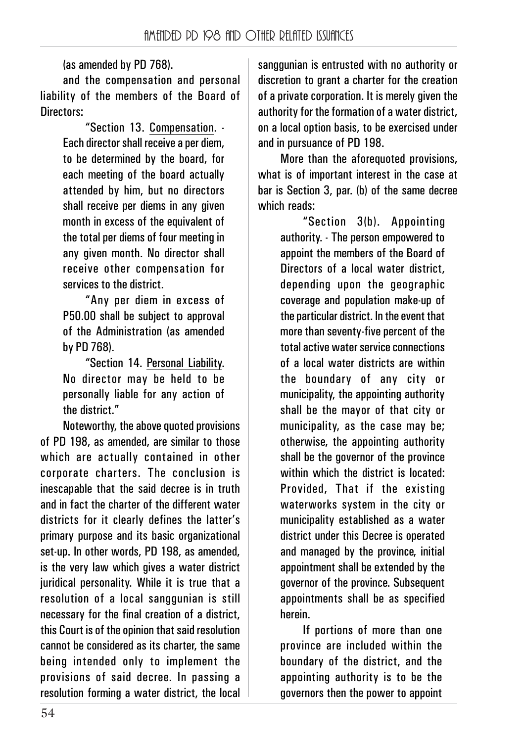(as amended by PD 768).

and the compensation and personal liability of the members of the Board of Directors:

> "Section 13. Compensation. - Each director shall receive a per diem, to be determined by the board, for each meeting of the board actually attended by him, but no directors shall receive per diems in any given month in excess of the equivalent of the total per diems of four meeting in any given month. No director shall receive other compensation for services to the district.

> "Any per diem in excess of P50.00 shall be subject to approval of the Administration (as amended by PD 768).

> "Section 14. Personal Liability. No director may be held to be personally liable for any action of the district."

Noteworthy, the above quoted provisions of PD 198, as amended, are similar to those which are actually contained in other corporate charters. The conclusion is inescapable that the said decree is in truth and in fact the charter of the different water districts for it clearly defines the latter's primary purpose and its basic organizational set-up. In other words, PD 198, as amended, is the very law which gives a water district juridical personality. While it is true that a resolution of a local sanggunian is still necessary for the final creation of a district, this Court is of the opinion that said resolution cannot be considered as its charter, the same being intended only to implement the provisions of said decree. In passing a resolution forming a water district, the local

sanggunian is entrusted with no authority or discretion to grant a charter for the creation of a private corporation. It is merely given the authority for the formation of a water district, on a local option basis, to be exercised under and in pursuance of PD 198.

More than the aforequoted provisions, what is of important interest in the case at bar is Section 3, par. (b) of the same decree which reads:

"Section 3(b). Appointing authority. - The person empowered to appoint the members of the Board of Directors of a local water district, depending upon the geographic coverage and population make-up of the particular district. In the event that more than seventy-five percent of the total active water service connections of a local water districts are within the boundary of any city or municipality, the appointing authority shall be the mayor of that city or municipality, as the case may be; otherwise, the appointing authority shall be the governor of the province within which the district is located: Provided, That if the existing waterworks system in the city or municipality established as a water district under this Decree is operated and managed by the province, initial appointment shall be extended by the governor of the province. Subsequent appointments shall be as specified herein.

If portions of more than one province are included within the boundary of the district, and the appointing authority is to be the governors then the power to appoint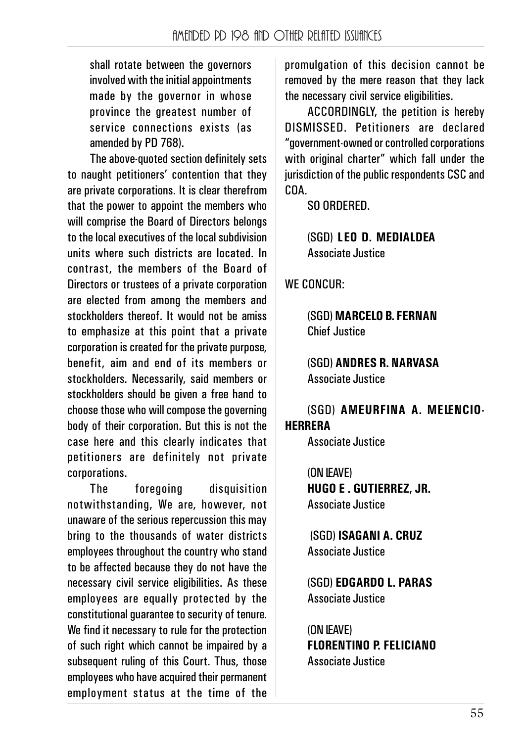shall rotate between the governors involved with the initial appointments made by the governor in whose province the greatest number of service connections exists (as amended by PD 768).

The above-quoted section definitely sets to naught petitioners' contention that they are private corporations. It is clear therefrom that the power to appoint the members who will comprise the Board of Directors belongs to the local executives of the local subdivision units where such districts are located. In contrast, the members of the Board of Directors or trustees of a private corporation are elected from among the members and stockholders thereof. It would not be amiss to emphasize at this point that a private corporation is created for the private purpose, benefit, aim and end of its members or stockholders. Necessarily, said members or stockholders should be given a free hand to choose those who will compose the governing body of their corporation. But this is not the case here and this clearly indicates that petitioners are definitely not private corporations.

The foregoing disquisition notwithstanding, We are, however, not unaware of the serious repercussion this may bring to the thousands of water districts employees throughout the country who stand to be affected because they do not have the necessary civil service eligibilities. As these employees are equally protected by the constitutional guarantee to security of tenure. We find it necessary to rule for the protection of such right which cannot be impaired by a subsequent ruling of this Court. Thus, those employees who have acquired their permanent employment status at the time of the

promulgation of this decision cannot be removed by the mere reason that they lack the necessary civil service eligibilities.

ACCORDINGLY, the petition is hereby DISMISSED. Petitioners are declared "government-owned or controlled corporations with original charter" which fall under the jurisdiction of the public respondents CSC and COA.

SO ORDERED.

(SGD) **LEO D. MEDIALDEA** Associate Justice

WE CONCUR:

(SGD) **MARCELO B. FERNAN** Chief Justice

(SGD) **ANDRES R. NARVASA** Associate Justice

(SGD) **AMEURFINA A. MELENCIO-HERRERA**

Associate Justice

(ON LEAVE) **HUGO E . GUTIERREZ, JR.** Associate Justice

 (SGD) **ISAGANI A. CRUZ** Associate Justice

(SGD) **EDGARDO L. PARAS** Associate Justice

(ON LEAVE) **FLORENTINO P. FELICIANO** Associate Justice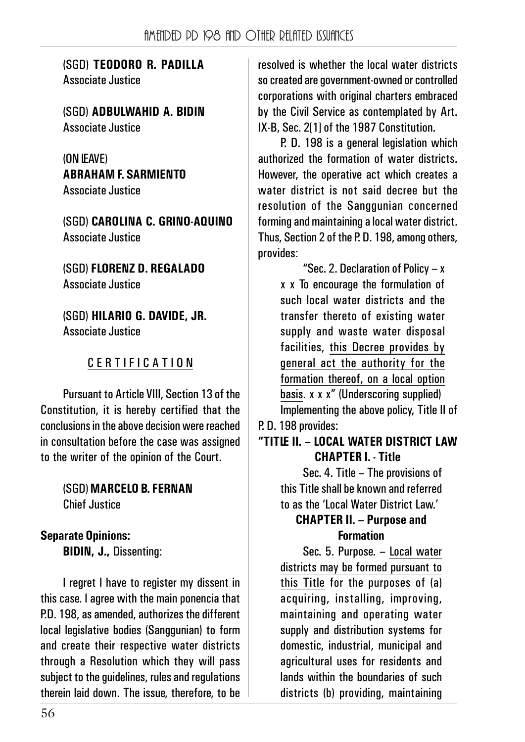(SGD) **TEODORO R. PADILLA** Associate Justice

(SGD) **ADBULWAHID A. BIDIN** Associate Justice

(ON LEAVE) **ABRAHAM F. SARMIENTO** Associate Justice

(SGD) **CAROLINA C. GRINO-AQUINO** Associate Justice

(SGD) **FLORENZ D. REGALADO** Associate Justice

(SGD) **HILARIO G. DAVIDE, JR.** Associate Justice

## CERTIFICATION

Pursuant to Article VIII, Section 13 of the Constitution, it is hereby certified that the conclusions in the above decision were reached in consultation before the case was assigned to the writer of the opinion of the Court.

### (SGD) **MARCELO B. FERNAN** Chief Justice

## **Separate Opinions:**

**BIDIN, J.,** Dissenting:

I regret I have to register my dissent in this case. I agree with the main ponencia that P.D. 198, as amended, authorizes the different local legislative bodies (Sanggunian) to form and create their respective water districts through a Resolution which they will pass subject to the guidelines, rules and regulations therein laid down. The issue, therefore, to be resolved is whether the local water districts so created are government-owned or controlled corporations with original charters embraced by the Civil Service as contemplated by Art. IX-B, Sec. 2[1] of the 1987 Constitution.

P. D. 198 is a general legislation which authorized the formation of water districts. However, the operative act which creates a water district is not said decree but the resolution of the Sanggunian concerned forming and maintaining a local water district. Thus, Section 2 of the P. D. 198, among others, provides:

"Sec. 2. Declaration of Policy – x x x To encourage the formulation of such local water districts and the transfer thereto of existing water supply and waste water disposal facilities, this Decree provides by general act the authority for the formation thereof, on a local option basis. x x x" (Underscoring supplied) Implementing the above policy, Title II of

# P. D. 198 provides:

#### **"TITLE II. – LOCAL WATER DISTRICT LAW CHAPTER I. - Title**

Sec. 4. Title – The provisions of this Title shall be known and referred to as the 'Local Water District Law.'

## **CHAPTER II. – Purpose and Formation**

Sec. 5. Purpose. – Local water districts may be formed pursuant to this Title for the purposes of (a) acquiring, installing, improving, maintaining and operating water supply and distribution systems for domestic, industrial, municipal and agricultural uses for residents and lands within the boundaries of such districts (b) providing, maintaining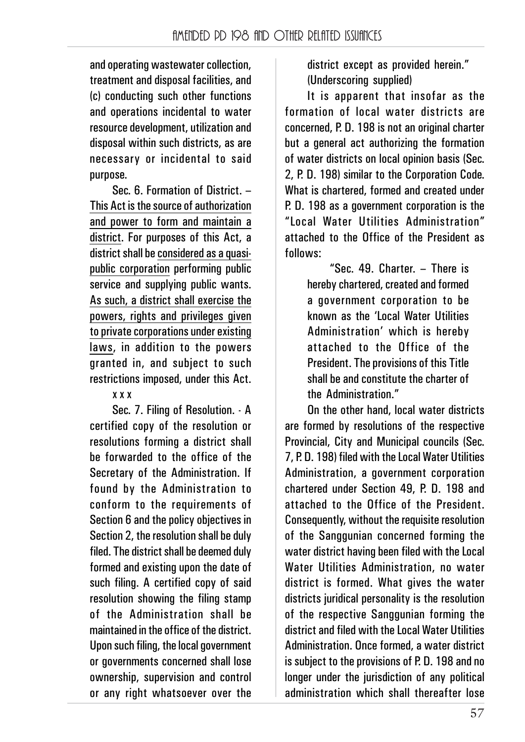and operating wastewater collection, treatment and disposal facilities, and (c) conducting such other functions and operations incidental to water resource development, utilization and disposal within such districts, as are necessary or incidental to said purpose.

Sec. 6. Formation of District. – This Act is the source of authorization and power to form and maintain a district. For purposes of this Act, a district shall be considered as a quasipublic corporation performing public service and supplying public wants. As such, a district shall exercise the powers, rights and privileges given to private corporations under existing laws, in addition to the powers granted in, and subject to such restrictions imposed, under this Act.

### x x x

Sec. 7. Filing of Resolution. - A certified copy of the resolution or resolutions forming a district shall be forwarded to the office of the Secretary of the Administration. If found by the Administration to conform to the requirements of Section 6 and the policy objectives in Section 2, the resolution shall be duly filed. The district shall be deemed duly formed and existing upon the date of such filing. A certified copy of said resolution showing the filing stamp of the Administration shall be maintained in the office of the district. Upon such filing, the local government or governments concerned shall lose ownership, supervision and control or any right whatsoever over the

district except as provided herein." (Underscoring supplied)

It is apparent that insofar as the formation of local water districts are concerned, P. D. 198 is not an original charter but a general act authorizing the formation of water districts on local opinion basis (Sec. 2, P. D. 198) similar to the Corporation Code. What is chartered, formed and created under P. D. 198 as a government corporation is the "Local Water Utilities Administration" attached to the Office of the President as follows:

"Sec. 49. Charter. – There is hereby chartered, created and formed a government corporation to be known as the 'Local Water Utilities Administration' which is hereby attached to the Office of the President. The provisions of this Title shall be and constitute the charter of the Administration."

On the other hand, local water districts are formed by resolutions of the respective Provincial, City and Municipal councils (Sec. 7, P. D. 198) filed with the Local Water Utilities Administration, a government corporation chartered under Section 49, P. D. 198 and attached to the Office of the President. Consequently, without the requisite resolution of the Sanggunian concerned forming the water district having been filed with the Local Water Utilities Administration, no water district is formed. What gives the water districts juridical personality is the resolution of the respective Sanggunian forming the district and filed with the Local Water Utilities Administration. Once formed, a water district is subject to the provisions of P. D. 198 and no longer under the jurisdiction of any political administration which shall thereafter lose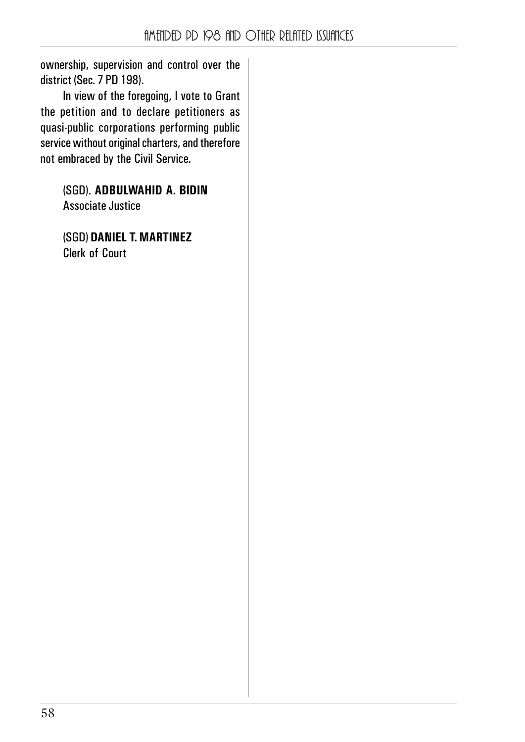ownership, supervision and control over the district (Sec. 7 PD 198).

In view of the foregoing, I vote to Grant the petition and to declare petitioners as quasi-public corporations performing public service without original charters, and therefore not embraced by the Civil Service.

> (SGD). **ADBULWAHID A. BIDIN** Associate Justice

(SGD) **DANIEL T. MARTINEZ** Clerk of Court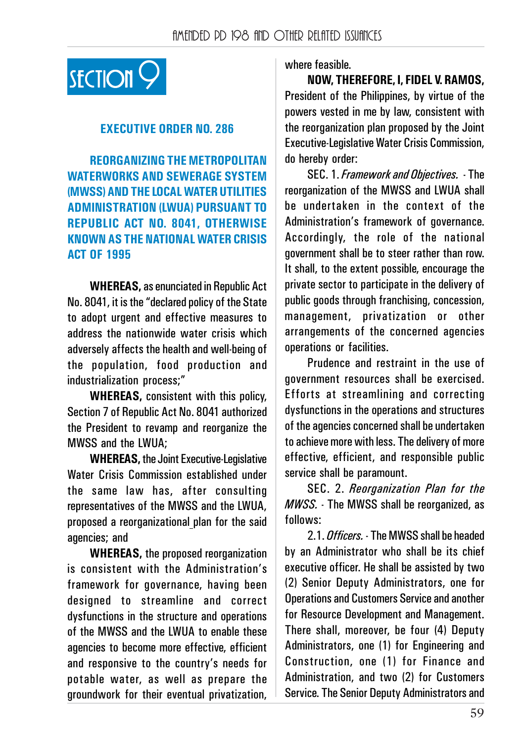

#### **EXECUTIVE ORDER NO. 286**

**REORGANIZING THE METROPOLITAN WATERWORKS AND SEWERAGE SYSTEM (MWSS) AND THE LOCAL WATER UTILITIES ADMINISTRATION (LWUA) PURSUANT TO REPUBLIC ACT NO. 8041, OTHERWISE KNOWN AS THE NATIONAL WATER CRISIS ACT OF 1995**

**WHEREAS,** as enunciated in Republic Act No. 8041, it is the "declared policy of the State to adopt urgent and effective measures to address the nationwide water crisis which adversely affects the health and well-being of the population, food production and industrialization process;"

**WHEREAS,** consistent with this policy, Section 7 of Republic Act No. 8041 authorized the President to revamp and reorganize the MWSS and the LWUA;

**WHEREAS,** the Joint Executive-Legislative Water Crisis Commission established under the same law has, after consulting representatives of the MWSS and the LWUA, proposed a reorganizational plan for the said agencies; and

**WHEREAS,** the proposed reorganization is consistent with the Administration's framework for governance, having been designed to streamline and correct dysfunctions in the structure and operations of the MWSS and the LWUA to enable these agencies to become more effective, efficient and responsive to the country's needs for potable water, as well as prepare the groundwork for their eventual privatization,

#### where feasible.

**NOW, THEREFORE, I, FIDEL V. RAMOS,** President of the Philippines, by virtue of the powers vested in me by law, consistent with the reorganization plan proposed by the Joint Executive-Legislative Water Crisis Commission, do hereby order:

SEC. 1. *Framework and Objectives.* - The reorganization of the MWSS and LWUA shall be undertaken in the context of the Administration's framework of governance. Accordingly, the role of the national government shall be to steer rather than row. It shall, to the extent possible, encourage the private sector to participate in the delivery of public goods through franchising, concession, management, privatization or other arrangements of the concerned agencies operations or facilities.

Prudence and restraint in the use of government resources shall be exercised. Efforts at streamlining and correcting dysfunctions in the operations and structures of the agencies concerned shall be undertaken to achieve more with less. The delivery of more effective, efficient, and responsible public service shall be paramount.

SEC. 2. *Reorganization Plan for the MWSS.* - The MWSS shall be reorganized, as follows:

2.1. *Officers.* - The MWSS shall be headed by an Administrator who shall be its chief executive officer. He shall be assisted by two (2) Senior Deputy Administrators, one for Operations and Customers Service and another for Resource Development and Management. There shall, moreover, be four (4) Deputy Administrators, one (1) for Engineering and Construction, one (1) for Finance and Administration, and two (2) for Customers Service. The Senior Deputy Administrators and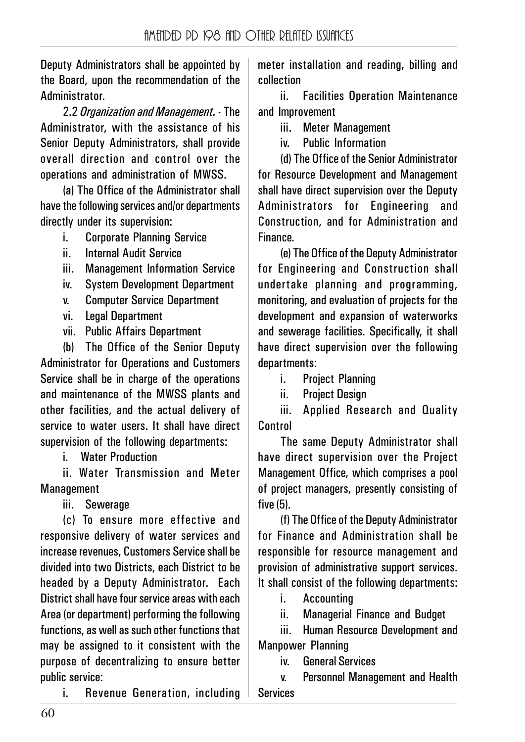Deputy Administrators shall be appointed by the Board, upon the recommendation of the **Administrator** 

2.2 *Organization and Management.* - The Administrator, with the assistance of his Senior Deputy Administrators, shall provide overall direction and control over the operations and administration of MWSS.

(a) The Office of the Administrator shall have the following services and/or departments directly under its supervision:

- i. Corporate Planning Service
- ii. Internal Audit Service
- iii. Management Information Service
- iv. System Development Department
- v. Computer Service Department
- vi. Legal Department
- vii. Public Affairs Department

(b) The Office of the Senior Deputy Administrator for Operations and Customers Service shall be in charge of the operations and maintenance of the MWSS plants and other facilities, and the actual delivery of service to water users. It shall have direct supervision of the following departments:

i Water Production

ii. Water Transmission and Meter **Management** 

iii. Sewerage

(c) To ensure more effective and responsive delivery of water services and increase revenues, Customers Service shall be divided into two Districts, each District to be headed by a Deputy Administrator. Each District shall have four service areas with each Area (or department) performing the following functions, as well as such other functions that may be assigned to it consistent with the purpose of decentralizing to ensure better public service:

i. Revenue Generation, including

meter installation and reading, billing and collection

ii. Facilities Operation Maintenance and Improvement

iii. Meter Management

iv. Public Information

(d) The Office of the Senior Administrator for Resource Development and Management shall have direct supervision over the Deputy Administrators for Engineering and Construction, and for Administration and Finance.

(e) The Office of the Deputy Administrator for Engineering and Construction shall undertake planning and programming, monitoring, and evaluation of projects for the development and expansion of waterworks and sewerage facilities. Specifically, it shall have direct supervision over the following departments:

i. Project Planning

ii. Project Design

iii. Applied Research and Quality Control

The same Deputy Administrator shall have direct supervision over the Project Management Office, which comprises a pool of project managers, presently consisting of five (5).

(f) The Office of the Deputy Administrator for Finance and Administration shall be responsible for resource management and provision of administrative support services. It shall consist of the following departments:

i. Accounting

ii. Managerial Finance and Budget

iii. Human Resource Development and Manpower Planning

iv. General Services

v. Personnel Management and Health Services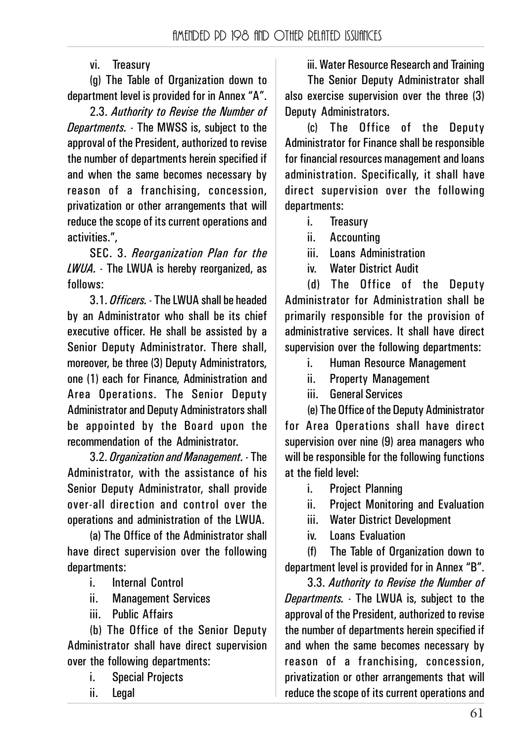vi. Treasury

(g) The Table of Organization down to department level is provided for in Annex "A".

2.3. *Authority to Revise the Number of Departments.* - The MWSS is, subject to the approval of the President, authorized to revise the number of departments herein specified if and when the same becomes necessary by reason of a franchising, concession, privatization or other arrangements that will reduce the scope of its current operations and activities.",

SEC. 3. *Reorganization Plan for the LWUA.* - The LWUA is hereby reorganized, as follows:

3.1. *Officers.* - The LWUA shall be headed by an Administrator who shall be its chief executive officer. He shall be assisted by a Senior Deputy Administrator. There shall, moreover, be three (3) Deputy Administrators, one (1) each for Finance, Administration and Area Operations. The Senior Deputy Administrator and Deputy Administrators shall be appointed by the Board upon the recommendation of the Administrator.

3.2. *Organization and Management.* - The Administrator, with the assistance of his Senior Deputy Administrator, shall provide over-all direction and control over the operations and administration of the LWUA.

(a) The Office of the Administrator shall have direct supervision over the following departments:

- i. Internal Control
- ii. Management Services
- iii. Public Affairs

(b) The Office of the Senior Deputy Administrator shall have direct supervision over the following departments:

- i. Special Projects
- ii. Legal

iii. Water Resource Research and Training The Senior Deputy Administrator shall also exercise supervision over the three (3) Deputy Administrators.

(c) The Office of the Deputy Administrator for Finance shall be responsible for financial resources management and loans administration. Specifically, it shall have direct supervision over the following departments:

- i. Treasury
- ii. Accounting

iii. Loans Administration

iv. Water District Audit

(d) The Office of the Deputy Administrator for Administration shall be primarily responsible for the provision of administrative services. It shall have direct supervision over the following departments:

- i. Human Resource Management
- ii. Property Management
- iii. General Services

(e) The Office of the Deputy Administrator for Area Operations shall have direct supervision over nine (9) area managers who will be responsible for the following functions at the field level:

- i. Project Planning
- ii. Project Monitoring and Evaluation
- iii. Water District Development
- iv. Loans Evaluation

(f) The Table of Organization down to department level is provided for in Annex "B".

3.3. *Authority to Revise the Number of Departments.* - The LWUA is, subject to the approval of the President, authorized to revise the number of departments herein specified if and when the same becomes necessary by reason of a franchising, concession, privatization or other arrangements that will reduce the scope of its current operations and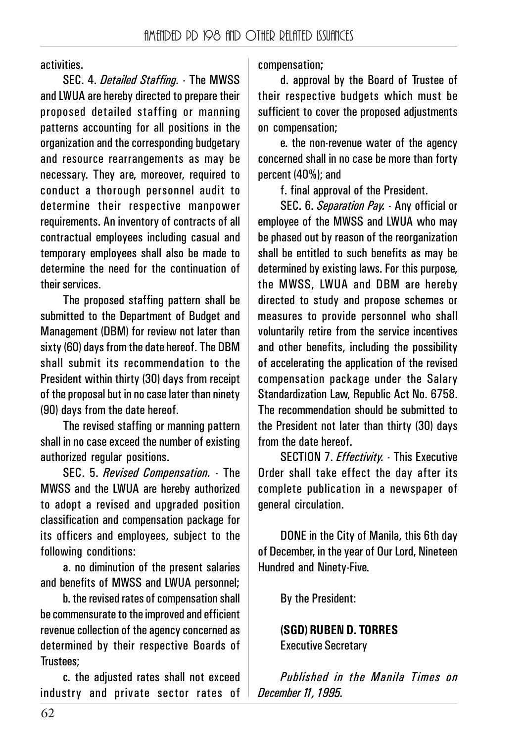activities.

SEC. 4. *Detailed Staffing.* - The MWSS and LWUA are hereby directed to prepare their proposed detailed staffing or manning patterns accounting for all positions in the organization and the corresponding budgetary and resource rearrangements as may be necessary. They are, moreover, required to conduct a thorough personnel audit to determine their respective manpower requirements. An inventory of contracts of all contractual employees including casual and temporary employees shall also be made to determine the need for the continuation of their services.

The proposed staffing pattern shall be submitted to the Department of Budget and Management (DBM) for review not later than sixty (60) days from the date hereof. The DBM shall submit its recommendation to the President within thirty (30) days from receipt of the proposal but in no case later than ninety (90) days from the date hereof.

The revised staffing or manning pattern shall in no case exceed the number of existing authorized regular positions.

SEC. 5. *Revised Compensation.* - The MWSS and the LWUA are hereby authorized to adopt a revised and upgraded position classification and compensation package for its officers and employees, subject to the following conditions:

a. no diminution of the present salaries and benefits of MWSS and LWUA personnel;

b. the revised rates of compensation shall be commensurate to the improved and efficient revenue collection of the agency concerned as determined by their respective Boards of Trustees;

c. the adjusted rates shall not exceed industry and private sector rates of compensation;

d. approval by the Board of Trustee of their respective budgets which must be sufficient to cover the proposed adjustments on compensation;

e. the non-revenue water of the agency concerned shall in no case be more than forty percent (40%); and

f. final approval of the President.

SEC. 6. *Separation Pay.* - Any official or employee of the MWSS and LWUA who may be phased out by reason of the reorganization shall be entitled to such benefits as may be determined by existing laws. For this purpose, the MWSS, LWUA and DBM are hereby directed to study and propose schemes or measures to provide personnel who shall voluntarily retire from the service incentives and other benefits, including the possibility of accelerating the application of the revised compensation package under the Salary Standardization Law, Republic Act No. 6758. The recommendation should be submitted to the President not later than thirty (30) days from the date hereof.

SECTION 7. *Effectivity.* - This Executive Order shall take effect the day after its complete publication in a newspaper of general circulation.

DONE in the City of Manila, this 6th day of December, in the year of Our Lord, Nineteen Hundred and Ninety-Five.

By the President:

**(SGD) RUBEN D. TORRES** Executive Secretary

*Published in the Manila Times on December 11, 1995.*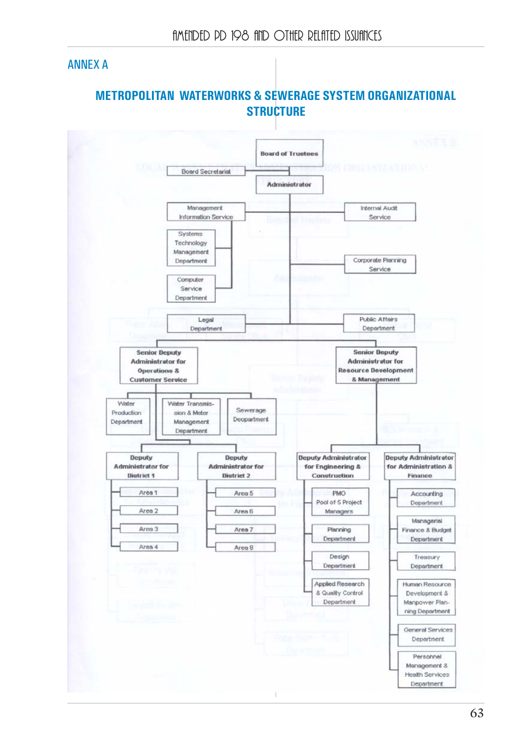### ANNEX A

## **METROPOLITAN WATERWORKS & SEWERAGE SYSTEM ORGANIZATIONAL STRUCTURE**

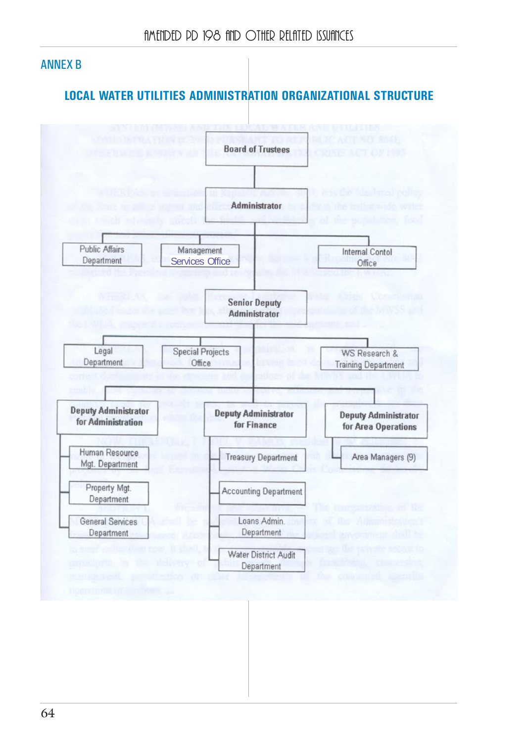### ANNEX B

## **LOCAL WATER UTILITIES ADMINISTRATION ORGANIZATIONAL STRUCTURE**

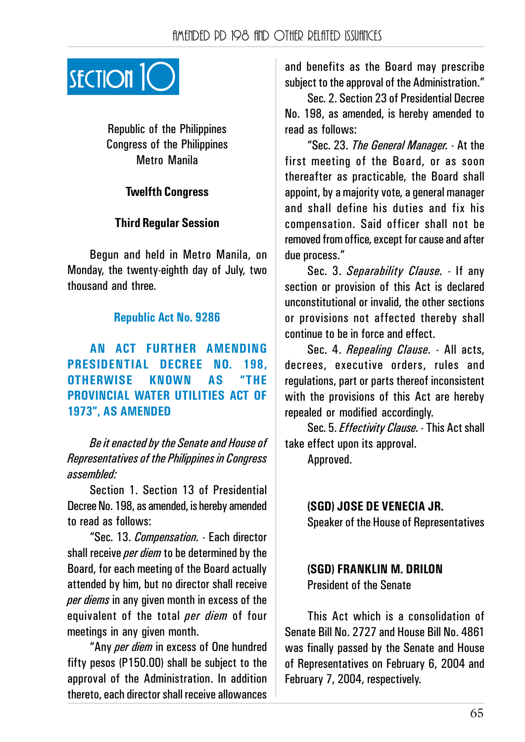

Republic of the Philippines Congress of the Philippines Metro Manila

#### **Twelfth Congress**

#### **Third Regular Session**

Begun and held in Metro Manila, on Monday, the twenty-eighth day of July, two thousand and three.

#### **Republic Act No. 9286**

**AN ACT FURTHER AMENDING PRESIDENTIAL DECREE NO. 198, OTHERWISE KNOWN AS "THE PROVINCIAL WATER UTILITIES ACT OF 1973", AS AMENDED**

*Be it enacted by the Senate and House of Representatives of the Philippines in Congress assembled:*

Section 1. Section 13 of Presidential Decree No. 198, as amended, is hereby amended to read as follows:

"Sec. 13. *Compensation.* - Each director shall receive *per diem* to be determined by the Board, for each meeting of the Board actually attended by him, but no director shall receive *per diems* in any given month in excess of the equivalent of the total *per diem* of four meetings in any given month.

"Any *per diem* in excess of One hundred fifty pesos (P150.00) shall be subject to the approval of the Administration. In addition thereto, each director shall receive allowances

and benefits as the Board may prescribe subject to the approval of the Administration."

Sec. 2. Section 23 of Presidential Decree No. 198, as amended, is hereby amended to read as follows:

"Sec. 23. *The General Manager.* - At the first meeting of the Board, or as soon thereafter as practicable, the Board shall appoint, by a majority vote, a general manager and shall define his duties and fix his compensation. Said officer shall not be removed from office, except for cause and after due process."

Sec. 3. *Separability Clause.* - If any section or provision of this Act is declared unconstitutional or invalid, the other sections or provisions not affected thereby shall continue to be in force and effect.

Sec. 4. *Repealing Clause.* - All acts, decrees, executive orders, rules and regulations, part or parts thereof inconsistent with the provisions of this Act are hereby repealed or modified accordingly.

Sec. 5. *Effectivity Clause.* - This Act shall take effect upon its approval.

Approved.

**(SGD) JOSE DE VENECIA JR.** Speaker of the House of Representatives

#### **(SGD) FRANKLIN M. DRILON** President of the Senate

This Act which is a consolidation of Senate Bill No. 2727 and House Bill No. 4861 was finally passed by the Senate and House of Representatives on February 6, 2004 and February 7, 2004, respectively.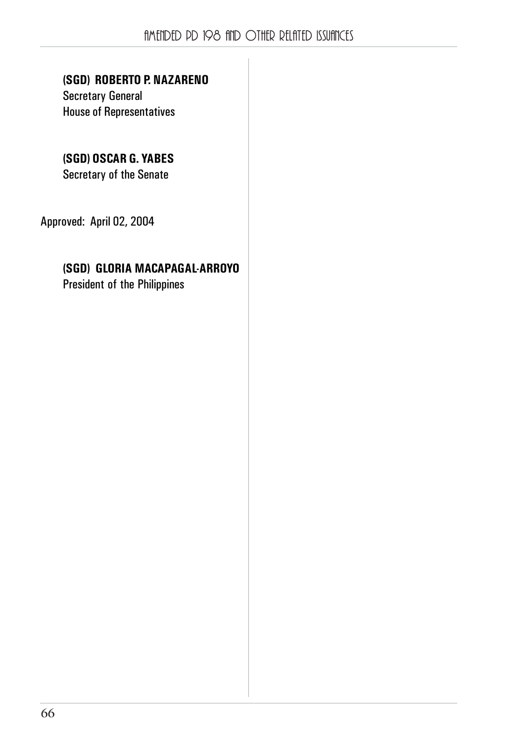### **(SGD) ROBERTO P. NAZARENO**

Secretary General House of Representatives

## **(SGD) OSCAR G. YABES**

Secretary of the Senate

Approved: April 02, 2004

### **(SGD) GLORIA MACAPAGAL-ARROYO**

President of the Philippines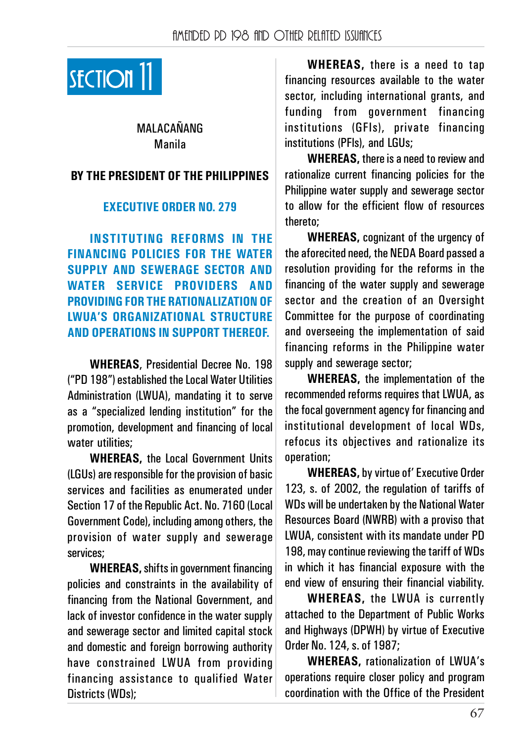

MALACAŃANG Manila

#### **BY THE PRESIDENT OF THE PHILIPPINES**

#### **EXECUTIVE ORDER NO. 279**

**INSTITUTING REFORMS IN THE FINANCING POLICIES FOR THE WATER SUPPLY AND SEWERAGE SECTOR AND WATER SERVICE PROVIDERS AND PROVIDING FOR THE RATIONALIZATION OF LWUA'S ORGANIZATIONAL STRUCTURE AND OPERATIONS IN SUPPORT THEREOF.**

**WHEREAS**, Presidential Decree No. 198 ("PD 198") established the Local Water Utilities Administration (LWUA), mandating it to serve as a "specialized lending institution" for the promotion, development and financing of local water utilities:

**WHEREAS,** the Local Government Units (LGUs) are responsible for the provision of basic services and facilities as enumerated under Section 17 of the Republic Act. No. 7160 (Local Government Code), including among others, the provision of water supply and sewerage services;

**WHEREAS,** shifts in government financing policies and constraints in the availability of financing from the National Government, and lack of investor confidence in the water supply and sewerage sector and limited capital stock and domestic and foreign borrowing authority have constrained LWUA from providing financing assistance to qualified Water Districts (WDs);

**WHEREAS,** there is a need to tap financing resources available to the water sector, including international grants, and funding from government financing institutions (GFIs), private financing institutions (PFls), and LGUs;

**WHEREAS,** there is a need to review and rationalize current financing policies for the Philippine water supply and sewerage sector to allow for the efficient flow of resources thereto;

**WHEREAS,** cognizant of the urgency of the aforecited need, the NEDA Board passed a resolution providing for the reforms in the financing of the water supply and sewerage sector and the creation of an Oversight Committee for the purpose of coordinating and overseeing the implementation of said financing reforms in the Philippine water supply and sewerage sector;

**WHEREAS,** the implementation of the recommended reforms requires that LWUA, as the focal government agency for financing and institutional development of local WDs, refocus its objectives and rationalize its operation;

**WHEREAS,** by virtue of' Executive Order 123, s. of 2002, the regulation of tariffs of WDs will be undertaken by the National Water Resources Board (NWRB) with a proviso that LWUA, consistent with its mandate under PD 198, may continue reviewing the tariff of WDs in which it has financial exposure with the end view of ensuring their financial viability.

**WHEREAS,** the LWUA is currently attached to the Department of Public Works and Highways (DPWH) by virtue of Executive Order No. 124, s. of 1987;

**WHEREAS,** rationalization of LWUA's operations require closer policy and program coordination with the Office of the President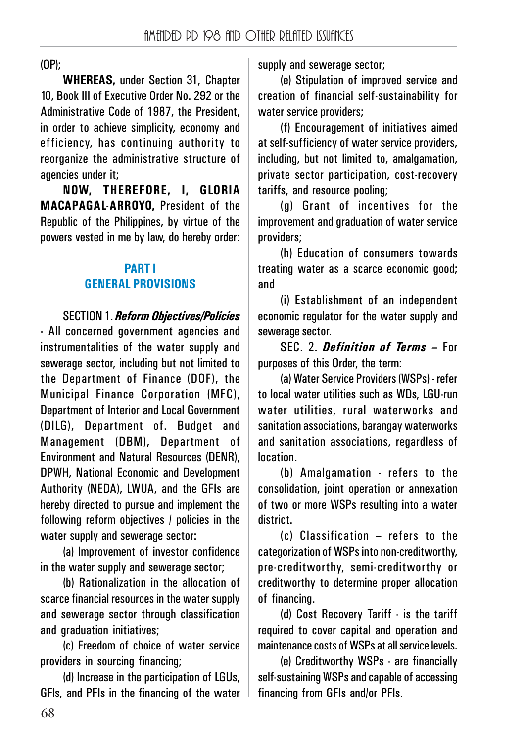(OP);

**WHEREAS,** under Section 31, Chapter 10, Book III of Executive Order No. 292 or the Administrative Code of 1987, the President, in order to achieve simplicity, economy and efficiency, has continuing authority to reorganize the administrative structure of agencies under it;

**NOW, THEREFORE, I, GLORIA MACAPAGAL-ARROYO,** President of the Republic of the Philippines, by virtue of the powers vested in me by law, do hereby order:

### **PART I GENERAL PROVISIONS**

SECTION 1. *Reform Objectives/Policies*

**-** All concerned government agencies and instrumentalities of the water supply and sewerage sector, including but not limited to the Department of Finance (DOF), the Municipal Finance Corporation (MFC), Department of Interior and Local Government (DILG), Department of. Budget and Management (DBM), Department of Environment and Natural Resources (DENR), DPWH, National Economic and Development Authority (NEDA), LWUA, and the GFIs are hereby directed to pursue and implement the following reform objectives / policies in the water supply and sewerage sector:

(a) Improvement of investor confidence in the water supply and sewerage sector;

(b) Rationalization in the allocation of scarce financial resources in the water supply and sewerage sector through classification and graduation initiatives:

(c) Freedom of choice of water service providers in sourcing financing;

(d) Increase in the participation of LGUs, GFls, and PFIs in the financing of the water supply and sewerage sector;

(e) Stipulation of improved service and creation of financial self-sustainability for water service providers;

(f) Encouragement of initiatives aimed at self-sufficiency of water service providers, including, but not limited to, amalgamation, private sector participation, cost-recovery tariffs, and resource pooling;

(g) Grant of incentives for the improvement and graduation of water service providers;

(h) Education of consumers towards treating water as a scarce economic good; and

(i) Establishment of an independent economic regulator for the water supply and sewerage sector.

SEC. 2. *Definition of Terms –* For purposes of this Order, the term:

(a) Water Service Providers (WSPs) - refer to local water utilities such as WDs, LGU-run water utilities, rural waterworks and sanitation associations, barangay waterworks and sanitation associations, regardless of location.

(b) Amalgamation - refers to the consolidation, joint operation or annexation of two or more WSPs resulting into a water district.

(c) Classification – refers to the categorization of WSPs into non-creditworthy, pre-creditworthy, semi-creditworthy or creditworthy to determine proper allocation of financing.

(d) Cost Recovery Tariff - is the tariff required to cover capital and operation and maintenance costs of WSPs at all service levels.

(e) Creditworthy WSPs - are financially self-sustaining WSPs and capable of accessing financing from GFIs and/or PFIs.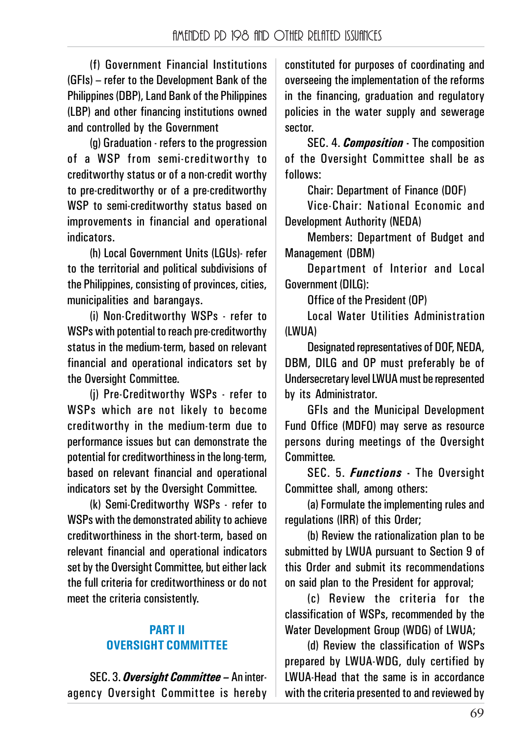(f) Government Financial Institutions (GFIs) – refer to the Development Bank of the Philippines (DBP), Land Bank of the Philippines (LBP) and other financing institutions owned and controlled by the Government

(g) Graduation - refers to the progression of a WSP from semi-creditworthy to creditworthy status or of a non-credit worthy to pre-creditworthy or of a pre-creditworthy WSP to semi-creditworthy status based on improvements in financial and operational indicators.

(h) Local Government Units (LGUs)- refer to the territorial and political subdivisions of the Philippines, consisting of provinces, cities, municipalities and barangays.

(i) Non-Creditworthy WSPs - refer to WSPs with potential to reach pre-creditworthy status in the medium-term, based on relevant financial and operational indicators set by the Oversight Committee.

(j) Pre-Creditworthy WSPs - refer to WSPs which are not likely to become creditworthy in the medium-term due to performance issues but can demonstrate the potential for creditworthiness in the long-term, based on relevant financial and operational indicators set by the Oversight Committee.

(k) Semi-Creditworthy WSPs - refer to WSPs with the demonstrated ability to achieve creditworthiness in the short-term, based on relevant financial and operational indicators set by the Oversight Committee, but either lack the full criteria for creditworthiness or do not meet the criteria consistently.

### **PART II OVERSIGHT COMMITTEE**

SEC. 3. *Oversight Committee –* An interagency Oversight Committee is hereby constituted for purposes of coordinating and overseeing the implementation of the reforms in the financing, graduation and regulatory policies in the water supply and sewerage sector.

SEC. 4. *Composition* **-** The composition of the Oversight Committee shall be as follows:

Chair: Department of Finance (DOF)

Vice-Chair: National Economic and Development Authority (NEDA)

Members: Department of Budget and Management (DBM)

Department of Interior and Local Government (DILG):

Office of the President (OP)

Local Water Utilities Administration (LWUA)

Designated representatives of DOF, NEDA, DBM, DILG and OP must preferably be of Undersecretary level LWUA must be represented by its Administrator.

GFIs and the Municinal Development Fund Office (MDFO) may serve as resource persons during meetings of the Oversight Committee.

SEC. 5. *Functions* **-** The Oversight Committee shall, among others:

(a) Formulate the implementing rules and regulations (IRR) of this Order;

(b) Review the rationalization plan to be submitted by LWUA pursuant to Section 9 of this Order and submit its recommendations on said plan to the President for approval:

(c) Review the criteria for the classification of WSPs, recommended by the Water Development Group (WDG) of LWUA;

(d) Review the classification of WSPs prepared by LWUA-WDG, duly certified by LWUA-Head that the same is in accordance with the criteria presented to and reviewed by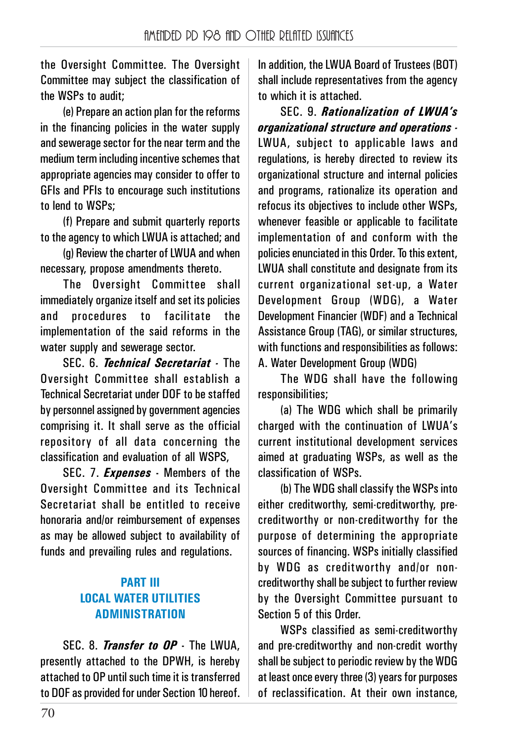the Oversight Committee. The Oversight Committee may subject the classification of the WSPs to audit;

(e) Prepare an action plan for the reforms in the financing policies in the water supply and sewerage sector for the near term and the medium term including incentive schemes that appropriate agencies may consider to offer to GFIs and PFIs to encourage such institutions to lend to WSPs;

(f) Prepare and submit quarterly reports to the agency to which LWUA is attached; and

(g) Review the charter of LWUA and when necessary, propose amendments thereto.

The Oversight Committee shall immediately organize itself and set its policies and procedures to facilitate the implementation of the said reforms in the water supply and sewerage sector.

SEC. 6. *Technical Secretariat -* The Oversight Committee shall establish a Technical Secretariat under DOF to be staffed by personnel assigned by government agencies comprising it. It shall serve as the official repository of all data concerning the classification and evaluation of all WSPS,

SEC. 7. *Expenses* **-** Members of the Oversight Committee and its Technical Secretariat shall be entitled to receive honoraria and/or reimbursement of expenses as may be allowed subject to availability of funds and prevailing rules and regulations.

### **PART III LOCAL WATER UTILITIES ADMINISTRATION**

SEC. 8. *Transfer to OP* **-** The LWUA, presently attached to the DPWH, is hereby attached to OP until such time it is transferred to DOF as provided for under Section 10 hereof.

In addition, the LWUA Board of Trustees (BOT) shall include representatives from the agency to which it is attached.

SEC. 9. *Rationalization of LWUA's organizational structure and operations -* LWUA, subject to applicable laws and regulations, is hereby directed to review its organizational structure and internal policies and programs, rationalize its operation and refocus its objectives to include other WSPs, whenever feasible or applicable to facilitate implementation of and conform with the policies enunciated in this Order. To this extent, LWUA shall constitute and designate from its current organizational set-up, a Water Development Group (WDG), a Water Development Financier (WDF) and a Technical Assistance Group (TAG), or similar structures, with functions and responsibilities as follows: A. Water Development Group (WDG)

The WDG shall have the following responsibilities;

(a) The WDG which shall be primarily charged with the continuation of LWUA's current institutional development services aimed at graduating WSPs, as well as the classification of WSPs.

(b) The WDG shall classify the WSPs into either creditworthy, semi-creditworthy, precreditworthy or non-creditworthy for the purpose of determining the appropriate sources of financing. WSPs initially classified by WDG as creditworthy and/or noncreditworthy shall be subject to further review by the Oversight Committee pursuant to Section 5 of this Order.

WSPs classified as semi-creditworthy and pre-creditworthy and non-credit worthy shall be subject to periodic review by the WDG at least once every three (3) years for purposes of reclassification. At their own instance,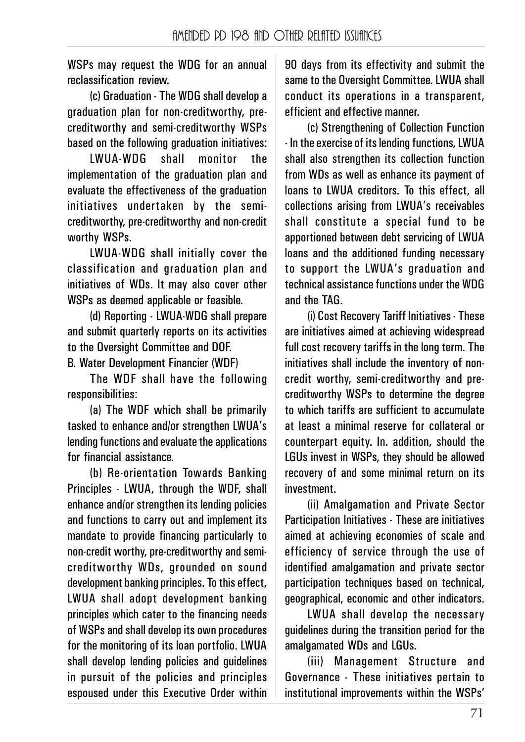WSPs may request the WDG for an annual reclassification review.

(c) Graduation - The WDG shall develop a graduation plan for non-creditworthy, precreditworthy and semi-creditworthy WSPs based on the following graduation initiatives:

LWUA-WDG shall monitor the implementation of the graduation plan and evaluate the effectiveness of the graduation initiatives undertaken by the semicreditworthy, pre-creditworthy and non-credit worthy WSPs.

LWUA-WDG shall initially cover the classification and graduation plan and initiatives of WDs. It may also cover other WSPs as deemed applicable or feasible.

(d) Reporting - LWUA-WDG shall prepare and submit quarterly reports on its activities to the Oversight Committee and DOF.

B. Water Development Financier (WDF)

The WDF shall have the following responsibilities:

(a) The WDF which shall be primarily tasked to enhance and/or strengthen LWUA's lending functions and evaluate the applications for financial assistance.

(b) Re-orientation Towards Banking Principles - LWUA, through the WDF, shall enhance and/or strengthen its lending policies and functions to carry out and implement its mandate to provide financing particularly to non-credit worthy, pre-creditworthy and semicreditworthy WDs, grounded on sound development banking principles. To this effect, LWUA shall adopt development banking principles which cater to the financing needs of WSPs and shall develop its own procedures for the monitoring of its loan portfolio. LWUA shall develop lending policies and guidelines in pursuit of the policies and principles espoused under this Executive Order within 90 days from its effectivity and submit the same to the Oversight Committee. LWUA shall conduct its operations in a transparent, efficient and effective manner.

(c) Strengthening of Collection Function - In the exercise of its lending functions, LWUA shall also strengthen its collection function from WDs as well as enhance its payment of loans to LWUA creditors. To this effect, all collections arising from LWUA's receivables shall constitute a special fund to be apportioned between debt servicing of LWUA loans and the additioned funding necessary to support the LWUA's graduation and technical assistance functions under the WDG and the TAG.

(i) Cost Recovery Tariff Initiatives - These are initiatives aimed at achieving widespread full cost recovery tariffs in the long term. The initiatives shall include the inventory of noncredit worthy, semi-creditworthy and precreditworthy WSPs to determine the degree to which tariffs are sufficient to accumulate at least a minimal reserve for collateral or counterpart equity. In. addition, should the LGUs invest in WSPs, they should be allowed recovery of and some minimal return on its investment.

(ii) Amalgamation and Private Sector Participation Initiatives - These are initiatives aimed at achieving economies of scale and efficiency of service through the use of identified amalgamation and private sector participation techniques based on technical, geographical, economic and other indicators.

LWUA shall develop the necessary guidelines during the transition period for the amalgamated WDs and LGUs.

(iii) Management Structure and Governance - These initiatives pertain to institutional improvements within the WSPs'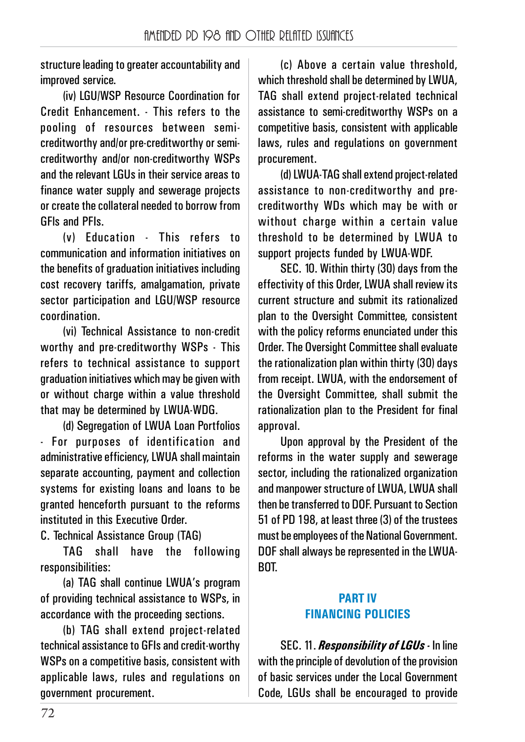structure leading to greater accountability and improved service.

(iv) LGU/WSP Resource Coordination for Credit Enhancement. - This refers to the pooling of resources between semicreditworthy and/or pre-creditworthy or semicreditworthy and/or non-creditworthy WSPs and the relevant LGUs in their service areas to finance water supply and sewerage projects or create the collateral needed to borrow from GFls and PFIs.

(v) Education - This refers to communication and information initiatives on the benefits of graduation initiatives including cost recovery tariffs, amalgamation, private sector participation and LGU/WSP resource coordination.

(vi) Technical Assistance to non-credit worthy and pre-creditworthy WSPs - This refers to technical assistance to support graduation initiatives which may be given with or without charge within a value threshold that may be determined by LWUA-WDG.

(d) Segregation of LWUA Loan Portfolios - For purposes of identification and administrative efficiency, LWUA shall maintain separate accounting, payment and collection systems for existing loans and loans to be granted henceforth pursuant to the reforms instituted in this Executive Order.

C. Technical Assistance Group (TAG)

TAG shall have the following responsibilities:

(a) TAG shall continue LWUA's program of providing technical assistance to WSPs, in accordance with the proceeding sections.

(b) TAG shall extend project-related technical assistance to GFIs and credit-worthy WSPs on a competitive basis, consistent with applicable laws, rules and regulations on government procurement.

(c) Above a certain value threshold, which threshold shall be determined by LWUA, TAG shall extend project-related technical assistance to semi-creditworthy WSPs on a competitive basis, consistent with applicable laws, rules and regulations on government procurement.

(d) LWUA-TAG shall extend project-related assistance to non-creditworthy and precreditworthy WDs which may be with or without charge within a certain value threshold to be determined by LWUA to support projects funded by LWUA-WDF.

SEC. 10. Within thirty (30) days from the effectivity of this Order, LWUA shall review its current structure and submit its rationalized plan to the Oversight Committee, consistent with the policy reforms enunciated under this Order. The Oversight Committee shall evaluate the rationalization plan within thirty (30) days from receipt. LWUA, with the endorsement of the Oversight Committee, shall submit the rationalization plan to the President for final approval.

Upon approval by the President of the reforms in the water supply and sewerage sector, including the rationalized organization and mannower structure of LWUA, LWUA shall then be transferred to DOF. Pursuant to Section 51 of PD 198, at least three (3) of the trustees must be employees of the National Government. DOF shall always be represented in the LWUA-BOT.

#### **PART IV FINANCING POLICIES**

SEC. 11. *Responsibility of LGUs -* In line with the principle of devolution of the provision of basic services under the Local Government Code, LGUs shall be encouraged to provide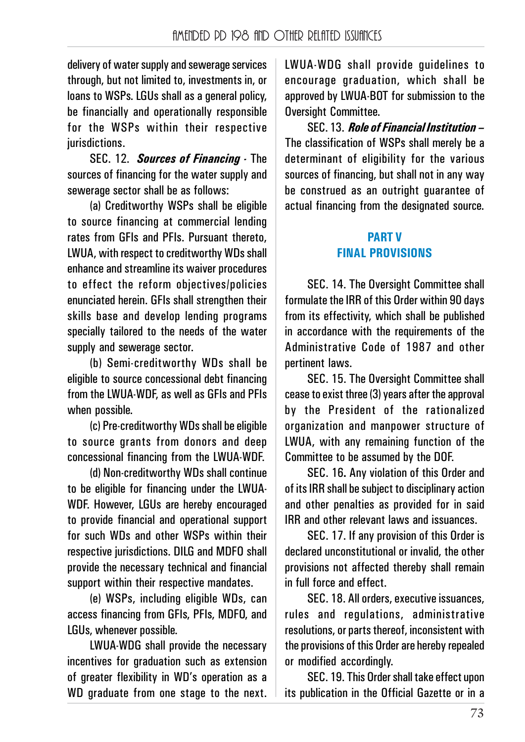delivery of water supply and sewerage services through, but not limited to, investments in, or loans to WSPs. LGUs shall as a general policy, be financially and operationally responsible for the WSPs within their respective jurisdictions.

SEC. 12. *Sources of Financing -* The sources of financing for the water supply and sewerage sector shall be as follows:

(a) Creditworthy WSPs shall be eligible to source financing at commercial lending rates from GFIs and PFIs. Pursuant thereto, LWUA, with respect to creditworthy WDs shall enhance and streamline its waiver procedures to effect the reform objectives/policies enunciated herein. GFIs shall strengthen their skills base and develop lending programs specially tailored to the needs of the water supply and sewerage sector.

(b) Semi-creditworthy WDs shall be eligible to source concessional debt financing from the LWUA-WDF, as well as GFIs and PFIs when possible.

(c) Pre-creditworthy WDs shall be eligible to source grants from donors and deep concessional financing from the LWUA-WDF.

(d) Non-creditworthy WDs shall continue to be eligible for financing under the LWUA-WDF. However, LGUs are hereby encouraged to provide financial and operational support for such WDs and other WSPs within their respective jurisdictions. DILG and MDFO shall provide the necessary technical and financial support within their respective mandates.

(e) WSPs, including eligible WDs, can access financing from GFIs, PFIs, MDFO, and LGUs, whenever possible.

LWUA-WDG shall provide the necessary incentives for graduation such as extension of greater flexibility in WD's operation as a WD graduate from one stage to the next.

LWUA-WDG shall provide guidelines to encourage graduation, which shall be approved by LWUA-BOT for submission to the Oversight Committee.

SEC. 13. *Role of Financial Institution –* The classification of WSPs shall merely be a determinant of eligibility for the various sources of financing, but shall not in any way be construed as an outright guarantee of actual financing from the designated source.

### **PART V FINAL PROVISIONS**

SEC. 14. The Oversight Committee shall formulate the IRR of this Order within 90 days from its effectivity, which shall be published in accordance with the requirements of the Administrative Code of 1987 and other pertinent laws.

SEC. 15. The Oversight Committee shall cease to exist three (3) years after the approval by the President of the rationalized organization and manpower structure of LWUA, with any remaining function of the Committee to be assumed by the DOF.

SEC. 16**.** Any violation of this Order and of its IRR shall be subject to disciplinary action and other penalties as provided for in said IRR and other relevant laws and issuances.

SEC. 17. If any provision of this Order is declared unconstitutional or invalid, the other provisions not affected thereby shall remain in full force and effect.

SEC. 18. All orders, executive issuances, rules and regulations, administrative resolutions, or parts thereof, inconsistent with the provisions of this Order are hereby repealed or modified accordingly.

SEC. 19. This Order shall take effect upon its publication in the Official Gazette or in a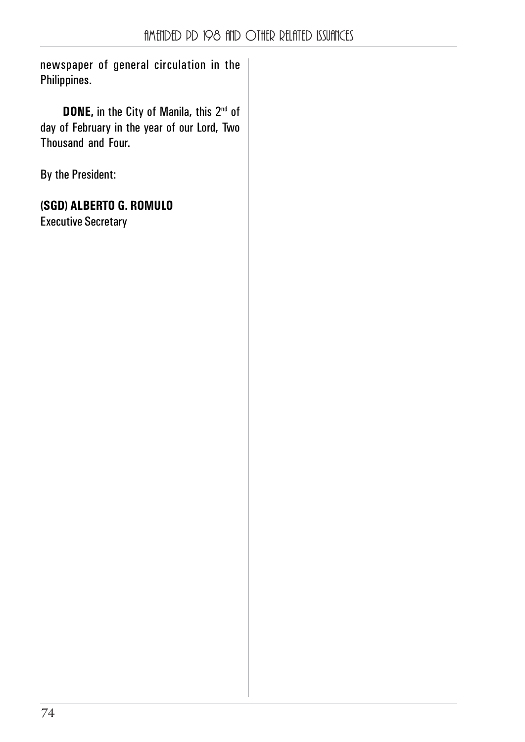newspaper of general circulation in the Philippines.

**DONE, in the City of Manila, this 2<sup>nd</sup> of** day of February in the year of our Lord, Two Thousand and Four.

By the President:

**(SGD) ALBERTO G. ROMULO**

Executive Secretary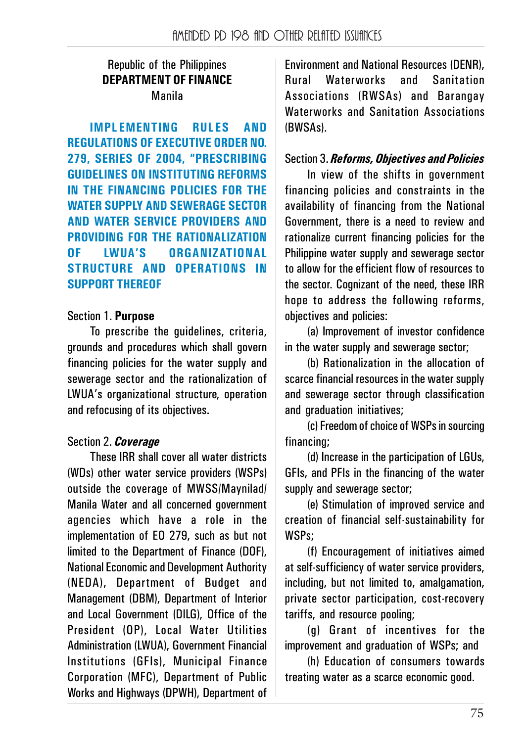#### Republic of the Philippines **DEPARTMENT OF FINANCE** Manila

**IMPLEMENTING RULES AND REGULATIONS OF EXECUTIVE ORDER NO. 279, SERIES OF 2004, "PRESCRIBING GUIDELINES ON INSTITUTING REFORMS IN THE FINANCING POLICIES FOR THE WATER SUPPLY AND SEWERAGE SECTOR AND WATER SERVICE PROVIDERS AND PROVIDING FOR THE RATIONALIZATION OF LWUA'S ORGANIZATIONAL STRUCTURE AND OPERATIONS IN SUPPORT THEREOF**

#### Section 1. **Purpose**

To prescribe the guidelines, criteria, grounds and procedures which shall govern financing policies for the water supply and sewerage sector and the rationalization of LWUA's organizational structure, operation and refocusing of its objectives.

## Section 2. *Coverage*

These IRR shall cover all water districts (WDs) other water service providers (WSPs) outside the coverage of MWSS/Maynilad/ Manila Water and all concerned government agencies which have a role in the implementation of EO 279, such as but not limited to the Department of Finance (DOF), National Economic and Development Authority (NEDA), Department of Budget and Management (DBM), Department of Interior and Local Government (DILG), Office of the President (OP), Local Water Utilities Administration (LWUA), Government Financial Institutions (GFIs), Municipal Finance Corporation (MFC), Department of Public Works and Highways (DPWH), Department of Environment and National Resources (DENR), Rural Waterworks and Sanitation Associations (RWSAs) and Barangay Waterworks and Sanitation Associations (BWSAs).

## Section 3. *Reforms, Objectives and Policies*

In view of the shifts in government financing policies and constraints in the availability of financing from the National Government, there is a need to review and rationalize current financing policies for the Philippine water supply and sewerage sector to allow for the efficient flow of resources to the sector. Cognizant of the need, these IRR hope to address the following reforms, objectives and policies:

(a) Improvement of investor confidence in the water supply and sewerage sector;

(b) Rationalization in the allocation of scarce financial resources in the water supply and sewerage sector through classification and graduation initiatives:

(c) Freedom of choice of WSPs in sourcing financing;

(d) Increase in the participation of LGUs, GFIs, and PFIs in the financing of the water supply and sewerage sector;

(e) Stimulation of improved service and creation of financial self-sustainability for WSPs;

(f) Encouragement of initiatives aimed at self-sufficiency of water service providers, including, but not limited to, amalgamation, private sector participation, cost-recovery tariffs, and resource pooling;

(g) Grant of incentives for the improvement and graduation of WSPs; and

(h) Education of consumers towards treating water as a scarce economic good.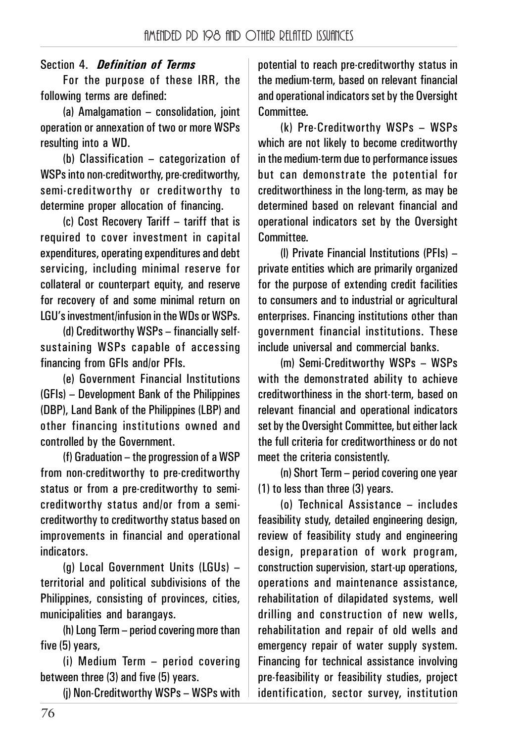# Section 4.*Definition of Terms*

For the purpose of these IRR, the following terms are defined:

(a) Amalgamation – consolidation, joint operation or annexation of two or more WSPs resulting into a WD.

(b) Classification – categorization of WSPs into non-creditworthy, pre-creditworthy, semi-creditworthy or creditworthy to determine proper allocation of financing.

(c) Cost Recovery Tariff – tariff that is required to cover investment in capital expenditures, operating expenditures and debt servicing, including minimal reserve for collateral or counterpart equity, and reserve for recovery of and some minimal return on LGU's investment/infusion in the WDs or WSPs.

(d) Creditworthy WSPs – financially selfsustaining WSPs capable of accessing financing from GFIs and/or PFIs.

(e) Government Financial Institutions (GFIs) – Development Bank of the Philippines (DBP), Land Bank of the Philippines (LBP) and other financing institutions owned and controlled by the Government.

(f) Graduation – the progression of a WSP from non-creditworthy to pre-creditworthy status or from a pre-creditworthy to semicreditworthy status and/or from a semicreditworthy to creditworthy status based on improvements in financial and operational indicators.

(g) Local Government Units (LGUs) – territorial and political subdivisions of the Philippines, consisting of provinces, cities, municipalities and barangays.

(h) Long Term – period covering more than five (5) years,

(i) Medium Term – period covering between three (3) and five (5) years.

(j) Non-Creditworthy WSPs – WSPs with

potential to reach pre-creditworthy status in the medium-term, based on relevant financial and operational indicators set by the Oversight Committee.

(k) Pre-Creditworthy WSPs – WSPs which are not likely to become creditworthy in the medium-term due to performance issues but can demonstrate the potential for creditworthiness in the long-term, as may be determined based on relevant financial and operational indicators set by the Oversight Committee.

(l) Private Financial Institutions (PFIs) – private entities which are primarily organized for the purpose of extending credit facilities to consumers and to industrial or agricultural enterprises. Financing institutions other than government financial institutions. These include universal and commercial banks.

(m) Semi-Creditworthy WSPs – WSPs with the demonstrated ability to achieve creditworthiness in the short-term, based on relevant financial and operational indicators set by the Oversight Committee, but either lack the full criteria for creditworthiness or do not meet the criteria consistently.

(n) Short Term – period covering one year (1) to less than three (3) years.

(o) Technical Assistance – includes feasibility study, detailed engineering design, review of feasibility study and engineering design, preparation of work program, construction supervision, start-up operations, operations and maintenance assistance, rehabilitation of dilapidated systems, well drilling and construction of new wells, rehabilitation and repair of old wells and emergency repair of water supply system. Financing for technical assistance involving pre-feasibility or feasibility studies, project identification, sector survey, institution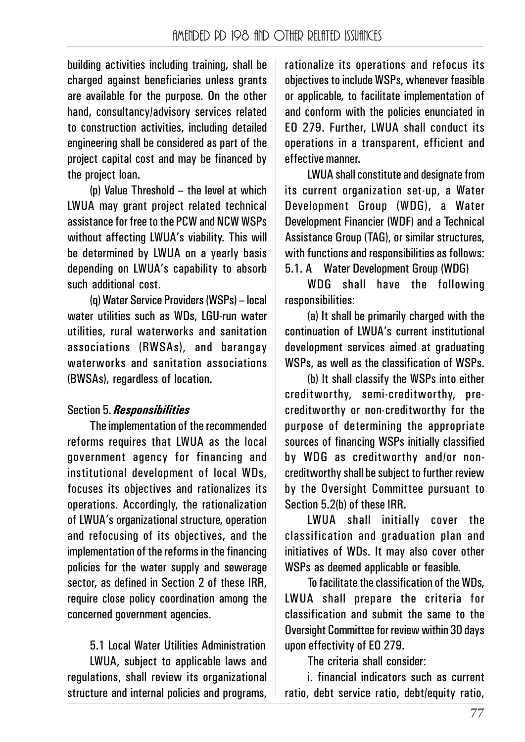building activities including training, shall be charged against beneficiaries unless grants are available for the purpose. On the other hand, consultancy/advisory services related to construction activities, including detailed engineering shall be considered as part of the project capital cost and may be financed by the project loan.

(p) Value Threshold – the level at which LWUA may grant project related technical assistance for free to the PCW and NCW WSPs without affecting LWUA's viability. This will be determined by LWUA on a yearly basis depending on LWUA's capability to absorb such additional cost.

(q) Water Service Providers (WSPs) – local water utilities such as WDs, LGU-run water utilities, rural waterworks and sanitation associations (RWSAs), and barangay waterworks and sanitation associations (BWSAs), regardless of location.

# Section 5. *Responsibilities*

The implementation of the recommended reforms requires that LWUA as the local government agency for financing and institutional development of local WDs, focuses its objectives and rationalizes its operations. Accordingly, the rationalization of LWUA's organizational structure, operation and refocusing of its objectives, and the implementation of the reforms in the financing policies for the water supply and sewerage sector, as defined in Section 2 of these IRR, require close policy coordination among the concerned government agencies.

5.1 Local Water Utilities Administration LWUA, subject to applicable laws and regulations, shall review its organizational structure and internal policies and programs, rationalize its operations and refocus its objectives to include WSPs, whenever feasible or applicable, to facilitate implementation of and conform with the policies enunciated in EO 279. Further, LWUA shall conduct its operations in a transparent, efficient and effective manner.

LWUA shall constitute and designate from its current organization set-up, a Water Development Group (WDG), a Water Development Financier (WDF) and a Technical Assistance Group (TAG), or similar structures, with functions and responsibilities as follows: 5.1. A Water Development Group (WDG)

WDG shall have the following responsibilities:

(a) It shall be primarily charged with the continuation of LWUA's current institutional development services aimed at graduating WSPs, as well as the classification of WSPs.

(b) It shall classify the WSPs into either creditworthy, semi-creditworthy, precreditworthy or non-creditworthy for the purpose of determining the appropriate sources of financing WSPs initially classified by WDG as creditworthy and/or noncreditworthy shall be subject to further review by the Oversight Committee pursuant to Section 5.2(b) of these IRR.

LWUA shall initially cover the classification and graduation plan and initiatives of WDs. It may also cover other WSPs as deemed applicable or feasible.

To facilitate the classification of the WDs, LWUA shall prepare the criteria for classification and submit the same to the Oversight Committee for review within 30 days upon effectivity of EO 279.

The criteria shall consider:

i. financial indicators such as current ratio, debt service ratio, debt/equity ratio,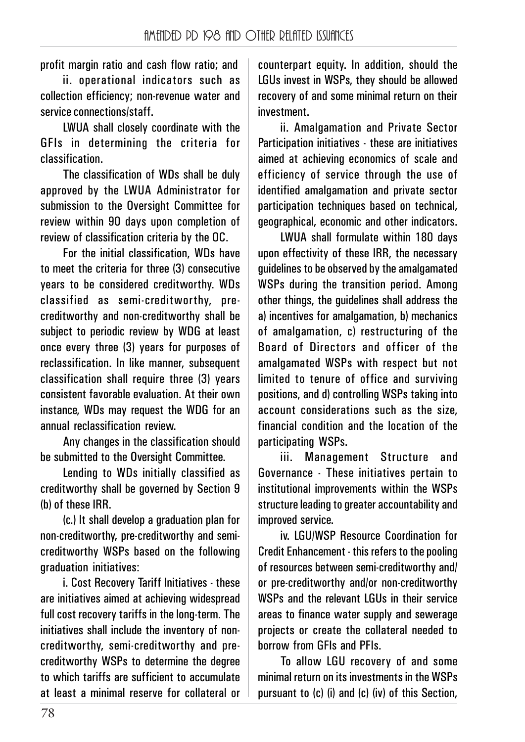profit margin ratio and cash flow ratio; and

ii. operational indicators such as collection efficiency; non-revenue water and service connections/staff.

LWUA shall closely coordinate with the GFIs in determining the criteria for classification.

The classification of WDs shall be duly approved by the LWUA Administrator for submission to the Oversight Committee for review within 90 days upon completion of review of classification criteria by the OC.

For the initial classification, WDs have to meet the criteria for three (3) consecutive years to be considered creditworthy. WDs classified as semi-creditworthy, precreditworthy and non-creditworthy shall be subject to periodic review by WDG at least once every three (3) years for purposes of reclassification. In like manner, subsequent classification shall require three (3) years consistent favorable evaluation. At their own instance, WDs may request the WDG for an annual reclassification review.

Any changes in the classification should be submitted to the Oversight Committee.

Lending to WDs initially classified as creditworthy shall be governed by Section 9 (b) of these IRR.

(c.) It shall develop a graduation plan for non-creditworthy, pre-creditworthy and semicreditworthy WSPs based on the following graduation initiatives:

i. Cost Recovery Tariff Initiatives - these are initiatives aimed at achieving widespread full cost recovery tariffs in the long-term. The initiatives shall include the inventory of noncreditworthy, semi-creditworthy and precreditworthy WSPs to determine the degree to which tariffs are sufficient to accumulate at least a minimal reserve for collateral or

counterpart equity. In addition, should the LGUs invest in WSPs, they should be allowed recovery of and some minimal return on their investment.

ii. Amalgamation and Private Sector Participation initiatives - these are initiatives aimed at achieving economics of scale and efficiency of service through the use of identified amalgamation and private sector participation techniques based on technical, geographical, economic and other indicators.

LWUA shall formulate within 180 days upon effectivity of these IRR, the necessary guidelines to be observed by the amalgamated WSPs during the transition period. Among other things, the guidelines shall address the a) incentives for amalgamation, b) mechanics of amalgamation, c) restructuring of the Board of Directors and officer of the amalgamated WSPs with respect but not limited to tenure of office and surviving positions, and d) controlling WSPs taking into account considerations such as the size, financial condition and the location of the participating WSPs.

iii. Management Structure and Governance - These initiatives pertain to institutional improvements within the WSPs structure leading to greater accountability and improved service.

iv. LGU/WSP Resource Coordination for Credit Enhancement - this refers to the pooling of resources between semi-creditworthy and/ or pre-creditworthy and/or non-creditworthy WSPs and the relevant LGUs in their service areas to finance water supply and sewerage projects or create the collateral needed to borrow from GFIs and PFIs.

To allow LGU recovery of and some minimal return on its investments in the WSPs pursuant to (c) (i) and (c) (iv) of this Section,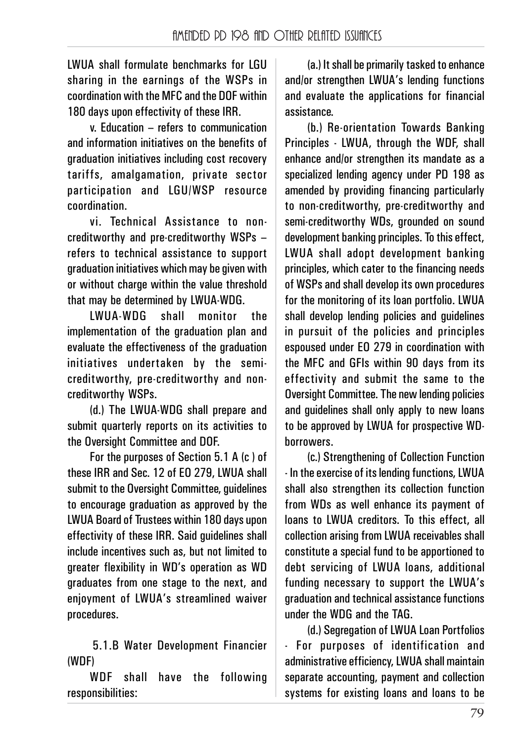LWUA shall formulate benchmarks for LGU sharing in the earnings of the WSPs in coordination with the MFC and the DOF within 180 days upon effectivity of these IRR.

v. Education – refers to communication and information initiatives on the benefits of graduation initiatives including cost recovery tariffs, amalgamation, private sector participation and LGU/WSP resource coordination.

vi. Technical Assistance to noncreditworthy and pre-creditworthy WSPs – refers to technical assistance to support graduation initiatives which may be given with or without charge within the value threshold that may be determined by LWUA-WDG.

LWUA-WDG shall monitor the implementation of the graduation plan and evaluate the effectiveness of the graduation initiatives undertaken by the semicreditworthy, pre-creditworthy and noncreditworthy WSPs.

(d.) The LWUA-WDG shall prepare and submit quarterly reports on its activities to the Oversight Committee and DOF.

For the purposes of Section 5.1 A (c ) of these IRR and Sec. 12 of EO 279, LWUA shall submit to the Oversight Committee, quidelines to encourage graduation as approved by the LWUA Board of Trustees within 180 days upon effectivity of these IRR. Said guidelines shall include incentives such as, but not limited to greater flexibility in WD's operation as WD graduates from one stage to the next, and enjoyment of LWUA's streamlined waiver procedures.

5.1.B Water Development Financier (WDF)

WDF shall have the following responsibilities:

(a.) It shall be primarily tasked to enhance and/or strengthen LWUA's lending functions and evaluate the applications for financial assistance.

(b.) Re-orientation Towards Banking Principles - LWUA, through the WDF, shall enhance and/or strengthen its mandate as a specialized lending agency under PD 198 as amended by providing financing particularly to non-creditworthy, pre-creditworthy and semi-creditworthy WDs, grounded on sound development banking principles. To this effect, LWUA shall adopt development banking principles, which cater to the financing needs of WSPs and shall develop its own procedures for the monitoring of its loan portfolio. LWUA shall develop lending policies and guidelines in pursuit of the policies and principles espoused under EO 279 in coordination with the MFC and GFIs within 90 days from its effectivity and submit the same to the Oversight Committee. The new lending policies and quidelines shall only apply to new loans to be approved by LWUA for prospective WDborrowers.

(c.) Strengthening of Collection Function - In the exercise of its lending functions, LWUA shall also strengthen its collection function from WDs as well enhance its payment of loans to LWUA creditors. To this effect, all collection arising from LWUA receivables shall constitute a special fund to be apportioned to debt servicing of LWUA loans, additional funding necessary to support the LWUA's graduation and technical assistance functions under the WDG and the TAG.

(d.) Segregation of LWUA Loan Portfolios - For purposes of identification and administrative efficiency, LWUA shall maintain separate accounting, payment and collection systems for existing loans and loans to be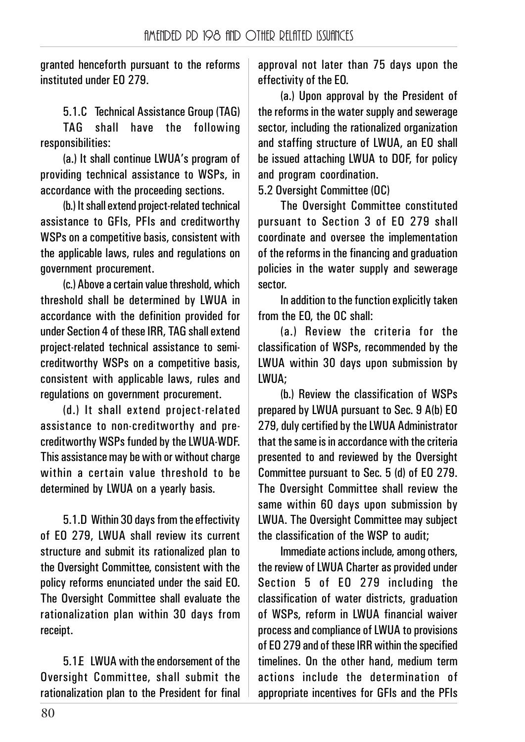granted henceforth pursuant to the reforms instituted under EO 279.

5.1.C Technical Assistance Group (TAG)

TAG shall have the following responsibilities:

(a.) It shall continue LWUA's program of providing technical assistance to WSPs, in accordance with the proceeding sections.

(b.) It shall extend project-related technical assistance to GFIs, PFIs and creditworthy WSPs on a competitive basis, consistent with the applicable laws, rules and regulations on government procurement.

(c.) Above a certain value threshold, which threshold shall be determined by LWUA in accordance with the definition provided for under Section 4 of these IRR, TAG shall extend project-related technical assistance to semicreditworthy WSPs on a competitive basis, consistent with applicable laws, rules and regulations on government procurement.

(d.) It shall extend project-related assistance to non-creditworthy and precreditworthy WSPs funded by the LWUA-WDF. This assistance may be with or without charge within a certain value threshold to be determined by LWUA on a yearly basis.

5.1.D Within 30 days from the effectivity of EO 279, LWUA shall review its current structure and submit its rationalized plan to the Oversight Committee, consistent with the policy reforms enunciated under the said EO. The Oversight Committee shall evaluate the rationalization plan within 30 days from receipt.

5.1.E LWUA with the endorsement of the Oversight Committee, shall submit the rationalization plan to the President for final

approval not later than 75 days upon the effectivity of the EO.

(a.) Upon approval by the President of the reforms in the water supply and sewerage sector, including the rationalized organization and staffing structure of LWUA, an EO shall be issued attaching LWUA to DOF, for policy and program coordination.

5.2 Oversight Committee (OC)

The Oversight Committee constituted pursuant to Section 3 of EO 279 shall coordinate and oversee the implementation of the reforms in the financing and graduation policies in the water supply and sewerage sector.

In addition to the function explicitly taken from the EO, the OC shall:

(a.) Review the criteria for the classification of WSPs, recommended by the LWUA within 30 days upon submission by LWUA;

(b.) Review the classification of WSPs prepared by LWUA pursuant to Sec. 9 A(b) EO 279, duly certified by the LWUA Administrator that the same is in accordance with the criteria presented to and reviewed by the Oversight Committee pursuant to Sec. 5 (d) of EO 279. The Oversight Committee shall review the same within 60 days upon submission by LWUA. The Oversight Committee may subject the classification of the WSP to audit;

Immediate actions include, among others, the review of LWUA Charter as provided under Section 5 of EO 279 including the classification of water districts, graduation of WSPs, reform in LWUA financial waiver process and compliance of LWUA to provisions of EO 279 and of these IRR within the specified timelines. On the other hand, medium term actions include the determination of appropriate incentives for GFIs and the PFIs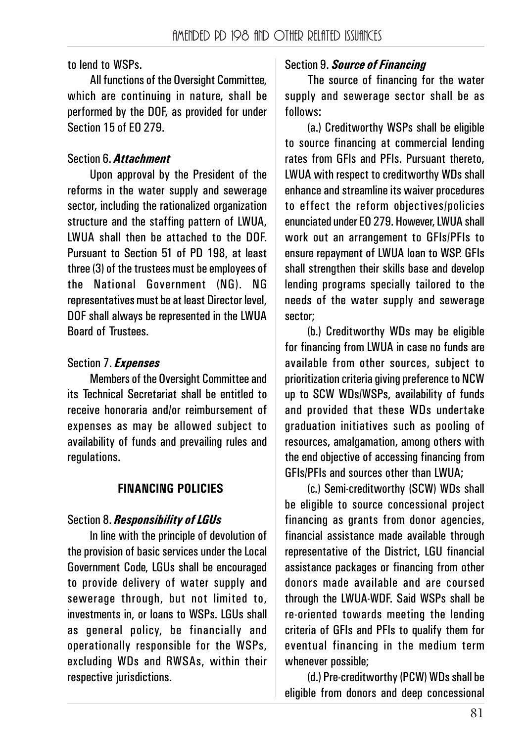to lend to WSPs.

All functions of the Oversight Committee, which are continuing in nature, shall be performed by the DOF, as provided for under Section 15 of EO 279.

## Section 6. *Attachment*

Upon approval by the President of the reforms in the water supply and sewerage sector, including the rationalized organization structure and the staffing pattern of LWUA, LWUA shall then be attached to the DOF. Pursuant to Section 51 of PD 198, at least three (3) of the trustees must be employees of the National Government (NG). NG representatives must be at least Director level, DOF shall always be represented in the LWUA Board of Trustees.

## Section 7. *Expenses*

Members of the Oversight Committee and its Technical Secretariat shall be entitled to receive honoraria and/or reimbursement of expenses as may be allowed subject to availability of funds and prevailing rules and regulations.

## **FINANCING POLICIES**

## Section 8. *Responsibility of LGUs*

In line with the principle of devolution of the provision of basic services under the Local Government Code, LGUs shall be encouraged to provide delivery of water supply and sewerage through, but not limited to, investments in, or loans to WSPs. LGUs shall as general policy, be financially and operationally responsible for the WSPs, excluding WDs and RWSAs, within their respective jurisdictions.

# Section 9. *Source of Financing*

The source of financing for the water supply and sewerage sector shall be as follows:

(a.) Creditworthy WSPs shall be eligible to source financing at commercial lending rates from GFIs and PFIs. Pursuant thereto, LWUA with respect to creditworthy WDs shall enhance and streamline its waiver procedures to effect the reform objectives/policies enunciated under EO 279. However, LWUA shall work out an arrangement to GFIs/PFIs to ensure repayment of LWUA loan to WSP. GFIs shall strengthen their skills base and develop lending programs specially tailored to the needs of the water supply and sewerage sector;

(b.) Creditworthy WDs may be eligible for financing from LWUA in case no funds are available from other sources, subject to prioritization criteria giving preference to NCW up to SCW WDs/WSPs, availability of funds and provided that these WDs undertake graduation initiatives such as pooling of resources, amalgamation, among others with the end objective of accessing financing from GFIs/PFIs and sources other than LWUA;

(c.) Semi-creditworthy (SCW) WDs shall be eligible to source concessional project financing as grants from donor agencies, financial assistance made available through representative of the District, LGU financial assistance packages or financing from other donors made available and are coursed through the LWUA-WDF. Said WSPs shall be re-oriented towards meeting the lending criteria of GFIs and PFIs to qualify them for eventual financing in the medium term whenever possible;

(d.) Pre-creditworthy (PCW) WDs shall be eligible from donors and deep concessional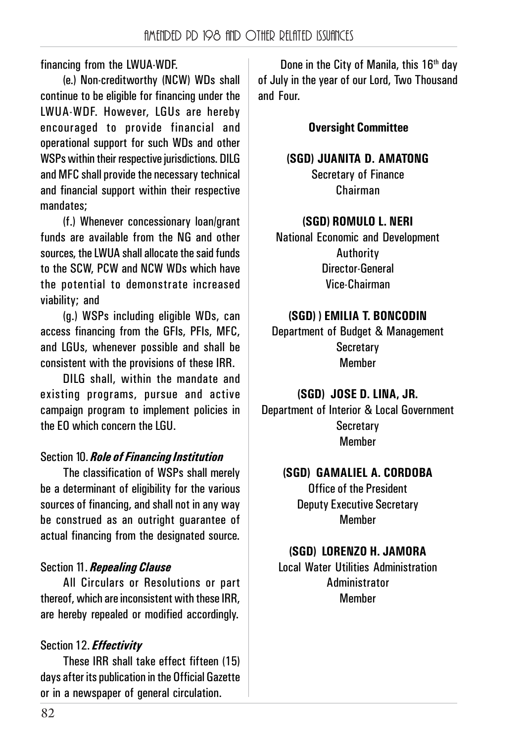financing from the LWUA-WDF.

(e.) Non-creditworthy (NCW) WDs shall continue to be eligible for financing under the LWUA-WDF. However, LGUs are hereby encouraged to provide financial and operational support for such WDs and other WSPs within their respective jurisdictions. DILG and MFC shall provide the necessary technical and financial support within their respective mandates;

(f.) Whenever concessionary loan/grant funds are available from the NG and other sources, the LWUA shall allocate the said funds to the SCW, PCW and NCW WDs which have the potential to demonstrate increased viability; and

(g.) WSPs including eligible WDs, can access financing from the GFIs, PFIs, MFC, and LGUs, whenever possible and shall be consistent with the provisions of these IRR.

DILG shall, within the mandate and existing programs, pursue and active campaign program to implement policies in the EO which concern the LGU.

## Section 10. *Role of Financing Institution*

The classification of WSPs shall merely be a determinant of eligibility for the various sources of financing, and shall not in any way be construed as an outright guarantee of actual financing from the designated source.

# Section 11. *Repealing Clause*

All Circulars or Resolutions or part thereof, which are inconsistent with these IRR, are hereby repealed or modified accordingly.

# Section 12. *Effectivity*

These IRR shall take effect fifteen (15) days after its publication in the Official Gazette or in a newspaper of general circulation.

Done in the City of Manila, this 16<sup>th</sup> day of July in the year of our Lord, Two Thousand and Four.

**Oversight Committee**

#### **(SGD) JUANITA D. AMATONG**

Secretary of Finance Chairman

## **(SGD) ROMULO L. NERI**

National Economic and Development Authority Director-General Vice-Chairman

## **(SGD) ) EMILIA T. BONCODIN**

Department of Budget & Management **Secretary** Member

## **(SGD) JOSE D. LINA, JR.**

Department of Interior & Local Government **Secretary** Member

## **(SGD) GAMALIEL A. CORDOBA**

Office of the President Deputy Executive Secretary Member

## **(SGD) LORENZO H. JAMORA**

Local Water Utilities Administration Administrator Member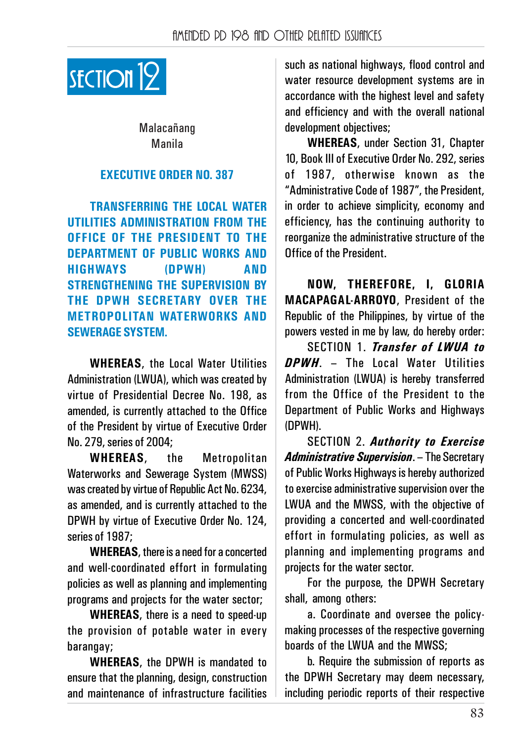

Malacańang Manila

#### **EXECUTIVE ORDER NO. 387**

**TRANSFERRING THE LOCAL WATER UTILITIES ADMINISTRATION FROM THE OFFICE OF THE PRESIDENT TO THE DEPARTMENT OF PUBLIC WORKS AND HIGHWAYS (DPWH) AND STRENGTHENING THE SUPERVISION BY THE DPWH SECRETARY OVER THE METROPOLITAN WATERWORKS AND SEWERAGE SYSTEM.**

**WHEREAS**, the Local Water Utilities Administration (LWUA), which was created by virtue of Presidential Decree No. 198, as amended, is currently attached to the Office of the President by virtue of Executive Order No. 279, series of 2004;

**WHEREAS**, the Metropolitan Waterworks and Sewerage System (MWSS) was created by virtue of Republic Act No. 6234, as amended, and is currently attached to the DPWH by virtue of Executive Order No. 124, series of 1987;

**WHEREAS**, there is a need for a concerted and well-coordinated effort in formulating policies as well as planning and implementing programs and projects for the water sector;

**WHEREAS**, there is a need to speed-up the provision of potable water in every barangay;

**WHEREAS**, the DPWH is mandated to ensure that the planning, design, construction and maintenance of infrastructure facilities such as national highways, flood control and water resource development systems are in accordance with the highest level and safety and efficiency and with the overall national development objectives;

**WHEREAS**, under Section 31, Chapter 10, Book III of Executive Order No. 292, series of 1987, otherwise known as the "Administrative Code of 1987", the President, in order to achieve simplicity, economy and efficiency, has the continuing authority to reorganize the administrative structure of the Office of the President.

**NOW, THEREFORE, I, GLORIA MACAPAGAL-ARROYO**, President of the Republic of the Philippines, by virtue of the powers vested in me by law, do hereby order:

SECTION 1. *Transfer of LWUA to DPWH*. – The Local Water Utilities Administration (LWUA) is hereby transferred from the Office of the President to the Department of Public Works and Highways (DPWH).

SECTION 2. *Authority to Exercise Administrative Supervision*. – The Secretary of Public Works Highways is hereby authorized to exercise administrative supervision over the LWUA and the MWSS, with the objective of providing a concerted and well-coordinated effort in formulating policies, as well as planning and implementing programs and projects for the water sector.

For the purpose, the DPWH Secretary shall, among others:

a. Coordinate and oversee the policymaking processes of the respective governing boards of the LWUA and the MWSS;

b. Require the submission of reports as the DPWH Secretary may deem necessary, including periodic reports of their respective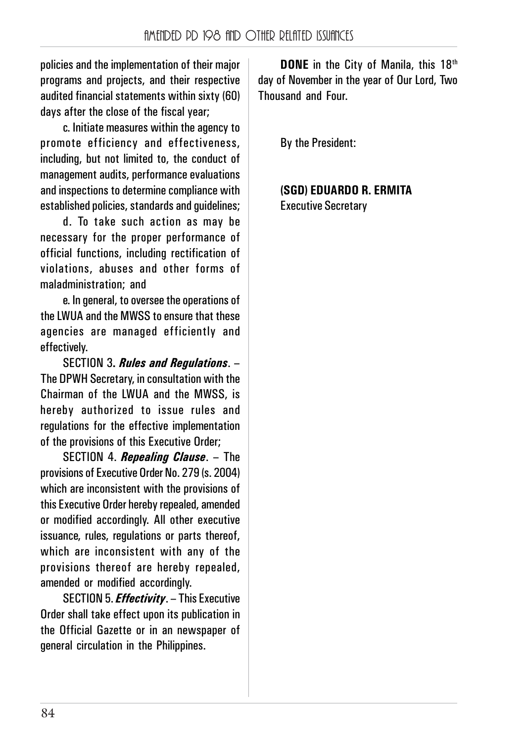policies and the implementation of their major programs and projects, and their respective audited financial statements within sixty (60) days after the close of the fiscal year;

c. Initiate measures within the agency to promote efficiency and effectiveness, including, but not limited to, the conduct of management audits, performance evaluations and inspections to determine compliance with established policies, standards and guidelines;

d. To take such action as may be necessary for the proper performance of official functions, including rectification of violations, abuses and other forms of maladministration; and

e. In general, to oversee the operations of the LWUA and the MWSS to ensure that these agencies are managed efficiently and effectively.

SECTION 3**.** *Rules and Regulations*. – The DPWH Secretary, in consultation with the Chairman of the LWUA and the MWSS, is hereby authorized to issue rules and regulations for the effective implementation of the provisions of this Executive Order;

SECTION 4. *Repealing Clause*. – The provisions of Executive Order No. 279 (s. 2004) which are inconsistent with the provisions of this Executive Order hereby repealed, amended or modified accordingly. All other executive issuance, rules, regulations or parts thereof, which are inconsistent with any of the provisions thereof are hereby repealed, amended or modified accordingly.

SECTION 5. *Effectivity*. – This Executive Order shall take effect upon its publication in the Official Gazette or in an newspaper of general circulation in the Philippines.

**DONE** in the City of Manila, this 18<sup>th</sup> day of November in the year of Our Lord, Two Thousand and Four.

By the President:

**(SGD) EDUARDO R. ERMITA** Executive Secretary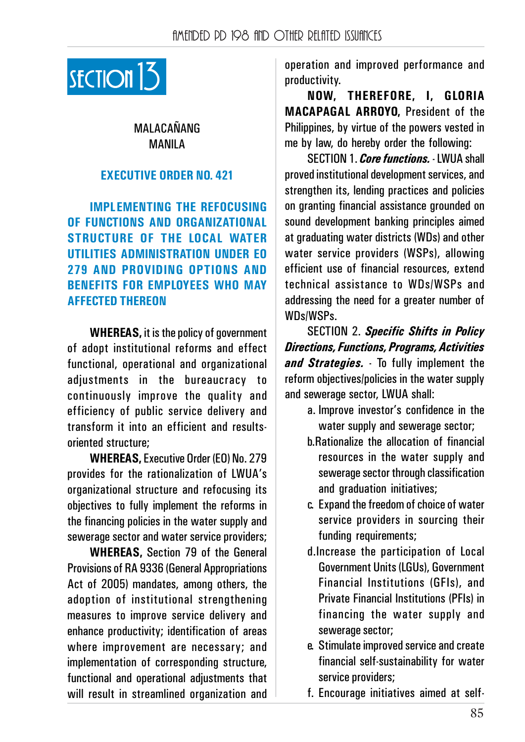

## MALACAŃANG MANILA

## **EXECUTIVE ORDER NO. 421**

**IMPLEMENTING THE REFOCUSING OF FUNCTIONS AND ORGANIZATIONAL STRUCTURE OF THE LOCAL WATER UTILITIES ADMINISTRATION UNDER EO 279 AND PROVIDING OPTIONS AND BENEFITS FOR EMPLOYEES WHO MAY AFFECTED THEREON**

**WHEREAS,** it is the policy of government of adopt institutional reforms and effect functional, operational and organizational adjustments in the bureaucracy to continuously improve the quality and efficiency of public service delivery and transform it into an efficient and resultsoriented structure;

**WHEREAS,** Executive Order (EO) No. 279 provides for the rationalization of LWUA's organizational structure and refocusing its objectives to fully implement the reforms in the financing policies in the water supply and sewerage sector and water service providers;

**WHEREAS,** Section 79 of the General Provisions of RA 9336 (General Appropriations Act of 2005) mandates, among others, the adoption of institutional strengthening measures to improve service delivery and enhance productivity; identification of areas where improvement are necessary; and implementation of corresponding structure, functional and operational adjustments that will result in streamlined organization and operation and improved performance and productivity.

**NOW, THEREFORE, I, GLORIA MACAPAGAL ARROYO,** President of the Philippines, by virtue of the powers vested in me by law, do hereby order the following:

SECTION 1. *Core functions.* - LWUA shall proved institutional development services, and strengthen its, lending practices and policies on granting financial assistance grounded on sound development banking principles aimed at graduating water districts (WDs) and other water service providers (WSPs), allowing efficient use of financial resources, extend technical assistance to WDs/WSPs and addressing the need for a greater number of WDs/WSPs.

SECTION 2. *Specific Shifts in Policy Directions, Functions, Programs, Activities and Strategies.* - To fully implement the reform objectives/policies in the water supply and sewerage sector, LWUA shall:

- a. Improve investor's confidence in the water supply and sewerage sector:
- b.Rationalize the allocation of financial resources in the water supply and sewerage sector through classification and graduation initiatives;
- c. Expand the freedom of choice of water service providers in sourcing their funding requirements:
- d.Increase the participation of Local Government Units (LGUs), Government Financial Institutions (GFIs), and Private Financial Institutions (PFIs) in financing the water supply and sewerage sector;
- e. Stimulate improved service and create financial self-sustainability for water service providers:
- f. Encourage initiatives aimed at self-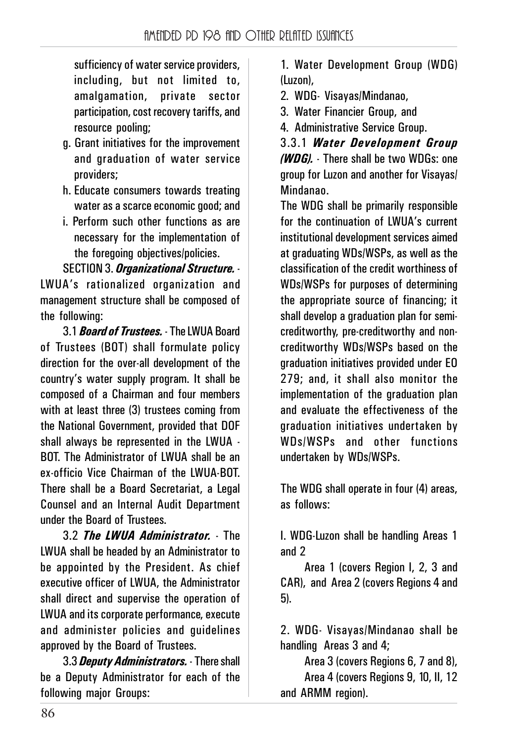sufficiency of water service providers, including, but not limited to, amalgamation, private sector participation, cost recovery tariffs, and resource pooling;

- g. Grant initiatives for the improvement and graduation of water service providers;
- h. Educate consumers towards treating water as a scarce economic good; and
- i. Perform such other functions as are necessary for the implementation of the foregoing objectives/policies.

SECTION 3. *Organizational Structure.* - LWUA's rationalized organization and management structure shall be composed of the following:

3.1 *Board of Trustees.* - The LWUA Board of Trustees (BOT) shall formulate policy direction for the over-all development of the country's water supply program. It shall be composed of a Chairman and four members with at least three (3) trustees coming from the National Government, provided that DOF shall always be represented in the LWUA - BOT. The Administrator of LWUA shall be an ex-officio Vice Chairman of the LWUA-BOT. There shall be a Board Secretariat, a Legal Counsel and an Internal Audit Department under the Board of Trustees.

3.2 *The LWUA Administrator.* - The LWUA shall be headed by an Administrator to be appointed by the President. As chief executive officer of LWUA, the Administrator shall direct and supervise the operation of LWUA and its corporate performance, execute and administer policies and guidelines approved by the Board of Trustees.

3.3 *Deputy Administrators.* - There shall be a Deputy Administrator for each of the following major Groups:

1. Water Development Group (WDG) (Luzon),

2. WDG- Visayas/Mindanao,

3. Water Financier Group, and

4. Administrative Service Group.

3.3.1 *Water Development Group (WDG).* - There shall be two WDGs: one group for Luzon and another for Visayas/ Mindanao.

The WDG shall be primarily responsible for the continuation of LWUA's current institutional development services aimed at graduating WDs/WSPs, as well as the classification of the credit worthiness of WDs/WSPs for purposes of determining the appropriate source of financing; it shall develop a graduation plan for semicreditworthy, pre-creditworthy and noncreditworthy WDs/WSPs based on the graduation initiatives provided under EO 279; and, it shall also monitor the implementation of the graduation plan and evaluate the effectiveness of the graduation initiatives undertaken by WDs/WSPs and other functions undertaken by WDs/WSPs.

The WDG shall operate in four (4) areas, as follows:

I. WDG-Luzon shall be handling Areas 1 and 2

Area 1 (covers Region I, 2, 3 and CAR), and Area 2 (covers Regions 4 and 5).

2. WDG- Visayas/Mindanao shall be handling Areas 3 and 4;

Area 3 (covers Regions 6, 7 and 8), Area 4 (covers Regions 9, 10, II, 12 and ARMM region).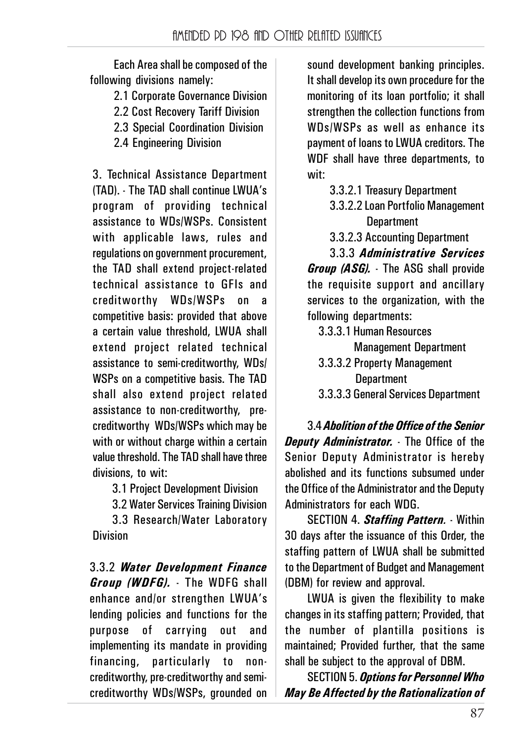Each Area shall be composed of the following divisions namely:

2.1 Corporate Governance Division

2.2 Cost Recovery Tariff Division

2.3 Special Coordination Division

2.4 Engineering Division

3. Technical Assistance Department (TAD). - The TAD shall continue LWUA's program of providing technical assistance to WDs/WSPs. Consistent with applicable laws, rules and regulations on government procurement, the TAD shall extend project-related technical assistance to GFIs and creditworthy WDs/WSPs on a competitive basis: provided that above a certain value threshold, LWUA shall extend project related technical assistance to semi-creditworthy, WDs/ WSPs on a competitive basis. The TAD shall also extend project related assistance to non-creditworthy, precreditworthy WDs/WSPs which may be with or without charge within a certain value threshold. The TAD shall have three divisions, to wit:

3.1 Project Development Division

3.2 Water Services Training Division

3.3 Research/Water Laboratory Division

3.3.2 *Water Development Finance Group (WDFG).* - The WDFG shall enhance and/or strengthen LWUA's lending policies and functions for the purpose of carrying out and implementing its mandate in providing financing, particularly to noncreditworthy, pre-creditworthy and semicreditworthy WDs/WSPs, grounded on

sound development banking principles. It shall develop its own procedure for the monitoring of its loan portfolio; it shall strengthen the collection functions from WDs/WSPs as well as enhance its payment of loans to LWUA creditors. The WDF shall have three departments, to wit:

- 3.3.2.1 Treasury Department
- 3.3.2.2 Loan Portfolio Management **Department**
- 3.3.2.3 Accounting Department

3.3.3 *Administrative Services Group (ASG).* - The ASG shall provide the requisite support and ancillary services to the organization, with the following departments:

- 3.3.3.1 Human Resources Management Department
- 3.3.3.2 Property Management **Department**
- 3.3.3.3 General Services Department

3.4 *Abolition of the Office of the Senior Deputy Administrator.* - The Office of the Senior Deputy Administrator is hereby abolished and its functions subsumed under the Office of the Administrator and the Deputy Administrators for each WDG.

SECTION 4. *Staffing Pattern.* - Within 30 days after the issuance of this Order, the staffing pattern of LWUA shall be submitted to the Department of Budget and Management (DBM) for review and approval.

LWUA is given the flexibility to make changes in its staffing pattern; Provided, that the number of plantilla positions is maintained; Provided further, that the same shall be subject to the approval of DBM.

SECTION 5. *Options for Personnel Who May Be Affected by the Rationalization of*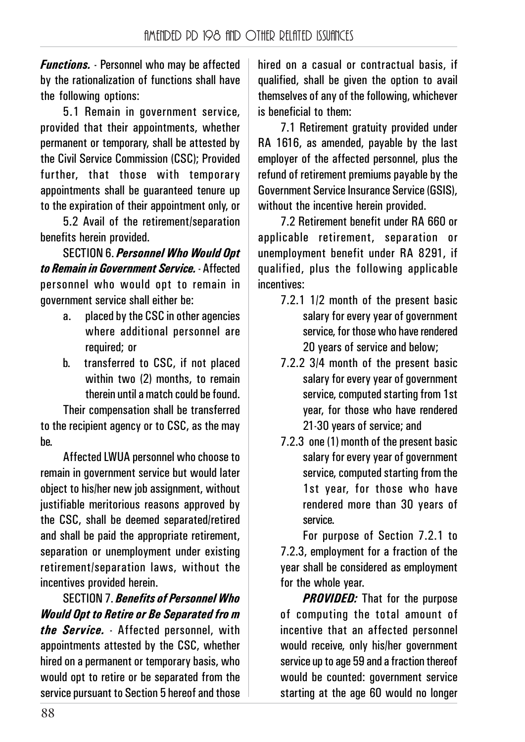*Functions.* - Personnel who may be affected by the rationalization of functions shall have the following options:

5.1 Remain in government service, provided that their appointments, whether permanent or temporary, shall be attested by the Civil Service Commission (CSC); Provided further, that those with temporary appointments shall be guaranteed tenure up to the expiration of their appointment only, or

5.2 Avail of the retirement/separation benefits herein provided.

SECTION 6. *Personnel Who Would Opt to Remain in Government Service.* - Affected personnel who would opt to remain in government service shall either be:

- a. placed by the CSC in other agencies where additional personnel are required; or
- b. transferred to CSC, if not placed within two (2) months, to remain therein until a match could be found.

Their compensation shall be transferred to the recipient agency or to CSC, as the may be.

Affected LWUA personnel who choose to remain in government service but would later object to his/her new job assignment, without justifiable meritorious reasons approved by the CSC, shall be deemed separated/retired and shall be paid the appropriate retirement, separation or unemployment under existing retirement/separation laws, without the incentives provided herein.

SECTION 7. *Benefits of Personnel Who Would Opt to Retire or Be Separated fro m the Service.* - Affected personnel, with appointments attested by the CSC, whether hired on a permanent or temporary basis, who would opt to retire or be separated from the service pursuant to Section 5 hereof and those hired on a casual or contractual basis, if qualified, shall be given the option to avail themselves of any of the following, whichever is beneficial to them:

7.1 Retirement gratuity provided under RA 1616, as amended, payable by the last employer of the affected personnel, plus the refund of retirement premiums payable by the Government Service Insurance Service (GSIS), without the incentive herein provided.

7.2 Retirement benefit under RA 660 or applicable retirement, separation or unemployment benefit under RA 8291, if qualified, plus the following applicable incentives:

- 7.2.1 1/2 month of the present basic salary for every year of government service, for those who have rendered 20 years of service and below;
- 7.2.2 3/4 month of the present basic salary for every year of government service, computed starting from 1st year, for those who have rendered 21-30 years of service; and
- 7.2.3 one (1) month of the present basic salary for every year of government service, computed starting from the 1st year, for those who have rendered more than 30 years of service.

For purpose of Section 7.2.1 to 7.2.3, employment for a fraction of the year shall be considered as employment for the whole year.

*PROVIDED:* That for the purpose of computing the total amount of incentive that an affected personnel would receive, only his/her government service up to age 59 and a fraction thereof would be counted: government service starting at the age 60 would no longer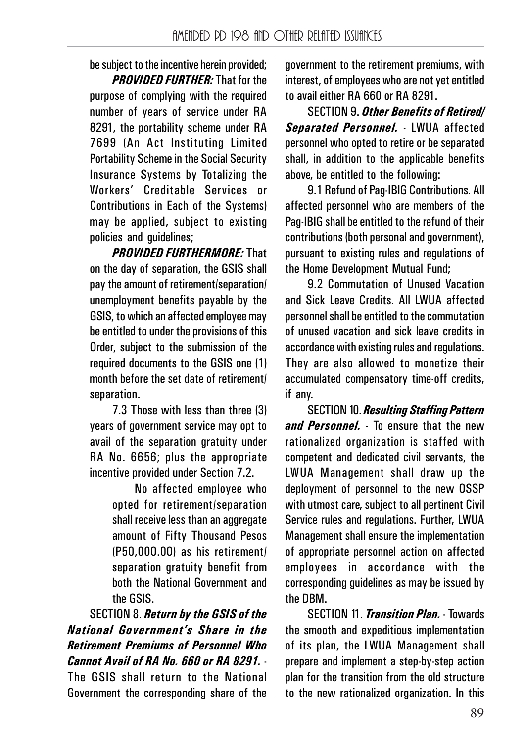be subject to the incentive herein provided;

*PROVIDED FURTHER:* That for the purpose of complying with the required number of years of service under RA 8291, the portability scheme under RA 7699 (An Act Instituting Limited Portability Scheme in the Social Security Insurance Systems by Totalizing the Workers' Creditable Services or Contributions in Each of the Systems) may be applied, subject to existing policies and guidelines;

*PROVIDED FURTHERMORE:* That on the day of separation, the GSIS shall pay the amount of retirement/separation/ unemployment benefits payable by the GSIS, to which an affected employee may be entitled to under the provisions of this Order, subject to the submission of the required documents to the GSIS one (1) month before the set date of retirement/ separation.

7.3 Those with less than three (3) years of government service may opt to avail of the separation gratuity under RA No. 6656; plus the appropriate incentive provided under Section 7.2.

> No affected employee who opted for retirement/separation shall receive less than an aggregate amount of Fifty Thousand Pesos (P50,000.00) as his retirement/ separation gratuity benefit from both the National Government and the GSIS.

SECTION 8. *Return by the GSIS of the National Government's Share in the Retirement Premiums of Personnel Who Cannot Avail of RA No. 660 or RA 8291.* - The GSIS shall return to the National Government the corresponding share of the

government to the retirement premiums, with interest, of employees who are not yet entitled to avail either RA 660 or RA 8291.

SECTION 9. *Other Benefits of Retired/ Separated Personnel.* - LWUA affected personnel who opted to retire or be separated shall, in addition to the applicable benefits above, be entitled to the following:

9.1 Refund of Pag-IBIG Contributions. All affected personnel who are members of the Pag-IBIG shall be entitled to the refund of their contributions (both personal and government), pursuant to existing rules and regulations of the Home Development Mutual Fund;

9.2 Commutation of Unused Vacation and Sick Leave Credits. All LWUA affected personnel shall be entitled to the commutation of unused vacation and sick leave credits in accordance with existing rules and regulations. They are also allowed to monetize their accumulated compensatory time-off credits, if any.

SECTION 10. *Resulting Staffing Pattern and Personnel.* - To ensure that the new rationalized organization is staffed with competent and dedicated civil servants, the LWUA Management shall draw up the deployment of personnel to the new OSSP with utmost care, subject to all pertinent Civil Service rules and regulations. Further, LWUA Management shall ensure the implementation of appropriate personnel action on affected employees in accordance with the corresponding guidelines as may be issued by the DBM.

SECTION 11. *Transition Plan.* - Towards the smooth and expeditious implementation of its plan, the LWUA Management shall prepare and implement a step-by-step action plan for the transition from the old structure to the new rationalized organization. In this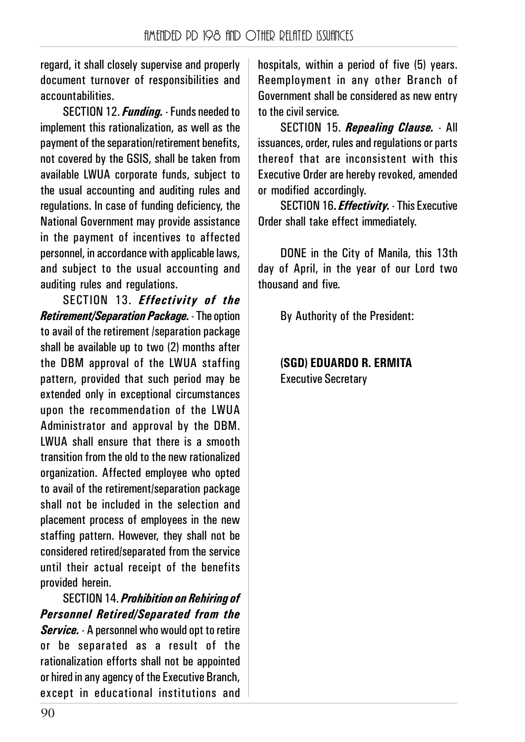regard, it shall closely supervise and properly document turnover of responsibilities and accountabilities.

SECTION 12. *Funding.* - Funds needed to implement this rationalization, as well as the payment of the separation/retirement benefits, not covered by the GSIS, shall be taken from available LWUA corporate funds, subject to the usual accounting and auditing rules and regulations. In case of funding deficiency, the National Government may provide assistance in the payment of incentives to affected personnel, in accordance with applicable laws, and subject to the usual accounting and auditing rules and regulations.

SECTION 13. *Effectivity of the Retirement/Separation Package.* - The option to avail of the retirement /separation package shall be available up to two (2) months after the DBM approval of the LWUA staffing pattern, provided that such period may be extended only in exceptional circumstances upon the recommendation of the LWUA Administrator and approval by the DBM. LWUA shall ensure that there is a smooth transition from the old to the new rationalized organization. Affected employee who opted to avail of the retirement/separation package shall not be included in the selection and placement process of employees in the new staffing pattern. However, they shall not be considered retired/separated from the service until their actual receipt of the benefits provided herein.

SECTION 14. *Prohibition on Rehiring of Personnel Retired/Separated from the Service.* - A personnel who would opt to retire or be separated as a result of the rationalization efforts shall not be appointed or hired in any agency of the Executive Branch, except in educational institutions and hospitals, within a period of five (5) years. Reemployment in any other Branch of Government shall be considered as new entry to the civil service.

SECTION 15. *Repealing Clause.* - All issuances, order, rules and regulations or parts thereof that are inconsistent with this Executive Order are hereby revoked, amended or modified accordingly.

SECTION 16**.** *Effectivity.* - This Executive Order shall take effect immediately.

DONE in the City of Manila, this 13th day of April, in the year of our Lord two thousand and five.

By Authority of the President:

#### **(SGD) EDUARDO R. ERMITA** Executive Secretary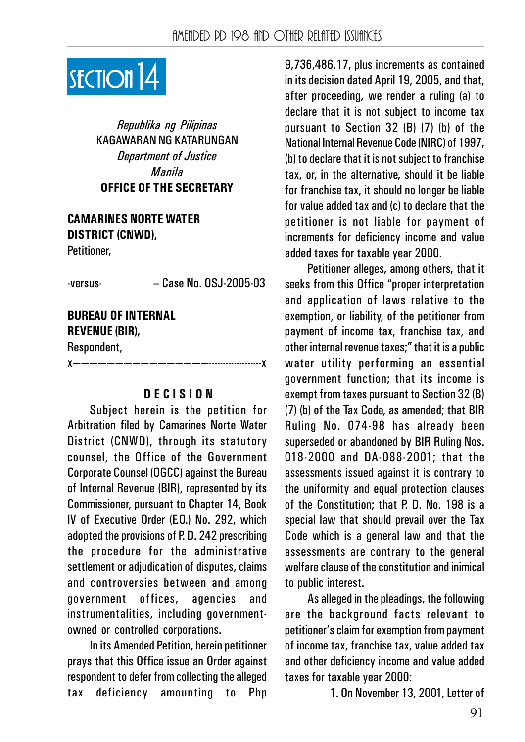

*Republika ng Pilipinas* KAGAWARAN NG KATARUNGAN *Department of Justice Manila* **OFFICE OF THE SECRETARY**

# **CAMARINES NORTE WATER DISTRICT (CNWD),**

Petitioner,

-versus- – Case No. OSJ-2005-03

# **BUREAU OF INTERNAL REVENUE (BIR),**

Respondent,

x————————————————-------------------x

#### **D E C I S I O N**

Subject herein is the petition for Arbitration filed by Camarines Norte Water District (CNWD), through its statutory counsel, the Office of the Government Corporate Counsel (OGCC) against the Bureau of Internal Revenue (BIR), represented by its Commissioner, pursuant to Chapter 14, Book IV of Executive Order (E.O.) No. 292, which adopted the provisions of P. D. 242 prescribing the procedure for the administrative settlement or adjudication of disputes, claims and controversies between and among government offices, agencies and instrumentalities, including governmentowned or controlled corporations.

In its Amended Petition, herein petitioner prays that this Office issue an Order against respondent to defer from collecting the alleged tax deficiency amounting to Php

9,736,486.17, plus increments as contained in its decision dated April 19, 2005, and that, after proceeding, we render a ruling (a) to declare that it is not subject to income tax pursuant to Section 32 (B) (7) (b) of the National Internal Revenue Code (NIRC) of 1997, (b) to declare that it is not subject to franchise tax, or, in the alternative, should it be liable for franchise tax, it should no longer be liable for value added tax and (c) to declare that the petitioner is not liable for payment of increments for deficiency income and value added taxes for taxable year 2000.

Petitioner alleges, among others, that it seeks from this Office "proper interpretation and application of laws relative to the exemption, or liability, of the petitioner from payment of income tax, franchise tax, and other internal revenue taxes;" that it is a public water utility performing an essential government function; that its income is exempt from taxes pursuant to Section 32 (B) (7) (b) of the Tax Code, as amended; that BIR Ruling No. 074-98 has already been superseded or abandoned by BIR Ruling Nos. 018-2000 and DA-088-2001; that the assessments issued against it is contrary to the uniformity and equal protection clauses of the Constitution; that P. D. No. 198 is a special law that should prevail over the Tax Code which is a general law and that the assessments are contrary to the general welfare clause of the constitution and inimical to public interest.

As alleged in the pleadings, the following are the background facts relevant to petitioner's claim for exemption from payment of income tax, franchise tax, value added tax and other deficiency income and value added taxes for taxable year 2000:

1. On November 13, 2001, Letter of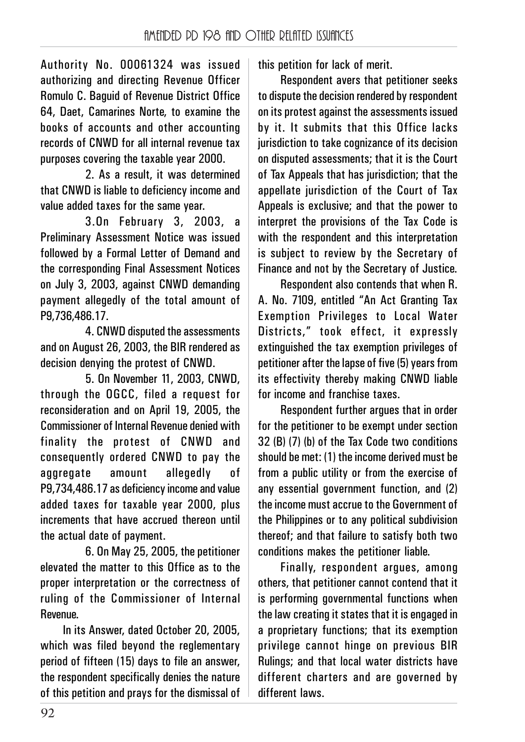Authority No. 00061324 was issued authorizing and directing Revenue Officer Romulo C. Baguid of Revenue District Office 64, Daet, Camarines Norte, to examine the books of accounts and other accounting records of CNWD for all internal revenue tax purposes covering the taxable year 2000.

2. As a result, it was determined that CNWD is liable to deficiency income and value added taxes for the same year.

3.On February 3, 2003, a Preliminary Assessment Notice was issued followed by a Formal Letter of Demand and the corresponding Final Assessment Notices on July 3, 2003, against CNWD demanding payment allegedly of the total amount of P9,736,486.17.

4. CNWD disputed the assessments and on August 26, 2003, the BIR rendered as decision denying the protest of CNWD.

5. On November 11, 2003, CNWD, through the OGCC, filed a request for reconsideration and on April 19, 2005, the Commissioner of Internal Revenue denied with finality the protest of CNWD and consequently ordered CNWD to pay the aggregate amount allegedly of P9,734,486.17 as deficiency income and value added taxes for taxable year 2000, plus increments that have accrued thereon until the actual date of payment.

6. On May 25, 2005, the petitioner elevated the matter to this Office as to the proper interpretation or the correctness of ruling of the Commissioner of Internal Revenue.

In its Answer, dated October 20, 2005, which was filed beyond the reglementary period of fifteen (15) days to file an answer, the respondent specifically denies the nature of this petition and prays for the dismissal of

this petition for lack of merit.

Respondent avers that petitioner seeks to dispute the decision rendered by respondent on its protest against the assessments issued by it. It submits that this Office lacks jurisdiction to take cognizance of its decision on disputed assessments; that it is the Court of Tax Appeals that has jurisdiction; that the appellate jurisdiction of the Court of Tax Appeals is exclusive; and that the power to interpret the provisions of the Tax Code is with the respondent and this interpretation is subject to review by the Secretary of Finance and not by the Secretary of Justice.

Respondent also contends that when R. A. No. 7109, entitled "An Act Granting Tax Exemption Privileges to Local Water Districts," took effect, it expressly extinguished the tax exemption privileges of petitioner after the lapse of five (5) years from its effectivity thereby making CNWD liable for income and franchise taxes.

Respondent further argues that in order for the petitioner to be exempt under section 32 (B) (7) (b) of the Tax Code two conditions should be met: (1) the income derived must be from a public utility or from the exercise of any essential government function, and (2) the income must accrue to the Government of the Philippines or to any political subdivision thereof; and that failure to satisfy both two conditions makes the petitioner liable.

Finally, respondent argues, among others, that petitioner cannot contend that it is performing governmental functions when the law creating it states that it is engaged in a proprietary functions; that its exemption privilege cannot hinge on previous BIR Rulings; and that local water districts have different charters and are governed by different laws.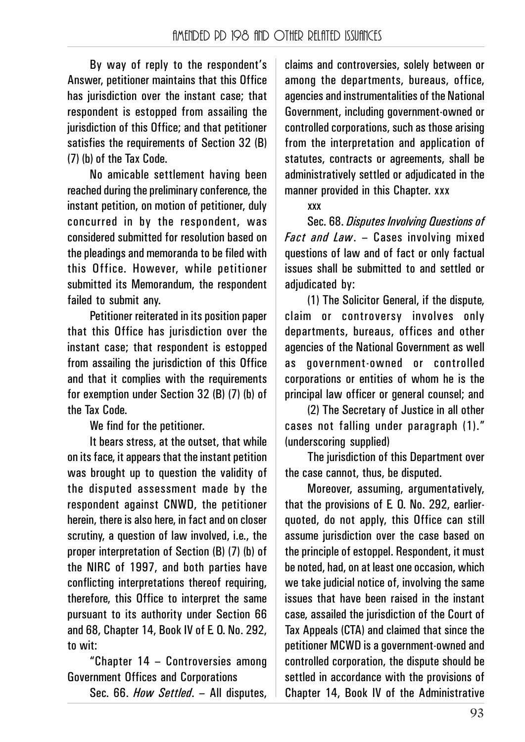By way of reply to the respondent's Answer, petitioner maintains that this Office has jurisdiction over the instant case; that respondent is estopped from assailing the jurisdiction of this Office; and that petitioner satisfies the requirements of Section 32 (B) (7) (b) of the Tax Code.

No amicable settlement having been reached during the preliminary conference, the instant petition, on motion of petitioner, duly concurred in by the respondent, was considered submitted for resolution based on the pleadings and memoranda to be filed with this Office. However, while petitioner submitted its Memorandum, the respondent failed to submit any.

Petitioner reiterated in its position paper that this Office has jurisdiction over the instant case; that respondent is estopped from assailing the jurisdiction of this Office and that it complies with the requirements for exemption under Section 32 (B) (7) (b) of the Tax Code.

We find for the petitioner.

It bears stress, at the outset, that while on its face, it appears that the instant petition was brought up to question the validity of the disputed assessment made by the respondent against CNWD, the petitioner herein, there is also here, in fact and on closer scrutiny, a question of law involved, i.e., the proper interpretation of Section (B) (7) (b) of the NIRC of 1997, and both parties have conflicting interpretations thereof requiring, therefore, this Office to interpret the same pursuant to its authority under Section 66 and 68, Chapter 14, Book IV of E. O. No. 292, to wit:

"Chapter 14 – Controversies among Government Offices and Corporations

Sec. 66. *How Settled*. – All disputes,

claims and controversies, solely between or among the departments, bureaus, office, agencies and instrumentalities of the National Government, including government-owned or controlled corporations, such as those arising from the interpretation and application of statutes, contracts or agreements, shall be administratively settled or adjudicated in the manner provided in this Chapter. xxx

xxx

Sec. 68. *Disputes Involving Questions of Fact and Law*. – Cases involving mixed questions of law and of fact or only factual issues shall be submitted to and settled or adiudicated by:

(1) The Solicitor General, if the dispute, claim or controversy involves only departments, bureaus, offices and other agencies of the National Government as well as government-owned or controlled corporations or entities of whom he is the principal law officer or general counsel; and

(2) The Secretary of Justice in all other cases not falling under paragraph (1)." (underscoring supplied)

The jurisdiction of this Department over the case cannot, thus, be disputed.

Moreover, assuming, argumentatively, that the provisions of E. O. No. 292, earlierquoted, do not apply, this Office can still assume jurisdiction over the case based on the principle of estoppel. Respondent, it must be noted, had, on at least one occasion, which we take judicial notice of, involving the same issues that have been raised in the instant case, assailed the jurisdiction of the Court of Tax Appeals (CTA) and claimed that since the petitioner MCWD is a government-owned and controlled corporation, the dispute should be settled in accordance with the provisions of Chapter 14, Book IV of the Administrative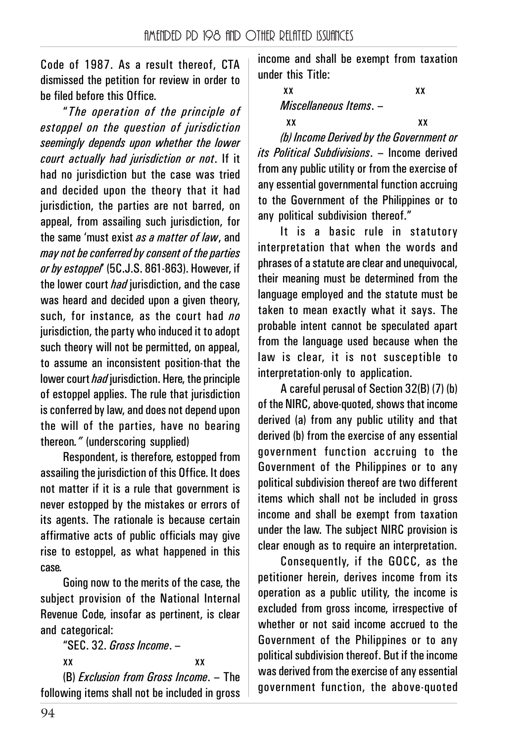Code of 1987. As a result thereof, CTA dismissed the petition for review in order to be filed before this Office.

"*The operation of the principle of estoppel on the question of jurisdiction seemingly depends upon whether the lower court actually had jurisdiction or not*. If it had no jurisdiction but the case was tried and decided upon the theory that it had jurisdiction, the parties are not barred, on appeal, from assailing such jurisdiction, for the same 'must exist *as a matter of law*, and *may not be conferred by consent of the parties or by estoppel*' (5C.J.S. 861-863). However, if the lower court *had* jurisdiction, and the case was heard and decided upon a given theory. such, for instance, as the court had *no* jurisdiction, the party who induced it to adopt such theory will not be permitted, on appeal, to assume an inconsistent position-that the lower court *had* jurisdiction. Here, the principle of estoppel applies. The rule that jurisdiction is conferred by law, and does not depend upon the will of the parties, have no bearing thereon*."* (underscoring supplied)

Respondent, is therefore, estopped from assailing the jurisdiction of this Office. It does not matter if it is a rule that government is never estopped by the mistakes or errors of its agents. The rationale is because certain affirmative acts of public officials may give rise to estoppel, as what happened in this case.

Going now to the merits of the case, the subject provision of the National Internal Revenue Code, insofar as pertinent, is clear and categorical:

"SEC. 32. *Gross Income*. – xx xx

(B) *Exclusion from Gross Income*. – The following items shall not be included in gross income and shall be exempt from taxation under this Title:

> xx xx *Miscellaneous Items*. –

 xx xx *(b) Income Derived by the Government or its Political Subdivisions*. – Income derived from any public utility or from the exercise of any essential governmental function accruing to the Government of the Philippines or to any political subdivision thereof."

It is a basic rule in statutory interpretation that when the words and phrases of a statute are clear and unequivocal, their meaning must be determined from the language employed and the statute must be taken to mean exactly what it says. The probable intent cannot be speculated apart from the language used because when the law is clear, it is not susceptible to interpretation-only to application.

A careful perusal of Section 32(B) (7) (b) of the NIRC, above-quoted, shows that income derived (a) from any public utility and that derived (b) from the exercise of any essential government function accruing to the Government of the Philippines or to any political subdivision thereof are two different items which shall not be included in gross income and shall be exempt from taxation under the law. The subject NIRC provision is clear enough as to require an interpretation.

Consequently, if the GOCC, as the petitioner herein, derives income from its operation as a public utility, the income is excluded from gross income, irrespective of whether or not said income accrued to the Government of the Philippines or to any political subdivision thereof. But if the income was derived from the exercise of any essential government function, the above-quoted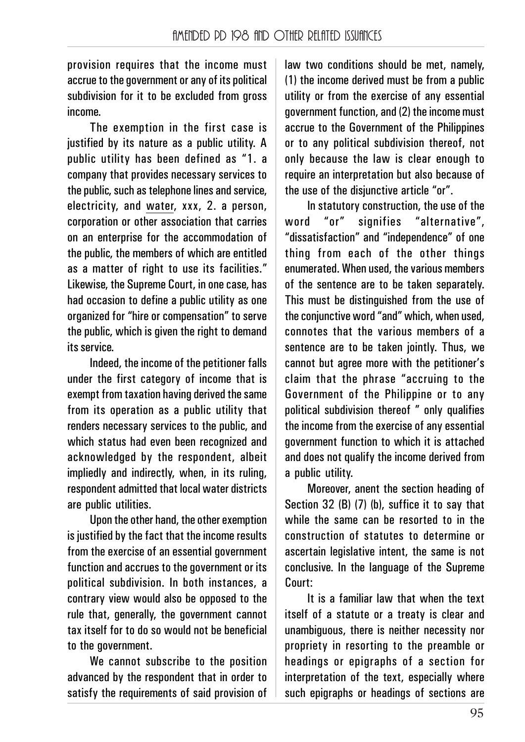provision requires that the income must accrue to the government or any of its political subdivision for it to be excluded from gross income.

The exemption in the first case is justified by its nature as a public utility. A public utility has been defined as "1. a company that provides necessary services to the public, such as telephone lines and service, electricity, and water, xxx, 2. a person, corporation or other association that carries on an enterprise for the accommodation of the public, the members of which are entitled as a matter of right to use its facilities." Likewise, the Supreme Court, in one case, has had occasion to define a public utility as one organized for "hire or compensation" to serve the public, which is given the right to demand its service.

Indeed, the income of the petitioner falls under the first category of income that is exempt from taxation having derived the same from its operation as a public utility that renders necessary services to the public, and which status had even been recognized and acknowledged by the respondent, albeit impliedly and indirectly, when, in its ruling, respondent admitted that local water districts are public utilities.

Upon the other hand, the other exemption is justified by the fact that the income results from the exercise of an essential government function and accrues to the government or its political subdivision. In both instances, a contrary view would also be opposed to the rule that, generally, the government cannot tax itself for to do so would not be beneficial to the government.

We cannot subscribe to the position advanced by the respondent that in order to satisfy the requirements of said provision of law two conditions should be met, namely, (1) the income derived must be from a public utility or from the exercise of any essential government function, and (2) the income must accrue to the Government of the Philippines or to any political subdivision thereof, not only because the law is clear enough to require an interpretation but also because of the use of the disjunctive article "or".

In statutory construction, the use of the word "or" signifies "alternative", "dissatisfaction" and "independence" of one thing from each of the other things enumerated. When used, the various members of the sentence are to be taken separately. This must be distinguished from the use of the conjunctive word "and" which, when used, connotes that the various members of a sentence are to be taken jointly. Thus, we cannot but agree more with the petitioner's claim that the phrase "accruing to the Government of the Philippine or to any political subdivision thereof " only qualifies the income from the exercise of any essential government function to which it is attached and does not qualify the income derived from a public utility.

Moreover, anent the section heading of Section 32 (B) (7) (b), suffice it to say that while the same can be resorted to in the construction of statutes to determine or ascertain legislative intent, the same is not conclusive. In the language of the Supreme Court:

It is a familiar law that when the text itself of a statute or a treaty is clear and unambiguous, there is neither necessity nor propriety in resorting to the preamble or headings or epigraphs of a section for interpretation of the text, especially where such epigraphs or headings of sections are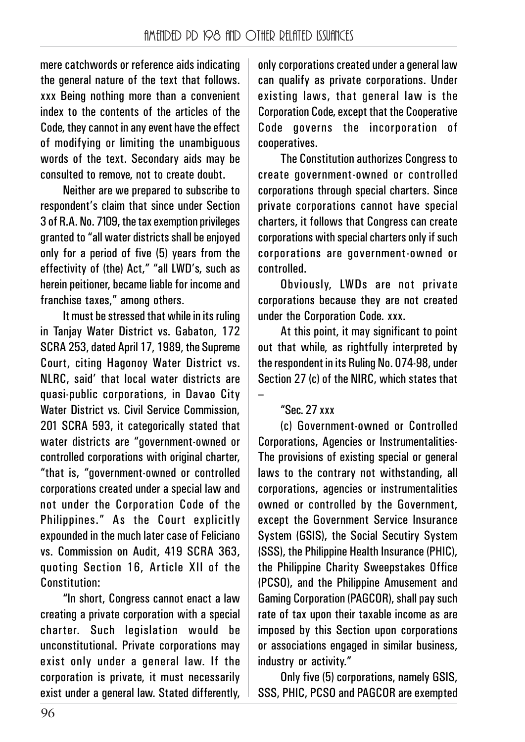mere catchwords or reference aids indicating the general nature of the text that follows. xxx Being nothing more than a convenient index to the contents of the articles of the Code, they cannot in any event have the effect of modifying or limiting the unambiguous words of the text. Secondary aids may be consulted to remove, not to create doubt.

Neither are we prepared to subscribe to respondent's claim that since under Section 3 of R.A. No. 7109, the tax exemption privileges granted to "all water districts shall be enjoyed only for a period of five (5) years from the effectivity of (the) Act," "all LWD's, such as herein peitioner, became liable for income and franchise taxes," among others.

It must be stressed that while in its ruling in Tanjay Water District vs. Gabaton, 172 SCRA 253, dated April 17, 1989, the Supreme Court, citing Hagonoy Water District vs. NLRC, said' that local water districts are quasi-public corporations, in Davao City Water District vs. Civil Service Commission, 201 SCRA 593, it categorically stated that water districts are "government-owned or controlled corporations with original charter, "that is, "government-owned or controlled corporations created under a special law and not under the Corporation Code of the Philippines." As the Court explicitly expounded in the much later case of Feliciano vs. Commission on Audit, 419 SCRA 363, quoting Section 16, Article XII of the Constitution:

"In short, Congress cannot enact a law creating a private corporation with a special charter. Such legislation would be unconstitutional. Private corporations may exist only under a general law. If the corporation is private, it must necessarily exist under a general law. Stated differently,

only corporations created under a general law can qualify as private corporations. Under existing laws, that general law is the Corporation Code, except that the Cooperative Code governs the incorporation of cooperatives.

The Constitution authorizes Congress to create government-owned or controlled corporations through special charters. Since private corporations cannot have special charters, it follows that Congress can create corporations with special charters only if such corporations are government-owned or controlled.

Obviously, LWDs are not private corporations because they are not created under the Corporation Code. xxx.

At this point, it may significant to point out that while, as rightfully interpreted by the respondent in its Ruling No. 074-98, under Section 27 (c) of the NIRC, which states that

#### "Sec. 27 xxx

–

(c) Government-owned or Controlled Corporations, Agencies or Instrumentalities-The provisions of existing special or general laws to the contrary not withstanding, all corporations, agencies or instrumentalities owned or controlled by the Government, except the Government Service Insurance System (GSIS), the Social Secutiry System (SSS), the Philippine Health Insurance (PHIC), the Philippine Charity Sweepstakes Office (PCSO), and the Philippine Amusement and Gaming Corporation (PAGCOR), shall pay such rate of tax upon their taxable income as are imposed by this Section upon corporations or associations engaged in similar business, industry or activity."

Only five (5) corporations, namely GSIS, SSS, PHIC, PCSO and PAGCOR are exempted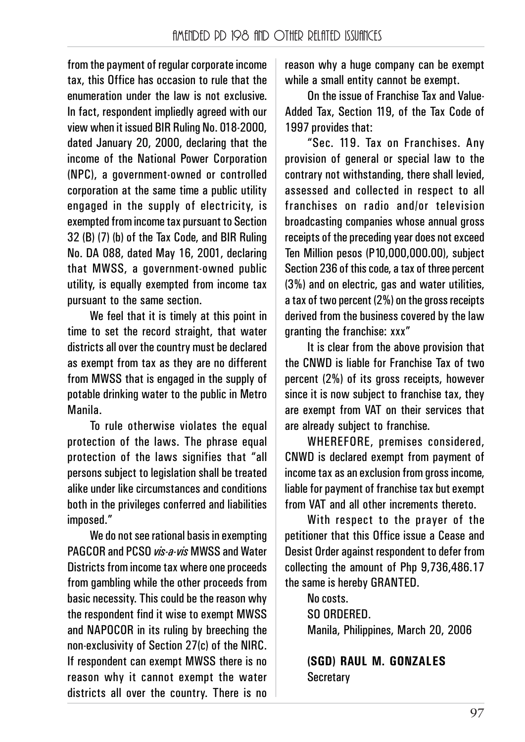from the payment of regular corporate income tax, this Office has occasion to rule that the enumeration under the law is not exclusive. In fact, respondent impliedly agreed with our view when it issued BIR Ruling No. 018-2000, dated January 20, 2000, declaring that the income of the National Power Corporation (NPC), a government-owned or controlled corporation at the same time a public utility engaged in the supply of electricity, is exempted from income tax pursuant to Section 32 (B) (7) (b) of the Tax Code, and BIR Ruling No. DA 088, dated May 16, 2001, declaring that MWSS, a government-owned public utility, is equally exempted from income tax pursuant to the same section.

We feel that it is timely at this point in time to set the record straight, that water districts all over the country must be declared as exempt from tax as they are no different from MWSS that is engaged in the supply of potable drinking water to the public in Metro Manila.

To rule otherwise violates the equal protection of the laws. The phrase equal protection of the laws signifies that "all persons subject to legislation shall be treated alike under like circumstances and conditions both in the privileges conferred and liabilities imposed."

We do not see rational basis in exempting PAGCOR and PCSO *vis-a-vis* MWSS and Water Districts from income tax where one proceeds from gambling while the other proceeds from basic necessity. This could be the reason why the respondent find it wise to exempt MWSS and NAPOCOR in its ruling by breeching the non-exclusivity of Section 27(c) of the NIRC. If respondent can exempt MWSS there is no reason why it cannot exempt the water districts all over the country. There is no

reason why a huge company can be exempt while a small entity cannot be exempt.

On the issue of Franchise Tax and Value-Added Tax, Section 119, of the Tax Code of 1997 provides that:

"Sec. 119. Tax on Franchises. Any provision of general or special law to the contrary not withstanding, there shall levied, assessed and collected in respect to all franchises on radio and/or television broadcasting companies whose annual gross receipts of the preceding year does not exceed Ten Million pesos (P10,000,000.00), subject Section 236 of this code, a tax of three percent (3%) and on electric, gas and water utilities, a tax of two percent (2%) on the gross receipts derived from the business covered by the law granting the franchise: xxx"

It is clear from the above provision that the CNWD is liable for Franchise Tax of two percent (2%) of its gross receipts, however since it is now subject to franchise tax, they are exempt from VAT on their services that are already subject to franchise.

WHEREFORE, premises considered, CNWD is declared exempt from payment of income tax as an exclusion from gross income, liable for payment of franchise tax but exempt from VAT and all other increments thereto.

With respect to the prayer of the petitioner that this Office issue a Cease and Desist Order against respondent to defer from collecting the amount of Php 9,736,486.17 the same is hereby GRANTED.

> No costs. SO ORDERED. Manila, Philippines, March 20, 2006

**(SGD) RAUL M. GONZALES Secretary**